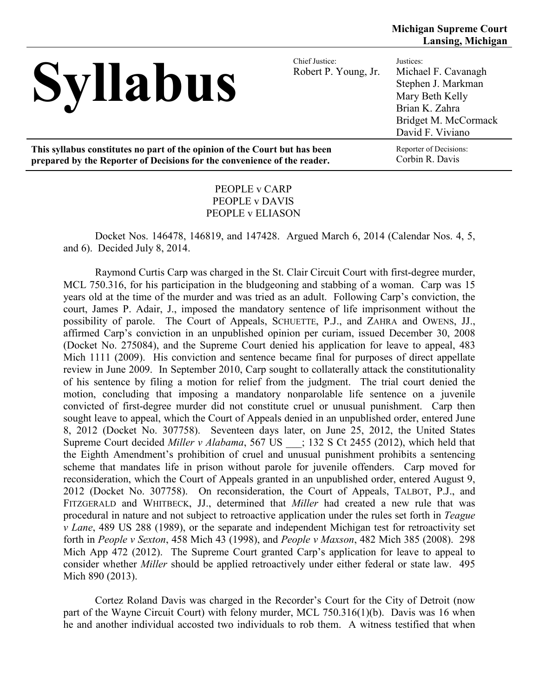| <b>Syllabus</b>                                                                                                                                        | Chief Justice:<br>Robert P. Young, Jr. | Justices:<br>Michael F. Cavanagh<br>Stephen J. Markman<br>Mary Beth Kelly<br>Brian K. Zahra<br>Bridget M. McCormack<br>David F. Viviano |
|--------------------------------------------------------------------------------------------------------------------------------------------------------|----------------------------------------|-----------------------------------------------------------------------------------------------------------------------------------------|
| This syllabus constitutes no part of the opinion of the Court but has been<br>prepared by the Reporter of Decisions for the convenience of the reader. |                                        | Reporter of Decisions:<br>Corbin R. Davis                                                                                               |

## PEOPLE v CARP PEOPLE v DAVIS PEOPLE v ELIASON

Docket Nos. 146478, 146819, and 147428. Argued March 6, 2014 (Calendar Nos. 4, 5, and 6). Decided July 8, 2014.

Raymond Curtis Carp was charged in the St. Clair Circuit Court with first-degree murder, MCL 750.316, for his participation in the bludgeoning and stabbing of a woman. Carp was 15 years old at the time of the murder and was tried as an adult. Following Carp's conviction, the court, James P. Adair, J., imposed the mandatory sentence of life imprisonment without the possibility of parole. The Court of Appeals, SCHUETTE, P.J., and ZAHRA and OWENS, JJ., affirmed Carp's conviction in an unpublished opinion per curiam, issued December 30, 2008 (Docket No. 275084), and the Supreme Court denied his application for leave to appeal, 483 Mich 1111 (2009). His conviction and sentence became final for purposes of direct appellate review in June 2009. In September 2010, Carp sought to collaterally attack the constitutionality of his sentence by filing a motion for relief from the judgment. The trial court denied the motion, concluding that imposing a mandatory nonparolable life sentence on a juvenile convicted of first-degree murder did not constitute cruel or unusual punishment. Carp then sought leave to appeal, which the Court of Appeals denied in an unpublished order, entered June 8, 2012 (Docket No. 307758). Seventeen days later, on June 25, 2012, the United States Supreme Court decided *Miller v Alabama*, 567 US \_\_\_; 132 S Ct 2455 (2012), which held that the Eighth Amendment's prohibition of cruel and unusual punishment prohibits a sentencing scheme that mandates life in prison without parole for juvenile offenders. Carp moved for reconsideration, which the Court of Appeals granted in an unpublished order, entered August 9, 2012 (Docket No. 307758). On reconsideration, the Court of Appeals, TALBOT, P.J., and FITZGERALD and WHITBECK, JJ., determined that *Miller* had created a new rule that was procedural in nature and not subject to retroactive application under the rules set forth in *Teague v Lane*, 489 US 288 (1989), or the separate and independent Michigan test for retroactivity set forth in *People v Sexton*, 458 Mich 43 (1998), and *People v Maxson*, 482 Mich 385 (2008). 298 Mich App 472 (2012). The Supreme Court granted Carp's application for leave to appeal to consider whether *Miller* should be applied retroactively under either federal or state law. 495 Mich 890 (2013).

Cortez Roland Davis was charged in the Recorder's Court for the City of Detroit (now part of the Wayne Circuit Court) with felony murder, MCL 750.316(1)(b). Davis was 16 when he and another individual accosted two individuals to rob them. A witness testified that when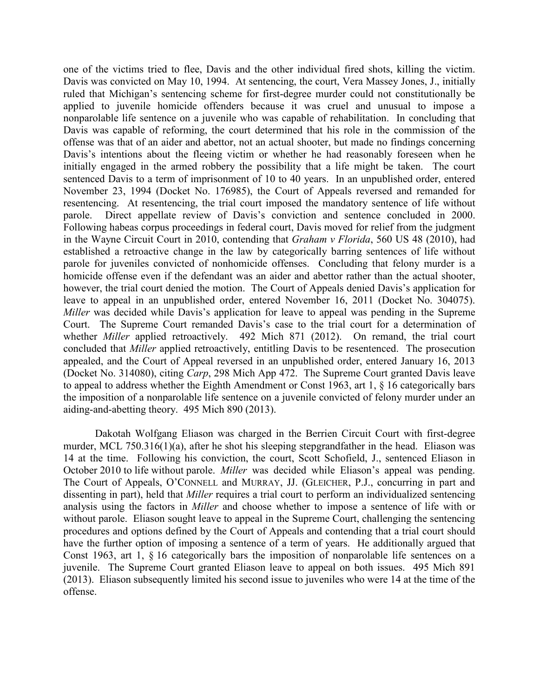one of the victims tried to flee, Davis and the other individual fired shots, killing the victim. Davis was convicted on May 10, 1994. At sentencing, the court, Vera Massey Jones, J., initially ruled that Michigan's sentencing scheme for first-degree murder could not constitutionally be applied to juvenile homicide offenders because it was cruel and unusual to impose a nonparolable life sentence on a juvenile who was capable of rehabilitation. In concluding that Davis was capable of reforming, the court determined that his role in the commission of the offense was that of an aider and abettor, not an actual shooter, but made no findings concerning Davis's intentions about the fleeing victim or whether he had reasonably foreseen when he initially engaged in the armed robbery the possibility that a life might be taken. The court sentenced Davis to a term of imprisonment of 10 to 40 years. In an unpublished order, entered November 23, 1994 (Docket No. 176985), the Court of Appeals reversed and remanded for resentencing. At resentencing, the trial court imposed the mandatory sentence of life without parole. Direct appellate review of Davis's conviction and sentence concluded in 2000. Following habeas corpus proceedings in federal court, Davis moved for relief from the judgment in the Wayne Circuit Court in 2010, contending that *Graham v Florida*, 560 US 48 (2010), had established a retroactive change in the law by categorically barring sentences of life without parole for juveniles convicted of nonhomicide offenses. Concluding that felony murder is a homicide offense even if the defendant was an aider and abettor rather than the actual shooter, however, the trial court denied the motion. The Court of Appeals denied Davis's application for leave to appeal in an unpublished order, entered November 16, 2011 (Docket No. 304075). *Miller* was decided while Davis's application for leave to appeal was pending in the Supreme Court. The Supreme Court remanded Davis's case to the trial court for a determination of whether *Miller* applied retroactively. 492 Mich 871 (2012). On remand, the trial court concluded that *Miller* applied retroactively, entitling Davis to be resentenced. The prosecution appealed, and the Court of Appeal reversed in an unpublished order, entered January 16, 2013 (Docket No. 314080), citing *Carp*, 298 Mich App 472. The Supreme Court granted Davis leave to appeal to address whether the Eighth Amendment or Const 1963, art 1, § 16 categorically bars the imposition of a nonparolable life sentence on a juvenile convicted of felony murder under an aiding-and-abetting theory. 495 Mich 890 (2013).

Dakotah Wolfgang Eliason was charged in the Berrien Circuit Court with first-degree murder, MCL 750.316(1)(a), after he shot his sleeping stepgrandfather in the head. Eliason was 14 at the time. Following his conviction, the court, Scott Schofield, J., sentenced Eliason in October 2010 to life without parole. *Miller* was decided while Eliason's appeal was pending. The Court of Appeals, O'CONNELL and MURRAY, JJ. (GLEICHER, P.J., concurring in part and dissenting in part), held that *Miller* requires a trial court to perform an individualized sentencing analysis using the factors in *Miller* and choose whether to impose a sentence of life with or without parole. Eliason sought leave to appeal in the Supreme Court, challenging the sentencing procedures and options defined by the Court of Appeals and contending that a trial court should have the further option of imposing a sentence of a term of years. He additionally argued that Const 1963, art 1, § 16 categorically bars the imposition of nonparolable life sentences on a juvenile. The Supreme Court granted Eliason leave to appeal on both issues. 495 Mich 891 (2013). Eliason subsequently limited his second issue to juveniles who were 14 at the time of the offense.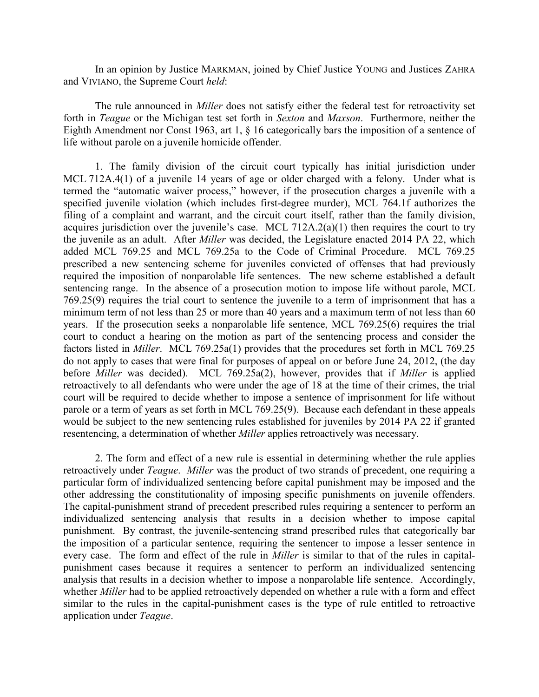In an opinion by Justice MARKMAN, joined by Chief Justice YOUNG and Justices ZAHRA and VIVIANO, the Supreme Court *held*:

The rule announced in *Miller* does not satisfy either the federal test for retroactivity set forth in *Teague* or the Michigan test set forth in *Sexton* and *Maxson*. Furthermore, neither the Eighth Amendment nor Const 1963, art 1, § 16 categorically bars the imposition of a sentence of life without parole on a juvenile homicide offender.

1. The family division of the circuit court typically has initial jurisdiction under MCL 712A.4(1) of a juvenile 14 years of age or older charged with a felony. Under what is termed the "automatic waiver process," however, if the prosecution charges a juvenile with a specified juvenile violation (which includes first-degree murder), MCL 764.1f authorizes the filing of a complaint and warrant, and the circuit court itself, rather than the family division, acquires jurisdiction over the juvenile's case. MCL 712A.2(a)(1) then requires the court to try the juvenile as an adult. After *Miller* was decided, the Legislature enacted 2014 PA 22, which added MCL 769.25 and MCL 769.25a to the Code of Criminal Procedure. MCL 769.25 prescribed a new sentencing scheme for juveniles convicted of offenses that had previously required the imposition of nonparolable life sentences. The new scheme established a default sentencing range. In the absence of a prosecution motion to impose life without parole, MCL 769.25(9) requires the trial court to sentence the juvenile to a term of imprisonment that has a minimum term of not less than 25 or more than 40 years and a maximum term of not less than 60 years. If the prosecution seeks a nonparolable life sentence, MCL 769.25(6) requires the trial court to conduct a hearing on the motion as part of the sentencing process and consider the factors listed in *Miller*. MCL 769.25a(1) provides that the procedures set forth in MCL 769.25 do not apply to cases that were final for purposes of appeal on or before June 24, 2012, (the day before *Miller* was decided). MCL 769.25a(2), however, provides that if *Miller* is applied retroactively to all defendants who were under the age of 18 at the time of their crimes, the trial court will be required to decide whether to impose a sentence of imprisonment for life without parole or a term of years as set forth in MCL 769.25(9). Because each defendant in these appeals would be subject to the new sentencing rules established for juveniles by 2014 PA 22 if granted resentencing, a determination of whether *Miller* applies retroactively was necessary.

2. The form and effect of a new rule is essential in determining whether the rule applies retroactively under *Teague*. *Miller* was the product of two strands of precedent, one requiring a particular form of individualized sentencing before capital punishment may be imposed and the other addressing the constitutionality of imposing specific punishments on juvenile offenders. The capital-punishment strand of precedent prescribed rules requiring a sentencer to perform an individualized sentencing analysis that results in a decision whether to impose capital punishment. By contrast, the juvenile-sentencing strand prescribed rules that categorically bar the imposition of a particular sentence, requiring the sentencer to impose a lesser sentence in every case. The form and effect of the rule in *Miller* is similar to that of the rules in capitalpunishment cases because it requires a sentencer to perform an individualized sentencing analysis that results in a decision whether to impose a nonparolable life sentence. Accordingly, whether *Miller* had to be applied retroactively depended on whether a rule with a form and effect similar to the rules in the capital-punishment cases is the type of rule entitled to retroactive application under *Teague*.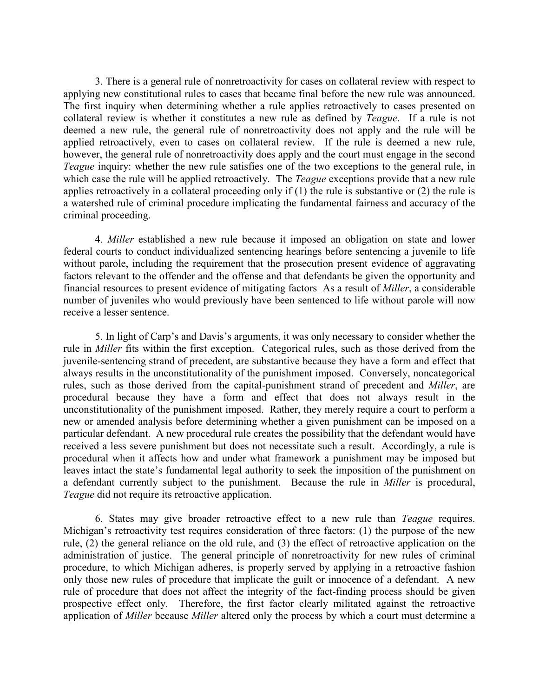3. There is a general rule of nonretroactivity for cases on collateral review with respect to applying new constitutional rules to cases that became final before the new rule was announced. The first inquiry when determining whether a rule applies retroactively to cases presented on collateral review is whether it constitutes a new rule as defined by *Teague*. If a rule is not deemed a new rule, the general rule of nonretroactivity does not apply and the rule will be applied retroactively, even to cases on collateral review. If the rule is deemed a new rule, however, the general rule of nonretroactivity does apply and the court must engage in the second *Teague* inquiry: whether the new rule satisfies one of the two exceptions to the general rule, in which case the rule will be applied retroactively. The *Teague* exceptions provide that a new rule applies retroactively in a collateral proceeding only if (1) the rule is substantive or (2) the rule is a watershed rule of criminal procedure implicating the fundamental fairness and accuracy of the criminal proceeding.

4. *Miller* established a new rule because it imposed an obligation on state and lower federal courts to conduct individualized sentencing hearings before sentencing a juvenile to life without parole, including the requirement that the prosecution present evidence of aggravating factors relevant to the offender and the offense and that defendants be given the opportunity and financial resources to present evidence of mitigating factors As a result of *Miller*, a considerable number of juveniles who would previously have been sentenced to life without parole will now receive a lesser sentence.

5. In light of Carp's and Davis's arguments, it was only necessary to consider whether the rule in *Miller* fits within the first exception. Categorical rules, such as those derived from the juvenile-sentencing strand of precedent, are substantive because they have a form and effect that always results in the unconstitutionality of the punishment imposed. Conversely, noncategorical rules, such as those derived from the capital-punishment strand of precedent and *Miller*, are procedural because they have a form and effect that does not always result in the unconstitutionality of the punishment imposed. Rather, they merely require a court to perform a new or amended analysis before determining whether a given punishment can be imposed on a particular defendant. A new procedural rule creates the possibility that the defendant would have received a less severe punishment but does not necessitate such a result. Accordingly, a rule is procedural when it affects how and under what framework a punishment may be imposed but leaves intact the state's fundamental legal authority to seek the imposition of the punishment on a defendant currently subject to the punishment. Because the rule in *Miller* is procedural, *Teague* did not require its retroactive application.

6. States may give broader retroactive effect to a new rule than *Teague* requires. Michigan's retroactivity test requires consideration of three factors: (1) the purpose of the new rule, (2) the general reliance on the old rule, and (3) the effect of retroactive application on the administration of justice. The general principle of nonretroactivity for new rules of criminal procedure, to which Michigan adheres, is properly served by applying in a retroactive fashion only those new rules of procedure that implicate the guilt or innocence of a defendant. A new rule of procedure that does not affect the integrity of the fact-finding process should be given prospective effect only. Therefore, the first factor clearly militated against the retroactive application of *Miller* because *Miller* altered only the process by which a court must determine a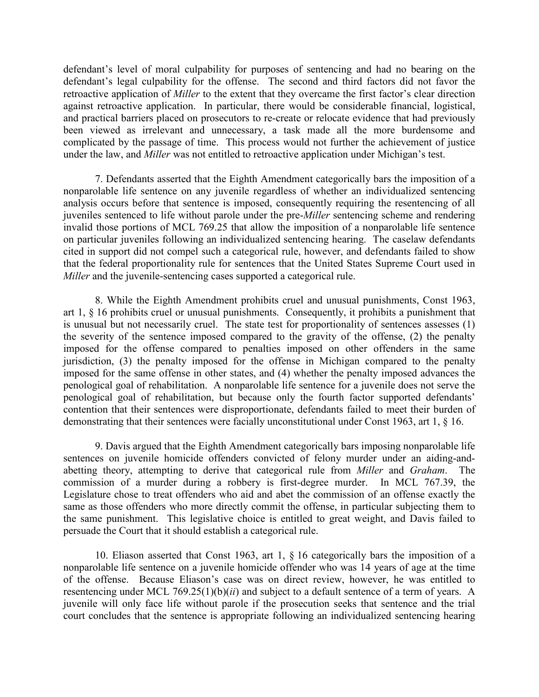defendant's level of moral culpability for purposes of sentencing and had no bearing on the defendant's legal culpability for the offense. The second and third factors did not favor the retroactive application of *Miller* to the extent that they overcame the first factor's clear direction against retroactive application. In particular, there would be considerable financial, logistical, and practical barriers placed on prosecutors to re-create or relocate evidence that had previously been viewed as irrelevant and unnecessary, a task made all the more burdensome and complicated by the passage of time. This process would not further the achievement of justice under the law, and *Miller* was not entitled to retroactive application under Michigan's test.

7. Defendants asserted that the Eighth Amendment categorically bars the imposition of a nonparolable life sentence on any juvenile regardless of whether an individualized sentencing analysis occurs before that sentence is imposed, consequently requiring the resentencing of all juveniles sentenced to life without parole under the pre-*Miller* sentencing scheme and rendering invalid those portions of MCL 769.25 that allow the imposition of a nonparolable life sentence on particular juveniles following an individualized sentencing hearing. The caselaw defendants cited in support did not compel such a categorical rule, however, and defendants failed to show that the federal proportionality rule for sentences that the United States Supreme Court used in *Miller* and the juvenile-sentencing cases supported a categorical rule.

8. While the Eighth Amendment prohibits cruel and unusual punishments, Const 1963, art 1, § 16 prohibits cruel or unusual punishments. Consequently, it prohibits a punishment that is unusual but not necessarily cruel. The state test for proportionality of sentences assesses (1) the severity of the sentence imposed compared to the gravity of the offense, (2) the penalty imposed for the offense compared to penalties imposed on other offenders in the same jurisdiction, (3) the penalty imposed for the offense in Michigan compared to the penalty imposed for the same offense in other states, and (4) whether the penalty imposed advances the penological goal of rehabilitation. A nonparolable life sentence for a juvenile does not serve the penological goal of rehabilitation, but because only the fourth factor supported defendants' contention that their sentences were disproportionate, defendants failed to meet their burden of demonstrating that their sentences were facially unconstitutional under Const 1963, art 1, § 16.

9. Davis argued that the Eighth Amendment categorically bars imposing nonparolable life sentences on juvenile homicide offenders convicted of felony murder under an aiding-andabetting theory, attempting to derive that categorical rule from *Miller* and *Graham*. The commission of a murder during a robbery is first-degree murder. In MCL 767.39, the Legislature chose to treat offenders who aid and abet the commission of an offense exactly the same as those offenders who more directly commit the offense, in particular subjecting them to the same punishment. This legislative choice is entitled to great weight, and Davis failed to persuade the Court that it should establish a categorical rule.

10. Eliason asserted that Const 1963, art 1, § 16 categorically bars the imposition of a nonparolable life sentence on a juvenile homicide offender who was 14 years of age at the time of the offense. Because Eliason's case was on direct review, however, he was entitled to resentencing under MCL 769.25(1)(b)(*ii*) and subject to a default sentence of a term of years. A juvenile will only face life without parole if the prosecution seeks that sentence and the trial court concludes that the sentence is appropriate following an individualized sentencing hearing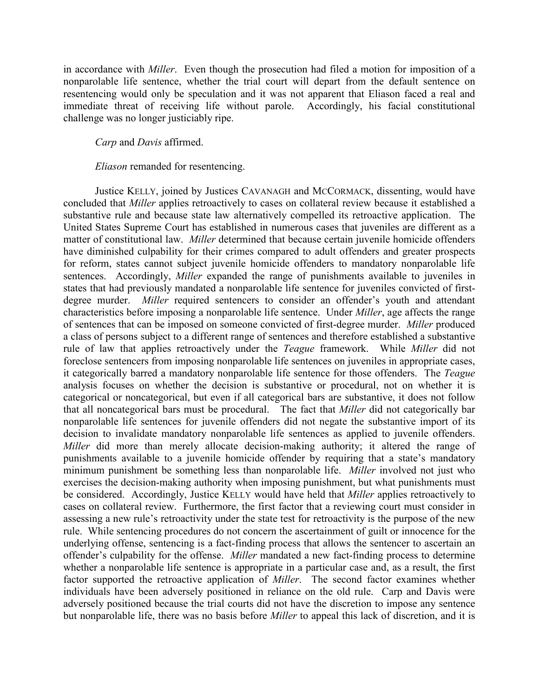in accordance with *Miller*. Even though the prosecution had filed a motion for imposition of a nonparolable life sentence, whether the trial court will depart from the default sentence on resentencing would only be speculation and it was not apparent that Eliason faced a real and immediate threat of receiving life without parole. Accordingly, his facial constitutional challenge was no longer justiciably ripe.

*Carp* and *Davis* affirmed.

*Eliason* remanded for resentencing.

Justice KELLY, joined by Justices CAVANAGH and MCCORMACK, dissenting, would have concluded that *Miller* applies retroactively to cases on collateral review because it established a substantive rule and because state law alternatively compelled its retroactive application. The United States Supreme Court has established in numerous cases that juveniles are different as a matter of constitutional law. *Miller* determined that because certain juvenile homicide offenders have diminished culpability for their crimes compared to adult offenders and greater prospects for reform, states cannot subject juvenile homicide offenders to mandatory nonparolable life sentences. Accordingly, *Miller* expanded the range of punishments available to juveniles in states that had previously mandated a nonparolable life sentence for juveniles convicted of firstdegree murder. *Miller* required sentencers to consider an offender's youth and attendant characteristics before imposing a nonparolable life sentence. Under *Miller*, age affects the range of sentences that can be imposed on someone convicted of first-degree murder. *Miller* produced a class of persons subject to a different range of sentences and therefore established a substantive rule of law that applies retroactively under the *Teague* framework. While *Miller* did not foreclose sentencers from imposing nonparolable life sentences on juveniles in appropriate cases, it categorically barred a mandatory nonparolable life sentence for those offenders. The *Teague* analysis focuses on whether the decision is substantive or procedural, not on whether it is categorical or noncategorical, but even if all categorical bars are substantive, it does not follow that all noncategorical bars must be procedural. The fact that *Miller* did not categorically bar nonparolable life sentences for juvenile offenders did not negate the substantive import of its decision to invalidate mandatory nonparolable life sentences as applied to juvenile offenders. *Miller* did more than merely allocate decision-making authority; it altered the range of punishments available to a juvenile homicide offender by requiring that a state's mandatory minimum punishment be something less than nonparolable life. *Miller* involved not just who exercises the decision-making authority when imposing punishment, but what punishments must be considered. Accordingly, Justice KELLY would have held that *Miller* applies retroactively to cases on collateral review. Furthermore, the first factor that a reviewing court must consider in assessing a new rule's retroactivity under the state test for retroactivity is the purpose of the new rule. While sentencing procedures do not concern the ascertainment of guilt or innocence for the underlying offense, sentencing is a fact-finding process that allows the sentencer to ascertain an offender's culpability for the offense. *Miller* mandated a new fact-finding process to determine whether a nonparolable life sentence is appropriate in a particular case and, as a result, the first factor supported the retroactive application of *Miller*. The second factor examines whether individuals have been adversely positioned in reliance on the old rule. Carp and Davis were adversely positioned because the trial courts did not have the discretion to impose any sentence but nonparolable life, there was no basis before *Miller* to appeal this lack of discretion, and it is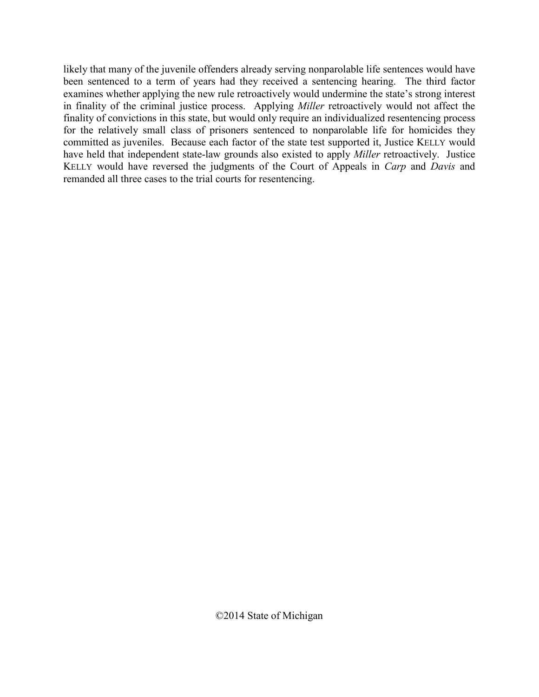likely that many of the juvenile offenders already serving nonparolable life sentences would have been sentenced to a term of years had they received a sentencing hearing. The third factor examines whether applying the new rule retroactively would undermine the state's strong interest in finality of the criminal justice process. Applying *Miller* retroactively would not affect the finality of convictions in this state, but would only require an individualized resentencing process for the relatively small class of prisoners sentenced to nonparolable life for homicides they committed as juveniles. Because each factor of the state test supported it, Justice KELLY would have held that independent state-law grounds also existed to apply *Miller* retroactively. Justice KELLY would have reversed the judgments of the Court of Appeals in *Carp* and *Davis* and remanded all three cases to the trial courts for resentencing.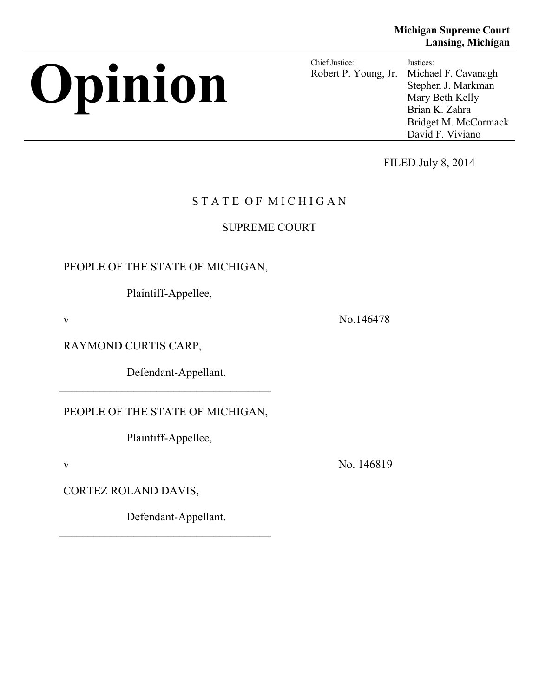# **Opinion** Chief Justice:

Robert P. Young, Jr. Justices: Michael F. Cavanagh Stephen J. Markman Mary Beth Kelly Brian K. Zahra Bridget M. McCormack David F. Viviano

FILED July 8, 2014

# STATE OF MICHIGAN

## SUPREME COURT

PEOPLE OF THE STATE OF MICHIGAN,

Plaintiff-Appellee,

v No.146478

RAYMOND CURTIS CARP,

Defendant-Appellant.

PEOPLE OF THE STATE OF MICHIGAN,

\_\_\_\_\_\_\_\_\_\_\_\_\_\_\_\_\_\_\_\_\_\_\_\_\_\_\_\_\_\_\_\_\_\_\_\_\_

Plaintiff-Appellee,

v No. 146819

CORTEZ ROLAND DAVIS,

Defendant-Appellant.

\_\_\_\_\_\_\_\_\_\_\_\_\_\_\_\_\_\_\_\_\_\_\_\_\_\_\_\_\_\_\_\_\_\_\_\_\_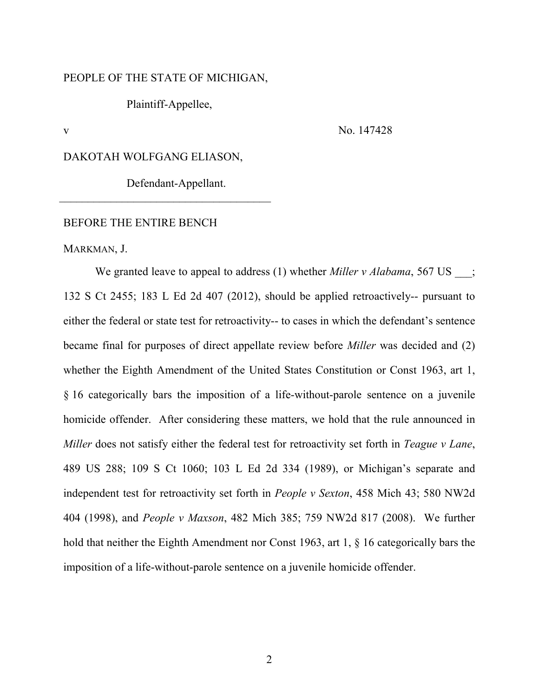## PEOPLE OF THE STATE OF MICHIGAN,

Plaintiff-Appellee,

v No. 147428

## DAKOTAH WOLFGANG ELIASON,

Defendant-Appellant.

\_\_\_\_\_\_\_\_\_\_\_\_\_\_\_\_\_\_\_\_\_\_\_\_\_\_\_\_\_\_\_\_\_\_\_\_\_

## BEFORE THE ENTIRE BENCH

MARKMAN, J.

We granted leave to appeal to address (1) whether *Miller v Alabama*, 567 US  $\qquad$ ; 132 S Ct 2455; 183 L Ed 2d 407 (2012), should be applied retroactively-- pursuant to either the federal or state test for retroactivity-- to cases in which the defendant's sentence became final for purposes of direct appellate review before *Miller* was decided and (2) whether the Eighth Amendment of the United States Constitution or Const 1963, art 1, § 16 categorically bars the imposition of a life-without-parole sentence on a juvenile homicide offender. After considering these matters, we hold that the rule announced in *Miller* does not satisfy either the federal test for retroactivity set forth in *Teague v Lane*, 489 US 288; 109 S Ct 1060; 103 L Ed 2d 334 (1989), or Michigan's separate and independent test for retroactivity set forth in *People v Sexton*, 458 Mich 43; 580 NW2d 404 (1998), and *People v Maxson*, 482 Mich 385; 759 NW2d 817 (2008). We further hold that neither the Eighth Amendment nor Const 1963, art 1, § 16 categorically bars the imposition of a life-without-parole sentence on a juvenile homicide offender.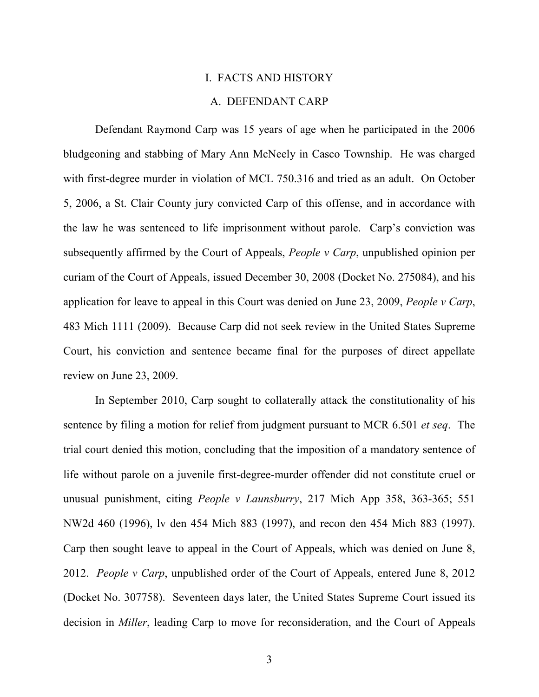## I. FACTS AND HISTORY

## A. DEFENDANT CARP

Defendant Raymond Carp was 15 years of age when he participated in the 2006 bludgeoning and stabbing of Mary Ann McNeely in Casco Township. He was charged with first-degree murder in violation of MCL 750.316 and tried as an adult. On October 5, 2006, a St. Clair County jury convicted Carp of this offense, and in accordance with the law he was sentenced to life imprisonment without parole. Carp's conviction was subsequently affirmed by the Court of Appeals, *People v Carp*, unpublished opinion per curiam of the Court of Appeals, issued December 30, 2008 (Docket No. 275084), and his application for leave to appeal in this Court was denied on June 23, 2009, *People v Carp*, 483 Mich 1111 (2009). Because Carp did not seek review in the United States Supreme Court, his conviction and sentence became final for the purposes of direct appellate review on June 23, 2009.

In September 2010, Carp sought to collaterally attack the constitutionality of his sentence by filing a motion for relief from judgment pursuant to MCR 6.501 *et seq*. The trial court denied this motion, concluding that the imposition of a mandatory sentence of life without parole on a juvenile first-degree-murder offender did not constitute cruel or unusual punishment, citing *People v Launsburry*, 217 Mich App 358, 363-365; 551 NW2d 460 (1996), lv den 454 Mich 883 (1997), and recon den 454 Mich 883 (1997). Carp then sought leave to appeal in the Court of Appeals, which was denied on June 8, 2012. *People v Carp*, unpublished order of the Court of Appeals, entered June 8, 2012 (Docket No. 307758). Seventeen days later, the United States Supreme Court issued its decision in *Miller*, leading Carp to move for reconsideration, and the Court of Appeals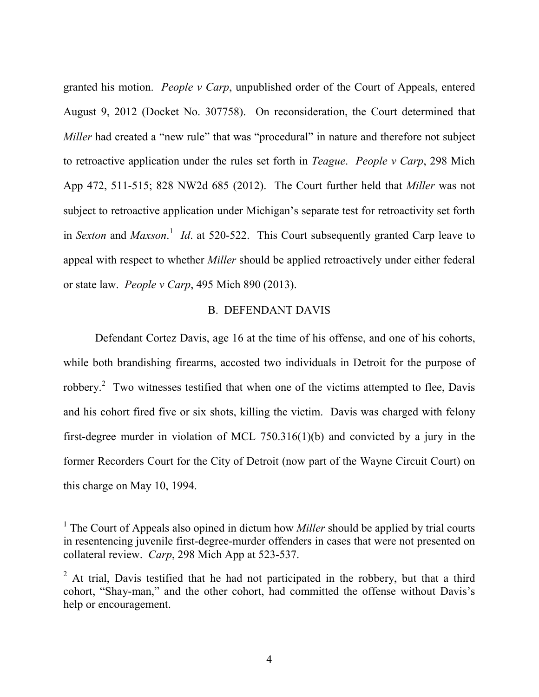granted his motion. *People v Carp*, unpublished order of the Court of Appeals, entered August 9, 2012 (Docket No. 307758). On reconsideration, the Court determined that *Miller* had created a "new rule" that was "procedural" in nature and therefore not subject to retroactive application under the rules set forth in *Teague*. *People v Carp*, 298 Mich App 472, 511-515; 828 NW2d 685 (2012). The Court further held that *Miller* was not subject to retroactive application under Michigan's separate test for retroactivity set forth in *Sexton* and *Maxson*. 1 *Id*. at 520-522. This Court subsequently granted Carp leave to appeal with respect to whether *Miller* should be applied retroactively under either federal or state law. *People v Carp*, 495 Mich 890 (2013).

## B. DEFENDANT DAVIS

Defendant Cortez Davis, age 16 at the time of his offense, and one of his cohorts, while both brandishing firearms, accosted two individuals in Detroit for the purpose of robbery.<sup>2</sup> Two witnesses testified that when one of the victims attempted to flee, Davis and his cohort fired five or six shots, killing the victim. Davis was charged with felony first-degree murder in violation of MCL 750.316(1)(b) and convicted by a jury in the former Recorders Court for the City of Detroit (now part of the Wayne Circuit Court) on this charge on May 10, 1994.

 <sup>1</sup> The Court of Appeals also opined in dictum how *Miller* should be applied by trial courts in resentencing juvenile first-degree-murder offenders in cases that were not presented on collateral review. *Carp*, 298 Mich App at 523-537.

 $2$  At trial. Davis testified that he had not participated in the robbery, but that a third cohort, "Shay-man," and the other cohort, had committed the offense without Davis's help or encouragement.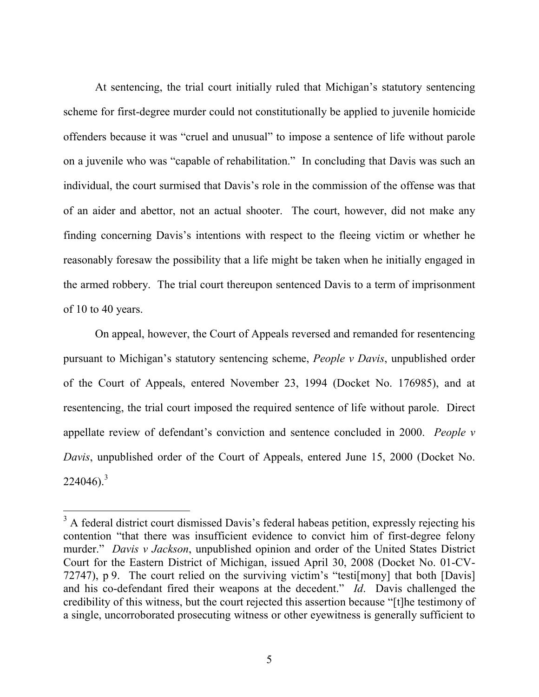At sentencing, the trial court initially ruled that Michigan's statutory sentencing scheme for first-degree murder could not constitutionally be applied to juvenile homicide offenders because it was "cruel and unusual" to impose a sentence of life without parole on a juvenile who was "capable of rehabilitation." In concluding that Davis was such an individual, the court surmised that Davis's role in the commission of the offense was that of an aider and abettor, not an actual shooter. The court, however, did not make any finding concerning Davis's intentions with respect to the fleeing victim or whether he reasonably foresaw the possibility that a life might be taken when he initially engaged in the armed robbery. The trial court thereupon sentenced Davis to a term of imprisonment of 10 to 40 years.

On appeal, however, the Court of Appeals reversed and remanded for resentencing pursuant to Michigan's statutory sentencing scheme, *People v Davis*, unpublished order of the Court of Appeals, entered November 23, 1994 (Docket No. 176985), and at resentencing, the trial court imposed the required sentence of life without parole. Direct appellate review of defendant's conviction and sentence concluded in 2000. *People v Davis*, unpublished order of the Court of Appeals, entered June 15, 2000 (Docket No.  $224046$ .<sup>3</sup>

<sup>&</sup>lt;sup>3</sup> A federal district court dismissed Davis's federal habeas petition, expressly rejecting his contention "that there was insufficient evidence to convict him of first-degree felony murder." *Davis v Jackson*, unpublished opinion and order of the United States District Court for the Eastern District of Michigan, issued April 30, 2008 (Docket No. 01-CV-72747), p 9. The court relied on the surviving victim's "testi[mony] that both [Davis] and his co-defendant fired their weapons at the decedent." *Id*. Davis challenged the credibility of this witness, but the court rejected this assertion because "[t]he testimony of a single, uncorroborated prosecuting witness or other eyewitness is generally sufficient to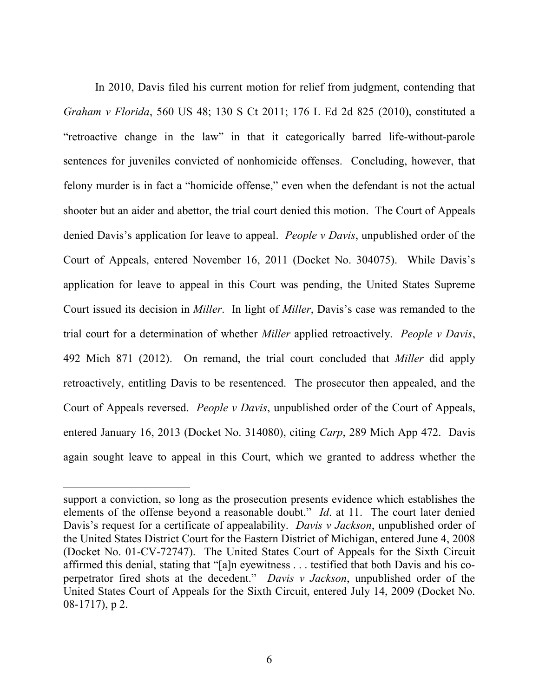In 2010, Davis filed his current motion for relief from judgment, contending that *Graham v Florida*, 560 US 48; 130 S Ct 2011; 176 L Ed 2d 825 (2010), constituted a "retroactive change in the law" in that it categorically barred life-without-parole sentences for juveniles convicted of nonhomicide offenses. Concluding, however, that felony murder is in fact a "homicide offense," even when the defendant is not the actual shooter but an aider and abettor, the trial court denied this motion. The Court of Appeals denied Davis's application for leave to appeal. *People v Davis*, unpublished order of the Court of Appeals, entered November 16, 2011 (Docket No. 304075). While Davis's application for leave to appeal in this Court was pending, the United States Supreme Court issued its decision in *Miller*. In light of *Miller*, Davis's case was remanded to the trial court for a determination of whether *Miller* applied retroactively. *People v Davis*, 492 Mich 871 (2012). On remand, the trial court concluded that *Miller* did apply retroactively, entitling Davis to be resentenced. The prosecutor then appealed, and the Court of Appeals reversed. *People v Davis*, unpublished order of the Court of Appeals, entered January 16, 2013 (Docket No. 314080), citing *Carp*, 289 Mich App 472. Davis again sought leave to appeal in this Court, which we granted to address whether the

 $\overline{a}$ 

support a conviction, so long as the prosecution presents evidence which establishes the elements of the offense beyond a reasonable doubt." *Id*. at 11. The court later denied Davis's request for a certificate of appealability. *Davis v Jackson*, unpublished order of the United States District Court for the Eastern District of Michigan, entered June 4, 2008 (Docket No. 01-CV-72747). The United States Court of Appeals for the Sixth Circuit affirmed this denial, stating that "[a]n eyewitness . . . testified that both Davis and his coperpetrator fired shots at the decedent." *Davis v Jackson*, unpublished order of the United States Court of Appeals for the Sixth Circuit, entered July 14, 2009 (Docket No. 08-1717), p 2.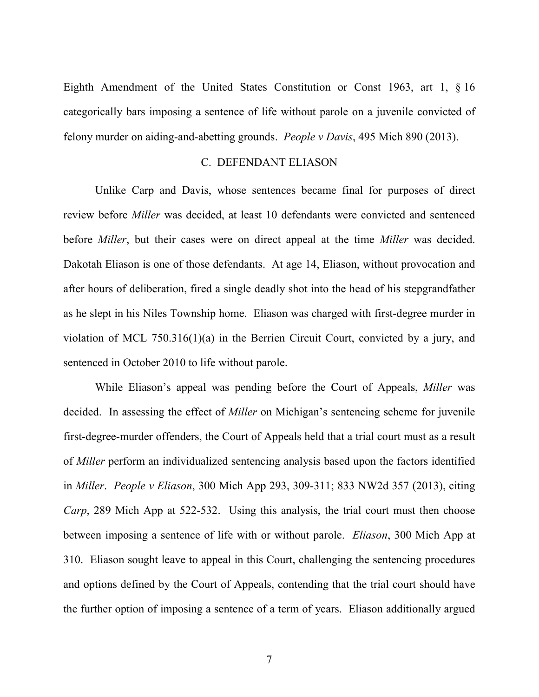Eighth Amendment of the United States Constitution or Const 1963, art 1, § 16 categorically bars imposing a sentence of life without parole on a juvenile convicted of felony murder on aiding-and-abetting grounds. *People v Davis*, 495 Mich 890 (2013).

## C. DEFENDANT ELIASON

Unlike Carp and Davis, whose sentences became final for purposes of direct review before *Miller* was decided, at least 10 defendants were convicted and sentenced before *Miller*, but their cases were on direct appeal at the time *Miller* was decided. Dakotah Eliason is one of those defendants. At age 14, Eliason, without provocation and after hours of deliberation, fired a single deadly shot into the head of his stepgrandfather as he slept in his Niles Township home. Eliason was charged with first-degree murder in violation of MCL 750.316(1)(a) in the Berrien Circuit Court, convicted by a jury, and sentenced in October 2010 to life without parole.

While Eliason's appeal was pending before the Court of Appeals, *Miller* was decided. In assessing the effect of *Miller* on Michigan's sentencing scheme for juvenile first-degree-murder offenders, the Court of Appeals held that a trial court must as a result of *Miller* perform an individualized sentencing analysis based upon the factors identified in *Miller*. *People v Eliason*, 300 Mich App 293, 309-311; 833 NW2d 357 (2013), citing *Carp*, 289 Mich App at 522-532. Using this analysis, the trial court must then choose between imposing a sentence of life with or without parole. *Eliason*, 300 Mich App at 310. Eliason sought leave to appeal in this Court, challenging the sentencing procedures and options defined by the Court of Appeals, contending that the trial court should have the further option of imposing a sentence of a term of years. Eliason additionally argued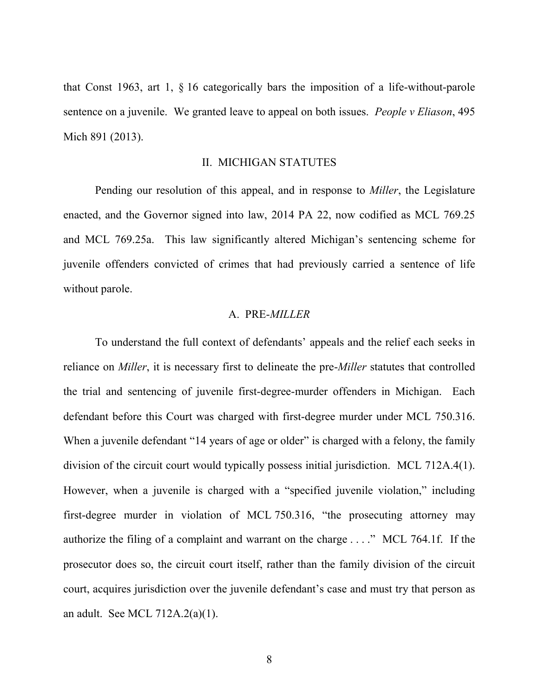that Const 1963, art 1, § 16 categorically bars the imposition of a life-without-parole sentence on a juvenile. We granted leave to appeal on both issues. *People v Eliason*, 495 Mich 891 (2013).

## II. MICHIGAN STATUTES

Pending our resolution of this appeal, and in response to *Miller*, the Legislature enacted, and the Governor signed into law, 2014 PA 22, now codified as MCL 769.25 and MCL 769.25a. This law significantly altered Michigan's sentencing scheme for juvenile offenders convicted of crimes that had previously carried a sentence of life without parole.

## A. PRE-*MILLER*

To understand the full context of defendants' appeals and the relief each seeks in reliance on *Miller*, it is necessary first to delineate the pre-*Miller* statutes that controlled the trial and sentencing of juvenile first-degree-murder offenders in Michigan. Each defendant before this Court was charged with first-degree murder under MCL 750.316. When a juvenile defendant "14 years of age or older" is charged with a felony, the family division of the circuit court would typically possess initial jurisdiction. MCL 712A.4(1). However, when a juvenile is charged with a "specified juvenile violation," including first-degree murder in violation of MCL 750.316, "the prosecuting attorney may authorize the filing of a complaint and warrant on the charge . . . ." MCL 764.1f. If the prosecutor does so, the circuit court itself, rather than the family division of the circuit court, acquires jurisdiction over the juvenile defendant's case and must try that person as an adult. See MCL 712A.2(a)(1).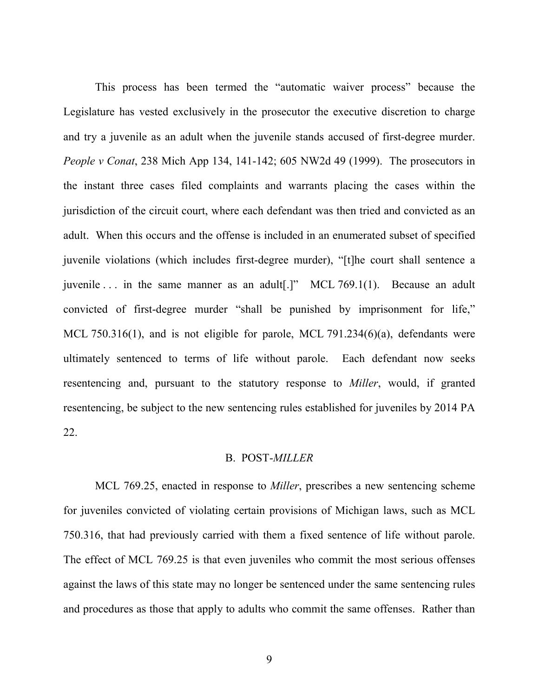This process has been termed the "automatic waiver process" because the Legislature has vested exclusively in the prosecutor the executive discretion to charge and try a juvenile as an adult when the juvenile stands accused of first-degree murder. *People v Conat*, 238 Mich App 134, 141-142; 605 NW2d 49 (1999). The prosecutors in the instant three cases filed complaints and warrants placing the cases within the jurisdiction of the circuit court, where each defendant was then tried and convicted as an adult. When this occurs and the offense is included in an enumerated subset of specified juvenile violations (which includes first-degree murder), "[t]he court shall sentence a juvenile  $\ldots$  in the same manner as an adult[.]" MCL 769.1(1). Because an adult convicted of first-degree murder "shall be punished by imprisonment for life," MCL 750.316(1), and is not eligible for parole, MCL 791.234(6)(a), defendants were ultimately sentenced to terms of life without parole. Each defendant now seeks resentencing and, pursuant to the statutory response to *Miller*, would, if granted resentencing, be subject to the new sentencing rules established for juveniles by 2014 PA 22.

#### B. POST-*MILLER*

MCL 769.25, enacted in response to *Miller*, prescribes a new sentencing scheme for juveniles convicted of violating certain provisions of Michigan laws, such as MCL 750.316, that had previously carried with them a fixed sentence of life without parole. The effect of MCL 769.25 is that even juveniles who commit the most serious offenses against the laws of this state may no longer be sentenced under the same sentencing rules and procedures as those that apply to adults who commit the same offenses. Rather than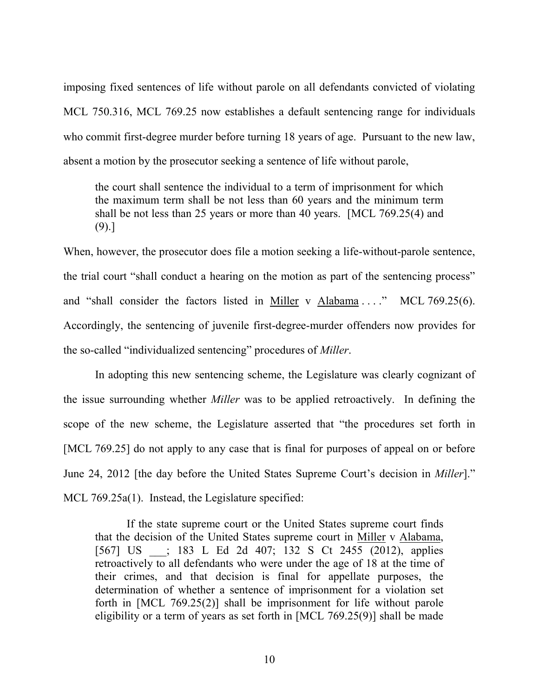imposing fixed sentences of life without parole on all defendants convicted of violating MCL 750.316, MCL 769.25 now establishes a default sentencing range for individuals who commit first-degree murder before turning 18 years of age. Pursuant to the new law, absent a motion by the prosecutor seeking a sentence of life without parole,

the court shall sentence the individual to a term of imprisonment for which the maximum term shall be not less than 60 years and the minimum term shall be not less than 25 years or more than 40 years. [MCL 769.25(4) and (9).]

When, however, the prosecutor does file a motion seeking a life-without-parole sentence, the trial court "shall conduct a hearing on the motion as part of the sentencing process" and "shall consider the factors listed in Miller v Alabama ...." MCL 769.25(6). Accordingly, the sentencing of juvenile first-degree-murder offenders now provides for the so-called "individualized sentencing" procedures of *Miller*.

In adopting this new sentencing scheme, the Legislature was clearly cognizant of the issue surrounding whether *Miller* was to be applied retroactively. In defining the scope of the new scheme, the Legislature asserted that "the procedures set forth in [MCL 769.25] do not apply to any case that is final for purposes of appeal on or before June 24, 2012 [the day before the United States Supreme Court's decision in *Miller*]." MCL 769.25a(1). Instead, the Legislature specified:

If the state supreme court or the United States supreme court finds that the decision of the United States supreme court in Miller v Alabama, [567] US \_\_\_; 183 L Ed 2d 407; 132 S Ct 2455 (2012), applies retroactively to all defendants who were under the age of 18 at the time of their crimes, and that decision is final for appellate purposes, the determination of whether a sentence of imprisonment for a violation set forth in [MCL 769.25(2)] shall be imprisonment for life without parole eligibility or a term of years as set forth in [MCL 769.25(9)] shall be made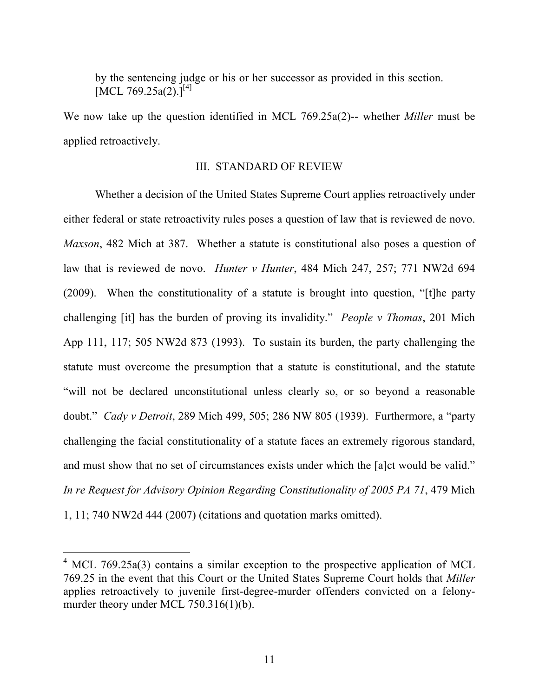by the sentencing judge or his or her successor as provided in this section.  $[MCL 769.25a(2).]^{[4]}$ 

We now take up the question identified in MCL 769.25a(2)-- whether *Miller* must be applied retroactively.

## III. STANDARD OF REVIEW

Whether a decision of the United States Supreme Court applies retroactively under either federal or state retroactivity rules poses a question of law that is reviewed de novo. *Maxson*, 482 Mich at 387. Whether a statute is constitutional also poses a question of law that is reviewed de novo. *Hunter v Hunter*, 484 Mich 247, 257; 771 NW2d 694 (2009). When the constitutionality of a statute is brought into question, "[t]he party challenging [it] has the burden of proving its invalidity." *People v Thomas*, 201 Mich App 111, 117; 505 NW2d 873 (1993). To sustain its burden, the party challenging the statute must overcome the presumption that a statute is constitutional, and the statute "will not be declared unconstitutional unless clearly so, or so beyond a reasonable doubt." *Cady v Detroit*, 289 Mich 499, 505; 286 NW 805 (1939). Furthermore, a "party challenging the facial constitutionality of a statute faces an extremely rigorous standard, and must show that no set of circumstances exists under which the [a]ct would be valid." *In re Request for Advisory Opinion Regarding Constitutionality of 2005 PA 71*, 479 Mich 1, 11; 740 NW2d 444 (2007) (citations and quotation marks omitted).

 $4$  MCL 769.25a(3) contains a similar exception to the prospective application of MCL 769.25 in the event that this Court or the United States Supreme Court holds that *Miller* applies retroactively to juvenile first-degree-murder offenders convicted on a felonymurder theory under MCL 750.316(1)(b).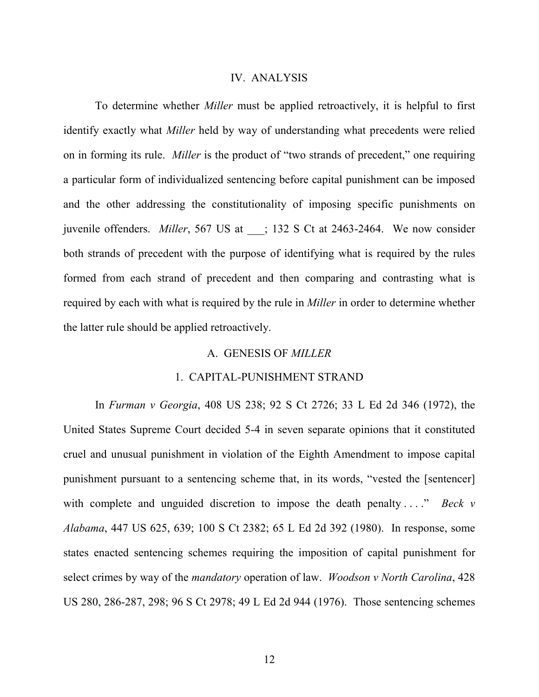## IV. ANALYSIS

To determine whether *Miller* must be applied retroactively, it is helpful to first identify exactly what *Miller* held by way of understanding what precedents were relied on in forming its rule. *Miller* is the product of "two strands of precedent," one requiring a particular form of individualized sentencing before capital punishment can be imposed and the other addressing the constitutionality of imposing specific punishments on juvenile offenders. *Miller*, 567 US at \_\_\_; 132 S Ct at 2463-2464. We now consider both strands of precedent with the purpose of identifying what is required by the rules formed from each strand of precedent and then comparing and contrasting what is required by each with what is required by the rule in *Miller* in order to determine whether the latter rule should be applied retroactively.

## A. GENESIS OF *MILLER*

## 1. CAPITAL-PUNISHMENT STRAND

In *Furman v Georgia*, 408 US 238; 92 S Ct 2726; 33 L Ed 2d 346 (1972), the United States Supreme Court decided 5-4 in seven separate opinions that it constituted cruel and unusual punishment in violation of the Eighth Amendment to impose capital punishment pursuant to a sentencing scheme that, in its words, "vested the [sentencer] with complete and unguided discretion to impose the death penalty . . . . *Beck v Alabama*, 447 US 625, 639; 100 S Ct 2382; 65 L Ed 2d 392 (1980). In response, some states enacted sentencing schemes requiring the imposition of capital punishment for select crimes by way of the *mandatory* operation of law. *Woodson v North Carolina*, 428 US 280, 286-287, 298; 96 S Ct 2978; 49 L Ed 2d 944 (1976). Those sentencing schemes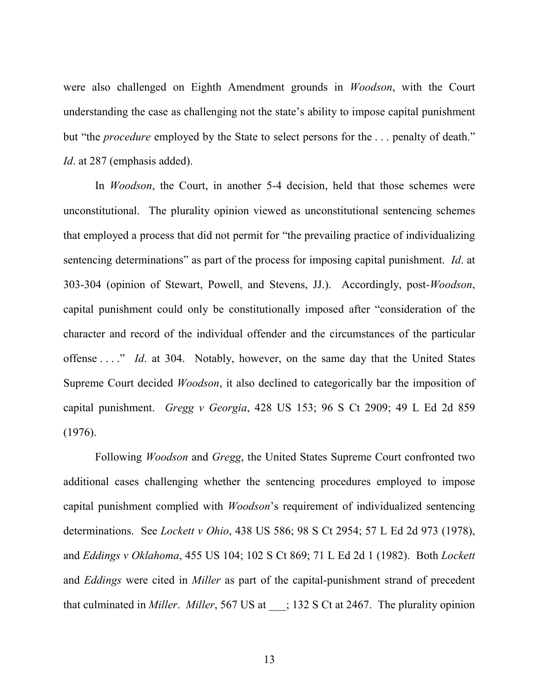were also challenged on Eighth Amendment grounds in *Woodson*, with the Court understanding the case as challenging not the state's ability to impose capital punishment but "the *procedure* employed by the State to select persons for the . . . penalty of death." *Id*. at 287 (emphasis added).

In *Woodson*, the Court, in another 5-4 decision, held that those schemes were unconstitutional. The plurality opinion viewed as unconstitutional sentencing schemes that employed a process that did not permit for "the prevailing practice of individualizing sentencing determinations" as part of the process for imposing capital punishment. *Id*. at 303-304 (opinion of Stewart, Powell, and Stevens, JJ.). Accordingly, post-*Woodson*, capital punishment could only be constitutionally imposed after "consideration of the character and record of the individual offender and the circumstances of the particular offense . . . ." *Id*. at 304. Notably, however, on the same day that the United States Supreme Court decided *Woodson*, it also declined to categorically bar the imposition of capital punishment. *Gregg v Georgia*, 428 US 153; 96 S Ct 2909; 49 L Ed 2d 859 (1976).

Following *Woodson* and *Gregg*, the United States Supreme Court confronted two additional cases challenging whether the sentencing procedures employed to impose capital punishment complied with *Woodson*'s requirement of individualized sentencing determinations. See *Lockett v Ohio*, 438 US 586; 98 S Ct 2954; 57 L Ed 2d 973 (1978), and *Eddings v Oklahoma*, 455 US 104; 102 S Ct 869; 71 L Ed 2d 1 (1982). Both *Lockett*  and *Eddings* were cited in *Miller* as part of the capital-punishment strand of precedent that culminated in *Miller*. *Miller*, 567 US at \_\_\_; 132 S Ct at 2467. The plurality opinion

13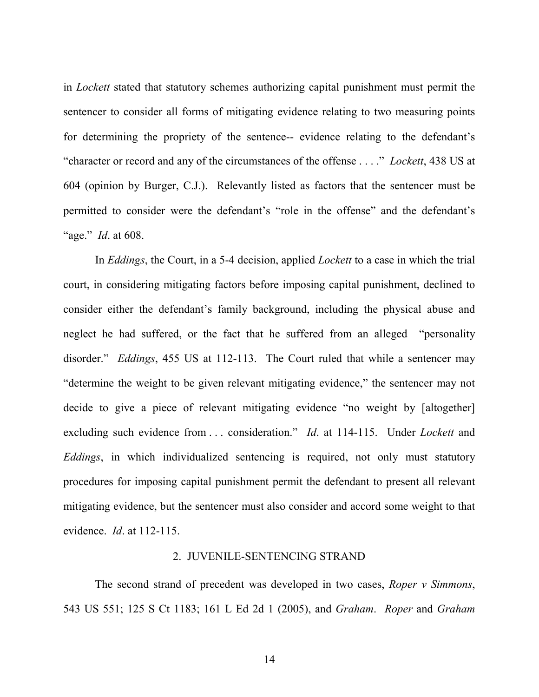in *Lockett* stated that statutory schemes authorizing capital punishment must permit the sentencer to consider all forms of mitigating evidence relating to two measuring points for determining the propriety of the sentence-- evidence relating to the defendant's "character or record and any of the circumstances of the offense . . . ." *Lockett*, 438 US at 604 (opinion by Burger, C.J.). Relevantly listed as factors that the sentencer must be permitted to consider were the defendant's "role in the offense" and the defendant's "age." *Id*. at 608.

In *Eddings*, the Court, in a 5-4 decision, applied *Lockett* to a case in which the trial court, in considering mitigating factors before imposing capital punishment, declined to consider either the defendant's family background, including the physical abuse and neglect he had suffered, or the fact that he suffered from an alleged "personality disorder." *Eddings*, 455 US at 112-113. The Court ruled that while a sentencer may "determine the weight to be given relevant mitigating evidence," the sentencer may not decide to give a piece of relevant mitigating evidence "no weight by [altogether] excluding such evidence from . . . consideration." *Id*. at 114-115. Under *Lockett* and *Eddings*, in which individualized sentencing is required, not only must statutory procedures for imposing capital punishment permit the defendant to present all relevant mitigating evidence, but the sentencer must also consider and accord some weight to that evidence. *Id*. at 112-115.

## 2. JUVENILE-SENTENCING STRAND

The second strand of precedent was developed in two cases, *Roper v Simmons*, 543 US 551; 125 S Ct 1183; 161 L Ed 2d 1 (2005), and *Graham*. *Roper* and *Graham* 

14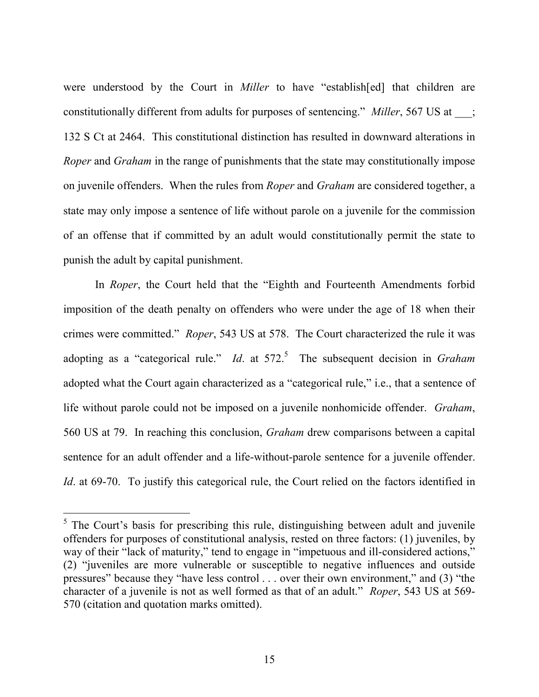were understood by the Court in *Miller* to have "establish[ed] that children are constitutionally different from adults for purposes of sentencing." *Miller*, 567 US at 132 S Ct at 2464. This constitutional distinction has resulted in downward alterations in *Roper* and *Graham* in the range of punishments that the state may constitutionally impose on juvenile offenders. When the rules from *Roper* and *Graham* are considered together, a state may only impose a sentence of life without parole on a juvenile for the commission of an offense that if committed by an adult would constitutionally permit the state to punish the adult by capital punishment.

In *Roper*, the Court held that the "Eighth and Fourteenth Amendments forbid imposition of the death penalty on offenders who were under the age of 18 when their crimes were committed." *Roper*, 543 US at 578. The Court characterized the rule it was adopting as a "categorical rule." *Id.* at 572.<sup>5</sup> The subsequent decision in *Graham* adopted what the Court again characterized as a "categorical rule," i.e., that a sentence of life without parole could not be imposed on a juvenile nonhomicide offender. *Graham*, 560 US at 79. In reaching this conclusion, *Graham* drew comparisons between a capital sentence for an adult offender and a life-without-parole sentence for a juvenile offender. *Id.* at 69-70. To justify this categorical rule, the Court relied on the factors identified in

 $<sup>5</sup>$  The Court's basis for prescribing this rule, distinguishing between adult and juvenile</sup> offenders for purposes of constitutional analysis, rested on three factors: (1) juveniles, by way of their "lack of maturity," tend to engage in "impetuous and ill-considered actions," (2) "juveniles are more vulnerable or susceptible to negative influences and outside pressures" because they "have less control . . . over their own environment," and (3) "the character of a juvenile is not as well formed as that of an adult." *Roper*, 543 US at 569- 570 (citation and quotation marks omitted).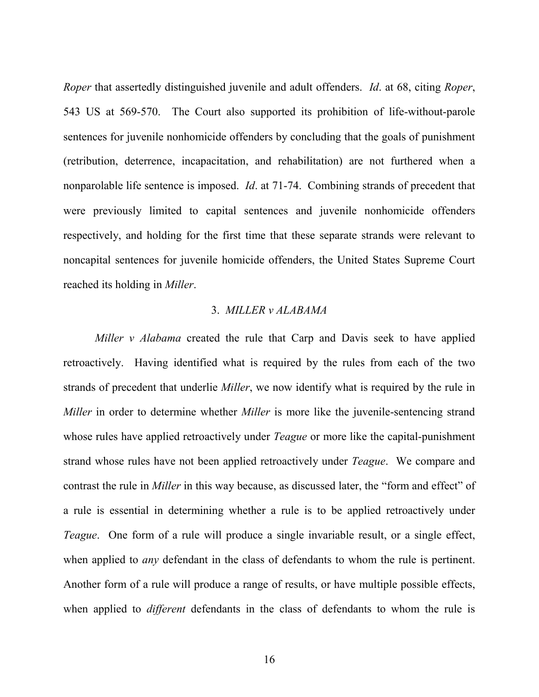*Roper* that assertedly distinguished juvenile and adult offenders. *Id*. at 68, citing *Roper*, 543 US at 569-570. The Court also supported its prohibition of life-without-parole sentences for juvenile nonhomicide offenders by concluding that the goals of punishment (retribution, deterrence, incapacitation, and rehabilitation) are not furthered when a nonparolable life sentence is imposed. *Id*. at 71-74. Combining strands of precedent that were previously limited to capital sentences and juvenile nonhomicide offenders respectively, and holding for the first time that these separate strands were relevant to noncapital sentences for juvenile homicide offenders, the United States Supreme Court reached its holding in *Miller*.

#### 3. *MILLER v ALABAMA*

*Miller v Alabama* created the rule that Carp and Davis seek to have applied retroactively. Having identified what is required by the rules from each of the two strands of precedent that underlie *Miller*, we now identify what is required by the rule in *Miller* in order to determine whether *Miller* is more like the juvenile-sentencing strand whose rules have applied retroactively under *Teague* or more like the capital-punishment strand whose rules have not been applied retroactively under *Teague*. We compare and contrast the rule in *Miller* in this way because, as discussed later, the "form and effect" of a rule is essential in determining whether a rule is to be applied retroactively under *Teague*. One form of a rule will produce a single invariable result, or a single effect, when applied to *any* defendant in the class of defendants to whom the rule is pertinent. Another form of a rule will produce a range of results, or have multiple possible effects, when applied to *different* defendants in the class of defendants to whom the rule is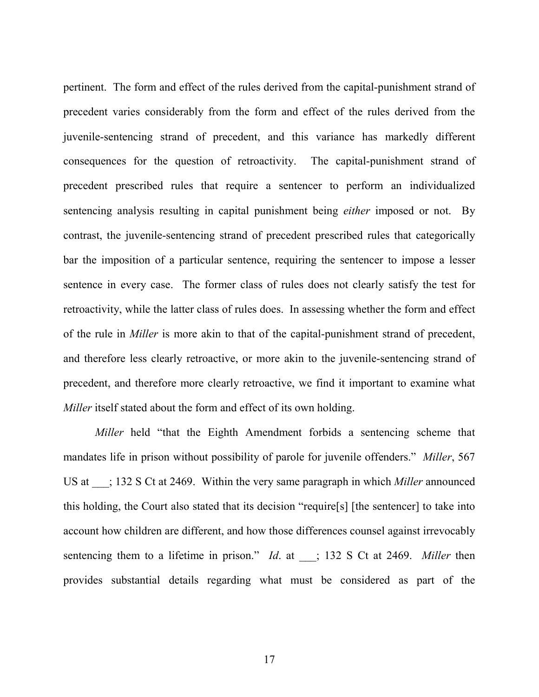pertinent. The form and effect of the rules derived from the capital-punishment strand of precedent varies considerably from the form and effect of the rules derived from the juvenile-sentencing strand of precedent, and this variance has markedly different consequences for the question of retroactivity. The capital-punishment strand of precedent prescribed rules that require a sentencer to perform an individualized sentencing analysis resulting in capital punishment being *either* imposed or not. By contrast, the juvenile-sentencing strand of precedent prescribed rules that categorically bar the imposition of a particular sentence, requiring the sentencer to impose a lesser sentence in every case. The former class of rules does not clearly satisfy the test for retroactivity, while the latter class of rules does. In assessing whether the form and effect of the rule in *Miller* is more akin to that of the capital-punishment strand of precedent, and therefore less clearly retroactive, or more akin to the juvenile-sentencing strand of precedent, and therefore more clearly retroactive, we find it important to examine what *Miller* itself stated about the form and effect of its own holding.

*Miller* held "that the Eighth Amendment forbids a sentencing scheme that mandates life in prison without possibility of parole for juvenile offenders." *Miller*, 567 US at \_\_\_; 132 S Ct at 2469. Within the very same paragraph in which *Miller* announced this holding, the Court also stated that its decision "require[s] [the sentencer] to take into account how children are different, and how those differences counsel against irrevocably sentencing them to a lifetime in prison." *Id*. at \_\_\_; 132 S Ct at 2469. *Miller* then provides substantial details regarding what must be considered as part of the

17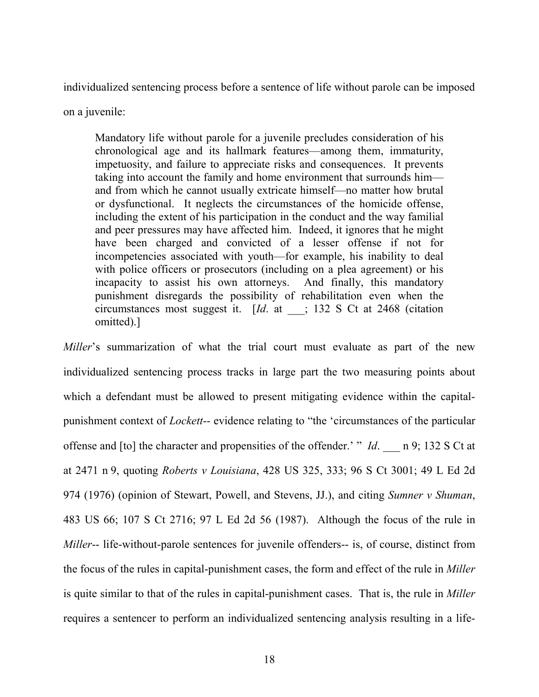individualized sentencing process before a sentence of life without parole can be imposed

on a juvenile:

Mandatory life without parole for a juvenile precludes consideration of his chronological age and its hallmark features—among them, immaturity, impetuosity, and failure to appreciate risks and consequences. It prevents taking into account the family and home environment that surrounds him and from which he cannot usually extricate himself—no matter how brutal or dysfunctional. It neglects the circumstances of the homicide offense, including the extent of his participation in the conduct and the way familial and peer pressures may have affected him. Indeed, it ignores that he might have been charged and convicted of a lesser offense if not for incompetencies associated with youth—for example, his inability to deal with police officers or prosecutors (including on a plea agreement) or his incapacity to assist his own attorneys. And finally, this mandatory punishment disregards the possibility of rehabilitation even when the circumstances most suggest it. [*Id*. at \_\_\_; 132 S Ct at 2468 (citation omitted).]

*Miller*'s summarization of what the trial court must evaluate as part of the new individualized sentencing process tracks in large part the two measuring points about which a defendant must be allowed to present mitigating evidence within the capitalpunishment context of *Lockett*-- evidence relating to "the 'circumstances of the particular offense and [to] the character and propensities of the offender.' " *Id.* \_\_\_ n 9; 132 S Ct at at 2471 n 9, quoting *Roberts v Louisiana*, 428 US 325, 333; 96 S Ct 3001; 49 L Ed 2d 974 (1976) (opinion of Stewart, Powell, and Stevens, JJ.), and citing *Sumner v Shuman*, 483 US 66; 107 S Ct 2716; 97 L Ed 2d 56 (1987). Although the focus of the rule in *Miller*-- life-without-parole sentences for juvenile offenders-- is, of course, distinct from the focus of the rules in capital-punishment cases, the form and effect of the rule in *Miller* is quite similar to that of the rules in capital-punishment cases. That is, the rule in *Miller* requires a sentencer to perform an individualized sentencing analysis resulting in a life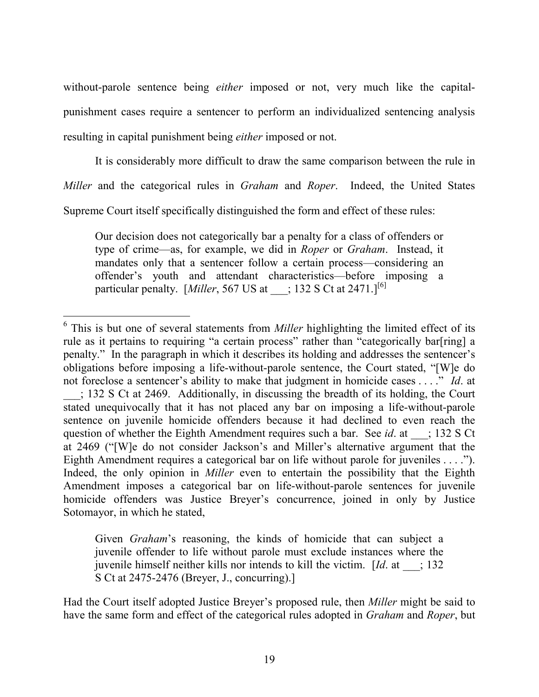without-parole sentence being *either* imposed or not, very much like the capitalpunishment cases require a sentencer to perform an individualized sentencing analysis resulting in capital punishment being *either* imposed or not.

It is considerably more difficult to draw the same comparison between the rule in *Miller* and the categorical rules in *Graham* and *Roper*. Indeed, the United States Supreme Court itself specifically distinguished the form and effect of these rules:

Our decision does not categorically bar a penalty for a class of offenders or type of crime—as, for example, we did in *Roper* or *Graham*. Instead, it mandates only that a sentencer follow a certain process—considering an offender's youth and attendant characteristics—before imposing a particular penalty. [*Miller*, 567 US at  $\qquad$ ; 132 S Ct at 2471.]<sup>[6]</sup>

Given *Graham*'s reasoning, the kinds of homicide that can subject a juvenile offender to life without parole must exclude instances where the juvenile himself neither kills nor intends to kill the victim. [*Id*. at \_\_\_; 132 S Ct at 2475-2476 (Breyer, J., concurring).]

Had the Court itself adopted Justice Breyer's proposed rule, then *Miller* might be said to have the same form and effect of the categorical rules adopted in *Graham* and *Roper*, but

 <sup>6</sup> This is but one of several statements from *Miller* highlighting the limited effect of its rule as it pertains to requiring "a certain process" rather than "categorically bar[ring] a penalty." In the paragraph in which it describes its holding and addresses the sentencer's obligations before imposing a life-without-parole sentence, the Court stated, "[W]e do not foreclose a sentencer's ability to make that judgment in homicide cases . . . ." *Id*. at

\_\_\_; 132 S Ct at 2469. Additionally, in discussing the breadth of its holding, the Court stated unequivocally that it has not placed any bar on imposing a life-without-parole sentence on juvenile homicide offenders because it had declined to even reach the question of whether the Eighth Amendment requires such a bar. See *id*. at \_\_\_; 132 S Ct at 2469 ("[W]e do not consider Jackson's and Miller's alternative argument that the Eighth Amendment requires a categorical bar on life without parole for juveniles . . . ."). Indeed, the only opinion in *Miller* even to entertain the possibility that the Eighth Amendment imposes a categorical bar on life-without-parole sentences for juvenile homicide offenders was Justice Breyer's concurrence, joined in only by Justice Sotomayor, in which he stated,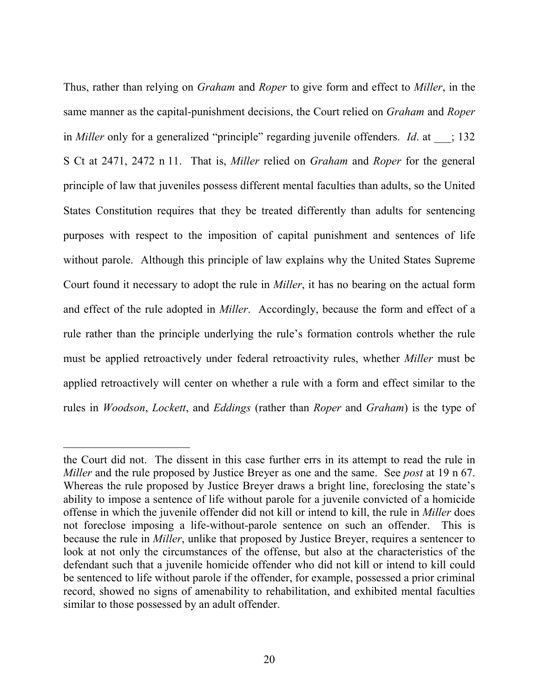Thus, rather than relying on *Graham* and *Roper* to give form and effect to *Miller*, in the same manner as the capital-punishment decisions, the Court relied on *Graham* and *Roper* in *Miller* only for a generalized "principle" regarding juvenile offenders. *Id.* at  $\therefore$  132 S Ct at 2471, 2472 n 11. That is, *Miller* relied on *Graham* and *Roper* for the general principle of law that juveniles possess different mental faculties than adults, so the United States Constitution requires that they be treated differently than adults for sentencing purposes with respect to the imposition of capital punishment and sentences of life without parole. Although this principle of law explains why the United States Supreme Court found it necessary to adopt the rule in *Miller*, it has no bearing on the actual form and effect of the rule adopted in *Miller*. Accordingly, because the form and effect of a rule rather than the principle underlying the rule's formation controls whether the rule must be applied retroactively under federal retroactivity rules, whether *Miller* must be applied retroactively will center on whether a rule with a form and effect similar to the rules in *Woodson*, *Lockett*, and *Eddings* (rather than *Roper* and *Graham*) is the type of

 $\overline{a}$ 

the Court did not. The dissent in this case further errs in its attempt to read the rule in *Miller* and the rule proposed by Justice Breyer as one and the same. See *post* at 19 n 67. Whereas the rule proposed by Justice Breyer draws a bright line, foreclosing the state's ability to impose a sentence of life without parole for a juvenile convicted of a homicide offense in which the juvenile offender did not kill or intend to kill, the rule in *Miller* does not foreclose imposing a life-without-parole sentence on such an offender. This is because the rule in *Miller*, unlike that proposed by Justice Breyer, requires a sentencer to look at not only the circumstances of the offense, but also at the characteristics of the defendant such that a juvenile homicide offender who did not kill or intend to kill could be sentenced to life without parole if the offender, for example, possessed a prior criminal record, showed no signs of amenability to rehabilitation, and exhibited mental faculties similar to those possessed by an adult offender.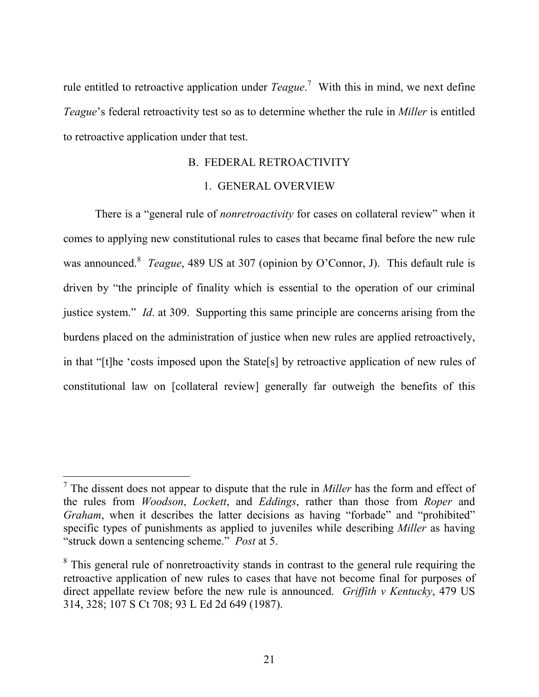rule entitled to retroactive application under *Teague*. 7 With this in mind, we next define *Teague*'s federal retroactivity test so as to determine whether the rule in *Miller* is entitled to retroactive application under that test.

## B. FEDERAL RETROACTIVITY

## 1. GENERAL OVERVIEW

There is a "general rule of *nonretroactivity* for cases on collateral review" when it comes to applying new constitutional rules to cases that became final before the new rule was announced.<sup>8</sup> *Teague*, 489 US at 307 (opinion by O'Connor, J). This default rule is driven by "the principle of finality which is essential to the operation of our criminal justice system." *Id*. at 309. Supporting this same principle are concerns arising from the burdens placed on the administration of justice when new rules are applied retroactively, in that "[t]he 'costs imposed upon the State[s] by retroactive application of new rules of constitutional law on [collateral review] generally far outweigh the benefits of this

 <sup>7</sup> The dissent does not appear to dispute that the rule in *Miller* has the form and effect of the rules from *Woodson*, *Lockett*, and *Eddings*, rather than those from *Roper* and *Graham*, when it describes the latter decisions as having "forbade" and "prohibited" specific types of punishments as applied to juveniles while describing *Miller* as having "struck down a sentencing scheme." *Post* at 5.

 $8$  This general rule of nonretroactivity stands in contrast to the general rule requiring the retroactive application of new rules to cases that have not become final for purposes of direct appellate review before the new rule is announced. *Griffith v Kentucky*, 479 US 314, 328; 107 S Ct 708; 93 L Ed 2d 649 (1987).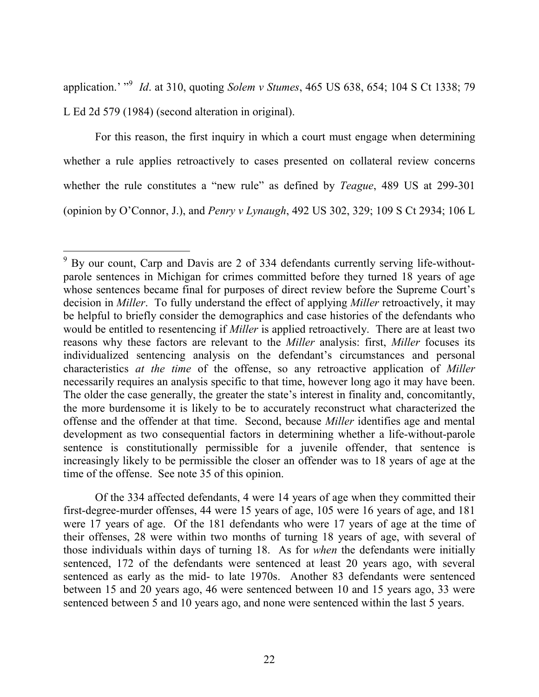application.' " 9 *Id*. at 310, quoting *Solem v Stumes*, 465 US 638, 654; 104 S Ct 1338; 79 L Ed 2d 579 (1984) (second alteration in original).

For this reason, the first inquiry in which a court must engage when determining whether a rule applies retroactively to cases presented on collateral review concerns whether the rule constitutes a "new rule" as defined by *Teague*, 489 US at 299-301 (opinion by O'Connor, J.), and *Penry v Lynaugh*, 492 US 302, 329; 109 S Ct 2934; 106 L

Of the 334 affected defendants, 4 were 14 years of age when they committed their first-degree-murder offenses, 44 were 15 years of age, 105 were 16 years of age, and 181 were 17 years of age. Of the 181 defendants who were 17 years of age at the time of their offenses, 28 were within two months of turning 18 years of age, with several of those individuals within days of turning 18. As for *when* the defendants were initially sentenced, 172 of the defendants were sentenced at least 20 years ago, with several sentenced as early as the mid- to late 1970s. Another 83 defendants were sentenced between 15 and 20 years ago, 46 were sentenced between 10 and 15 years ago, 33 were sentenced between 5 and 10 years ago, and none were sentenced within the last 5 years.

 $9$  By our count, Carp and Davis are 2 of 334 defendants currently serving life-withoutparole sentences in Michigan for crimes committed before they turned 18 years of age whose sentences became final for purposes of direct review before the Supreme Court's decision in *Miller*. To fully understand the effect of applying *Miller* retroactively, it may be helpful to briefly consider the demographics and case histories of the defendants who would be entitled to resentencing if *Miller* is applied retroactively. There are at least two reasons why these factors are relevant to the *Miller* analysis: first, *Miller* focuses its individualized sentencing analysis on the defendant's circumstances and personal characteristics *at the time* of the offense, so any retroactive application of *Miller* necessarily requires an analysis specific to that time, however long ago it may have been. The older the case generally, the greater the state's interest in finality and, concomitantly, the more burdensome it is likely to be to accurately reconstruct what characterized the offense and the offender at that time. Second, because *Miller* identifies age and mental development as two consequential factors in determining whether a life-without-parole sentence is constitutionally permissible for a juvenile offender, that sentence is increasingly likely to be permissible the closer an offender was to 18 years of age at the time of the offense. See note 35 of this opinion.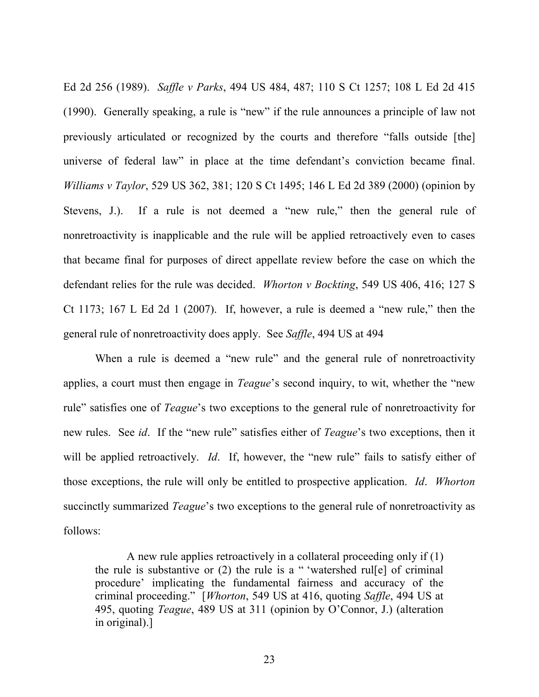Ed 2d 256 (1989). *Saffle v Parks*, 494 US 484, 487; 110 S Ct 1257; 108 L Ed 2d 415 (1990). Generally speaking, a rule is "new" if the rule announces a principle of law not previously articulated or recognized by the courts and therefore "falls outside [the] universe of federal law" in place at the time defendant's conviction became final. *Williams v Taylor*, 529 US 362, 381; 120 S Ct 1495; 146 L Ed 2d 389 (2000) (opinion by Stevens, J.). If a rule is not deemed a "new rule," then the general rule of nonretroactivity is inapplicable and the rule will be applied retroactively even to cases that became final for purposes of direct appellate review before the case on which the defendant relies for the rule was decided. *Whorton v Bockting*, 549 US 406, 416; 127 S Ct 1173; 167 L Ed 2d 1 (2007). If, however, a rule is deemed a "new rule," then the general rule of nonretroactivity does apply. See *Saffle*, 494 US at 494

When a rule is deemed a "new rule" and the general rule of nonretroactivity applies, a court must then engage in *Teague*'s second inquiry, to wit, whether the "new rule" satisfies one of *Teague*'s two exceptions to the general rule of nonretroactivity for new rules. See *id*. If the "new rule" satisfies either of *Teague*'s two exceptions, then it will be applied retroactively. *Id*. If, however, the "new rule" fails to satisfy either of those exceptions, the rule will only be entitled to prospective application. *Id*. *Whorton* succinctly summarized *Teague*'s two exceptions to the general rule of nonretroactivity as follows:

A new rule applies retroactively in a collateral proceeding only if (1) the rule is substantive or  $(2)$  the rule is a " 'watershed rul[e] of criminal procedure' implicating the fundamental fairness and accuracy of the criminal proceeding." [*Whorton*, 549 US at 416, quoting *Saffle*, 494 US at 495, quoting *Teague*, 489 US at 311 (opinion by O'Connor, J.) (alteration in original).]

23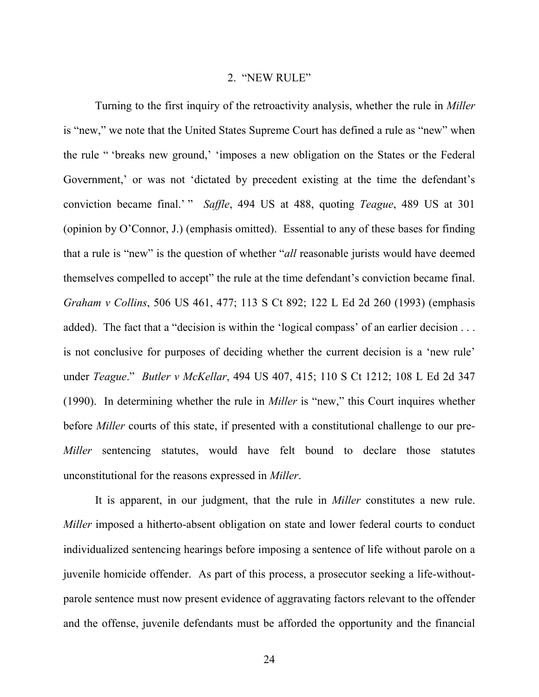## 2. "NEW RULE"

Turning to the first inquiry of the retroactivity analysis, whether the rule in *Miller* is "new," we note that the United States Supreme Court has defined a rule as "new" when the rule " 'breaks new ground,' 'imposes a new obligation on the States or the Federal Government,' or was not 'dictated by precedent existing at the time the defendant's conviction became final.' " *Saffle*, 494 US at 488, quoting *Teague*, 489 US at 301 (opinion by O'Connor, J.) (emphasis omitted). Essential to any of these bases for finding that a rule is "new" is the question of whether "*all* reasonable jurists would have deemed themselves compelled to accept" the rule at the time defendant's conviction became final. *Graham v Collins*, 506 US 461, 477; 113 S Ct 892; 122 L Ed 2d 260 (1993) (emphasis added). The fact that a "decision is within the 'logical compass' of an earlier decision . . . is not conclusive for purposes of deciding whether the current decision is a 'new rule' under *Teague*." *Butler v McKellar*, 494 US 407, 415; 110 S Ct 1212; 108 L Ed 2d 347 (1990). In determining whether the rule in *Miller* is "new," this Court inquires whether before *Miller* courts of this state, if presented with a constitutional challenge to our pre-*Miller* sentencing statutes, would have felt bound to declare those statutes unconstitutional for the reasons expressed in *Miller*.

It is apparent, in our judgment, that the rule in *Miller* constitutes a new rule. *Miller* imposed a hitherto-absent obligation on state and lower federal courts to conduct individualized sentencing hearings before imposing a sentence of life without parole on a juvenile homicide offender. As part of this process, a prosecutor seeking a life-withoutparole sentence must now present evidence of aggravating factors relevant to the offender and the offense, juvenile defendants must be afforded the opportunity and the financial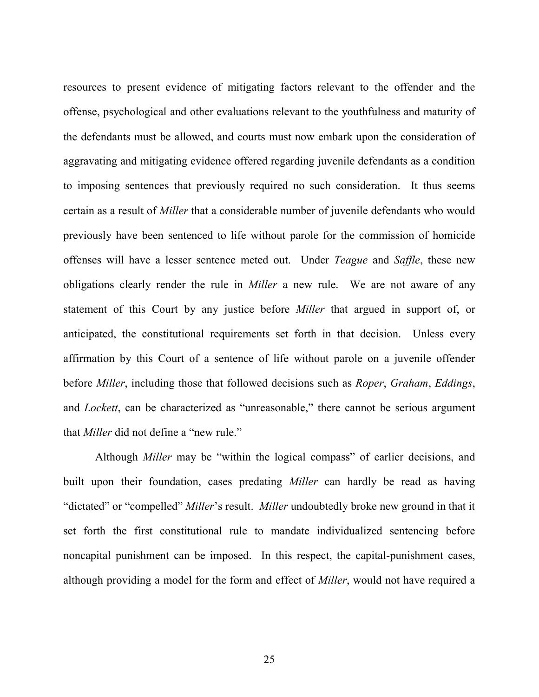resources to present evidence of mitigating factors relevant to the offender and the offense, psychological and other evaluations relevant to the youthfulness and maturity of the defendants must be allowed, and courts must now embark upon the consideration of aggravating and mitigating evidence offered regarding juvenile defendants as a condition to imposing sentences that previously required no such consideration. It thus seems certain as a result of *Miller* that a considerable number of juvenile defendants who would previously have been sentenced to life without parole for the commission of homicide offenses will have a lesser sentence meted out. Under *Teague* and *Saffle*, these new obligations clearly render the rule in *Miller* a new rule. We are not aware of any statement of this Court by any justice before *Miller* that argued in support of, or anticipated, the constitutional requirements set forth in that decision. Unless every affirmation by this Court of a sentence of life without parole on a juvenile offender before *Miller*, including those that followed decisions such as *Roper*, *Graham*, *Eddings*, and *Lockett*, can be characterized as "unreasonable," there cannot be serious argument that *Miller* did not define a "new rule."

Although *Miller* may be "within the logical compass" of earlier decisions, and built upon their foundation, cases predating *Miller* can hardly be read as having "dictated" or "compelled" *Miller*'s result. *Miller* undoubtedly broke new ground in that it set forth the first constitutional rule to mandate individualized sentencing before noncapital punishment can be imposed. In this respect, the capital-punishment cases, although providing a model for the form and effect of *Miller*, would not have required a

25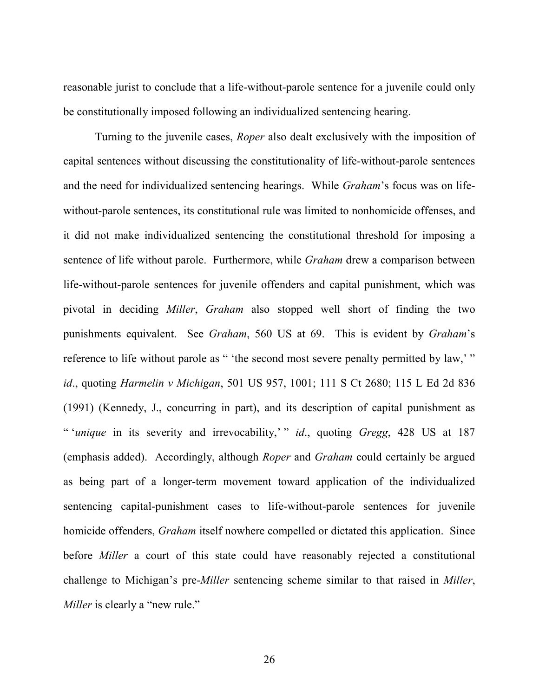reasonable jurist to conclude that a life-without-parole sentence for a juvenile could only be constitutionally imposed following an individualized sentencing hearing.

Turning to the juvenile cases, *Roper* also dealt exclusively with the imposition of capital sentences without discussing the constitutionality of life-without-parole sentences and the need for individualized sentencing hearings. While *Graham*'s focus was on lifewithout-parole sentences, its constitutional rule was limited to nonhomicide offenses, and it did not make individualized sentencing the constitutional threshold for imposing a sentence of life without parole. Furthermore, while *Graham* drew a comparison between life-without-parole sentences for juvenile offenders and capital punishment, which was pivotal in deciding *Miller*, *Graham* also stopped well short of finding the two punishments equivalent. See *Graham*, 560 US at 69. This is evident by *Graham*'s reference to life without parole as " 'the second most severe penalty permitted by law,' " *id*., quoting *Harmelin v Michigan*, 501 US 957, 1001; 111 S Ct 2680; 115 L Ed 2d 836 (1991) (Kennedy, J., concurring in part), and its description of capital punishment as " '*unique* in its severity and irrevocability,' " *id*., quoting *Gregg*, 428 US at 187 (emphasis added). Accordingly, although *Roper* and *Graham* could certainly be argued as being part of a longer-term movement toward application of the individualized sentencing capital-punishment cases to life-without-parole sentences for juvenile homicide offenders, *Graham* itself nowhere compelled or dictated this application. Since before *Miller* a court of this state could have reasonably rejected a constitutional challenge to Michigan's pre-*Miller* sentencing scheme similar to that raised in *Miller*, *Miller* is clearly a "new rule."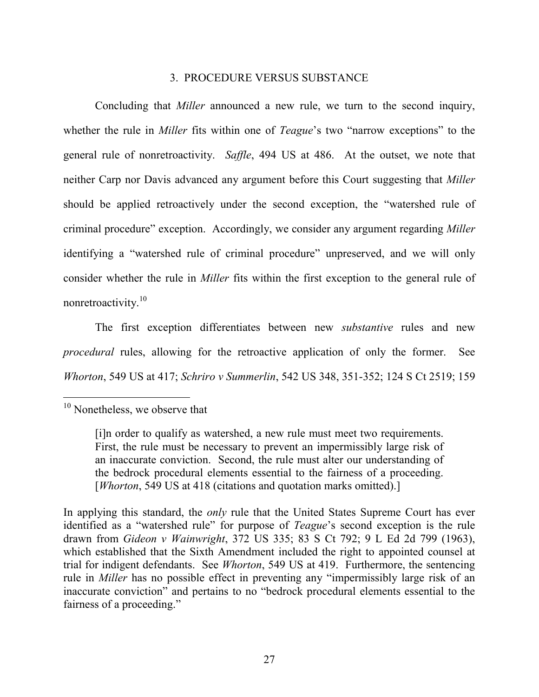## 3. PROCEDURE VERSUS SUBSTANCE

Concluding that *Miller* announced a new rule, we turn to the second inquiry, whether the rule in *Miller* fits within one of *Teague*'s two "narrow exceptions" to the general rule of nonretroactivity. *Saffle*, 494 US at 486. At the outset, we note that neither Carp nor Davis advanced any argument before this Court suggesting that *Miller* should be applied retroactively under the second exception, the "watershed rule of criminal procedure" exception. Accordingly, we consider any argument regarding *Miller* identifying a "watershed rule of criminal procedure" unpreserved, and we will only consider whether the rule in *Miller* fits within the first exception to the general rule of nonretroactivity.<sup>10</sup>

The first exception differentiates between new *substantive* rules and new *procedural* rules, allowing for the retroactive application of only the former. See *Whorton*, 549 US at 417; *Schriro v Summerlin*, 542 US 348, 351-352; 124 S Ct 2519; 159

In applying this standard, the *only* rule that the United States Supreme Court has ever identified as a "watershed rule" for purpose of *Teague*'s second exception is the rule drawn from *Gideon v Wainwright*, 372 US 335; 83 S Ct 792; 9 L Ed 2d 799 (1963), which established that the Sixth Amendment included the right to appointed counsel at trial for indigent defendants. See *Whorton*, 549 US at 419. Furthermore, the sentencing rule in *Miller* has no possible effect in preventing any "impermissibly large risk of an inaccurate conviction" and pertains to no "bedrock procedural elements essential to the fairness of a proceeding."

 $10$  Nonetheless, we observe that

<sup>[</sup>i]n order to qualify as watershed, a new rule must meet two requirements. First, the rule must be necessary to prevent an impermissibly large risk of an inaccurate conviction. Second, the rule must alter our understanding of the bedrock procedural elements essential to the fairness of a proceeding. [*Whorton*, 549 US at 418 (citations and quotation marks omitted).]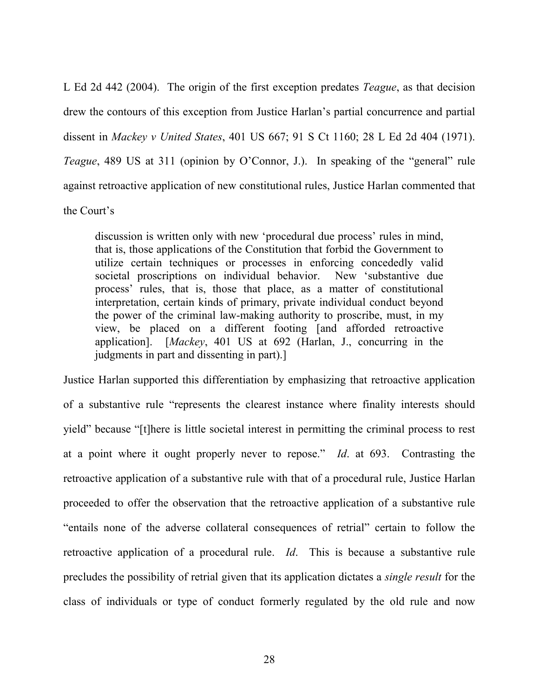L Ed 2d 442 (2004). The origin of the first exception predates *Teague*, as that decision drew the contours of this exception from Justice Harlan's partial concurrence and partial dissent in *Mackey v United States*, 401 US 667; 91 S Ct 1160; 28 L Ed 2d 404 (1971). *Teague*, 489 US at 311 (opinion by O'Connor, J.). In speaking of the "general" rule against retroactive application of new constitutional rules, Justice Harlan commented that

the Court's

discussion is written only with new 'procedural due process' rules in mind, that is, those applications of the Constitution that forbid the Government to utilize certain techniques or processes in enforcing concededly valid societal proscriptions on individual behavior. New 'substantive due process' rules, that is, those that place, as a matter of constitutional interpretation, certain kinds of primary, private individual conduct beyond the power of the criminal law-making authority to proscribe, must, in my view, be placed on a different footing [and afforded retroactive application]. [*Mackey*, 401 US at 692 (Harlan, J., concurring in the judgments in part and dissenting in part).]

Justice Harlan supported this differentiation by emphasizing that retroactive application of a substantive rule "represents the clearest instance where finality interests should yield" because "[t]here is little societal interest in permitting the criminal process to rest at a point where it ought properly never to repose." *Id*. at 693. Contrasting the retroactive application of a substantive rule with that of a procedural rule, Justice Harlan proceeded to offer the observation that the retroactive application of a substantive rule "entails none of the adverse collateral consequences of retrial" certain to follow the retroactive application of a procedural rule. *Id*. This is because a substantive rule precludes the possibility of retrial given that its application dictates a *single result* for the class of individuals or type of conduct formerly regulated by the old rule and now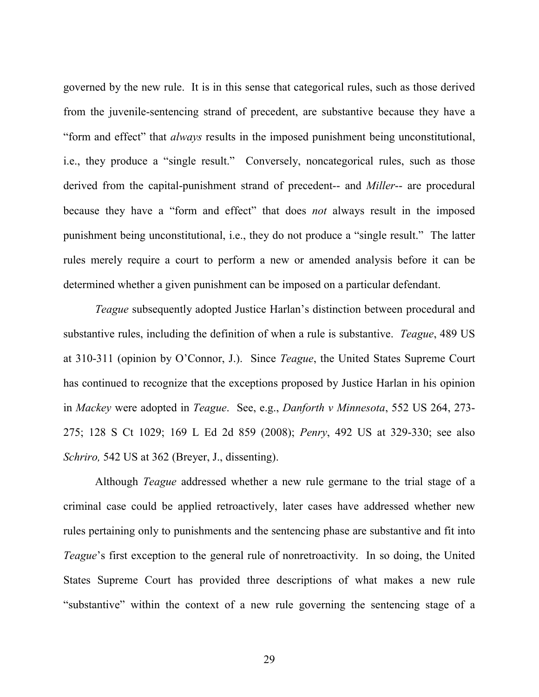governed by the new rule. It is in this sense that categorical rules, such as those derived from the juvenile-sentencing strand of precedent, are substantive because they have a "form and effect" that *always* results in the imposed punishment being unconstitutional, i.e., they produce a "single result." Conversely, noncategorical rules, such as those derived from the capital-punishment strand of precedent-- and *Miller*-- are procedural because they have a "form and effect" that does *not* always result in the imposed punishment being unconstitutional, i.e., they do not produce a "single result." The latter rules merely require a court to perform a new or amended analysis before it can be determined whether a given punishment can be imposed on a particular defendant.

*Teague* subsequently adopted Justice Harlan's distinction between procedural and substantive rules, including the definition of when a rule is substantive. *Teague*, 489 US at 310-311 (opinion by O'Connor, J.). Since *Teague*, the United States Supreme Court has continued to recognize that the exceptions proposed by Justice Harlan in his opinion in *Mackey* were adopted in *Teague*. See, e.g., *Danforth v Minnesota*, 552 US 264, 273- 275; 128 S Ct 1029; 169 L Ed 2d 859 (2008); *Penry*, 492 US at 329-330; see also *Schriro,* 542 US at 362 (Breyer, J., dissenting).

Although *Teague* addressed whether a new rule germane to the trial stage of a criminal case could be applied retroactively, later cases have addressed whether new rules pertaining only to punishments and the sentencing phase are substantive and fit into *Teague*'s first exception to the general rule of nonretroactivity. In so doing, the United States Supreme Court has provided three descriptions of what makes a new rule "substantive" within the context of a new rule governing the sentencing stage of a

29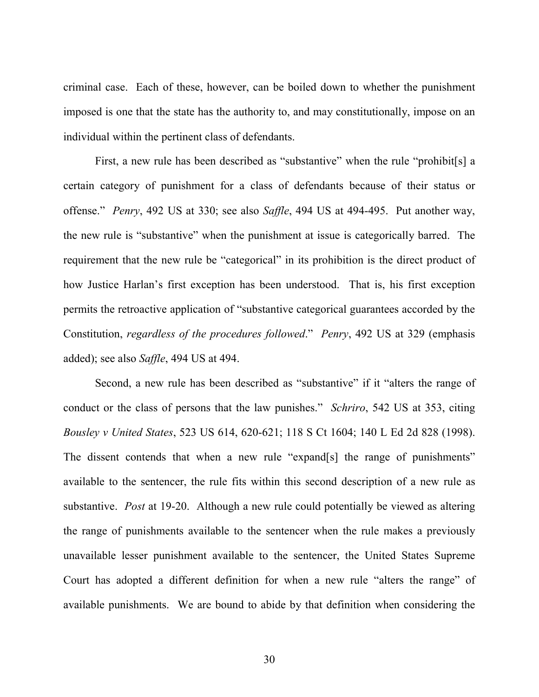criminal case. Each of these, however, can be boiled down to whether the punishment imposed is one that the state has the authority to, and may constitutionally, impose on an individual within the pertinent class of defendants.

First, a new rule has been described as "substantive" when the rule "prohibit[s] a certain category of punishment for a class of defendants because of their status or offense." *Penry*, 492 US at 330; see also *Saffle*, 494 US at 494-495. Put another way, the new rule is "substantive" when the punishment at issue is categorically barred. The requirement that the new rule be "categorical" in its prohibition is the direct product of how Justice Harlan's first exception has been understood. That is, his first exception permits the retroactive application of "substantive categorical guarantees accorded by the Constitution, *regardless of the procedures followed*." *Penry*, 492 US at 329 (emphasis added); see also *Saffle*, 494 US at 494.

Second, a new rule has been described as "substantive" if it "alters the range of conduct or the class of persons that the law punishes." *Schriro*, 542 US at 353, citing *Bousley v United States*, 523 US 614, 620-621; 118 S Ct 1604; 140 L Ed 2d 828 (1998). The dissent contends that when a new rule "expand[s] the range of punishments" available to the sentencer, the rule fits within this second description of a new rule as substantive. *Post* at 19-20. Although a new rule could potentially be viewed as altering the range of punishments available to the sentencer when the rule makes a previously unavailable lesser punishment available to the sentencer, the United States Supreme Court has adopted a different definition for when a new rule "alters the range" of available punishments. We are bound to abide by that definition when considering the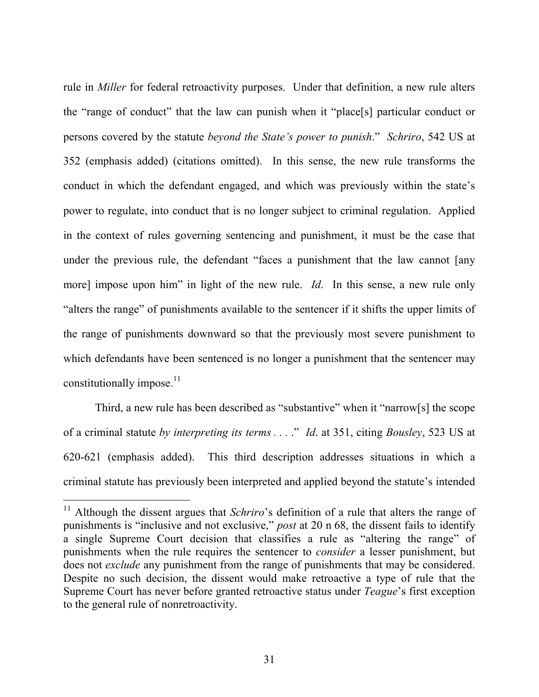rule in *Miller* for federal retroactivity purposes. Under that definition, a new rule alters the "range of conduct" that the law can punish when it "place[s] particular conduct or persons covered by the statute *beyond the State's power to punish*." *Schriro*, 542 US at 352 (emphasis added) (citations omitted). In this sense, the new rule transforms the conduct in which the defendant engaged, and which was previously within the state's power to regulate, into conduct that is no longer subject to criminal regulation. Applied in the context of rules governing sentencing and punishment, it must be the case that under the previous rule, the defendant "faces a punishment that the law cannot [any more] impose upon him" in light of the new rule. *Id*. In this sense, a new rule only "alters the range" of punishments available to the sentencer if it shifts the upper limits of the range of punishments downward so that the previously most severe punishment to which defendants have been sentenced is no longer a punishment that the sentencer may constitutionally impose. $11$ 

Third, a new rule has been described as "substantive" when it "narrow[s] the scope of a criminal statute *by interpreting its terms . . .* ." *Id*. at 351, citing *Bousley*, 523 US at 620-621 (emphasis added). This third description addresses situations in which a criminal statute has previously been interpreted and applied beyond the statute's intended

<sup>&</sup>lt;sup>11</sup> Although the dissent argues that *Schriro*'s definition of a rule that alters the range of punishments is "inclusive and not exclusive," *post* at 20 n 68, the dissent fails to identify a single Supreme Court decision that classifies a rule as "altering the range" of punishments when the rule requires the sentencer to *consider* a lesser punishment, but does not *exclude* any punishment from the range of punishments that may be considered. Despite no such decision, the dissent would make retroactive a type of rule that the Supreme Court has never before granted retroactive status under *Teague*'s first exception to the general rule of nonretroactivity.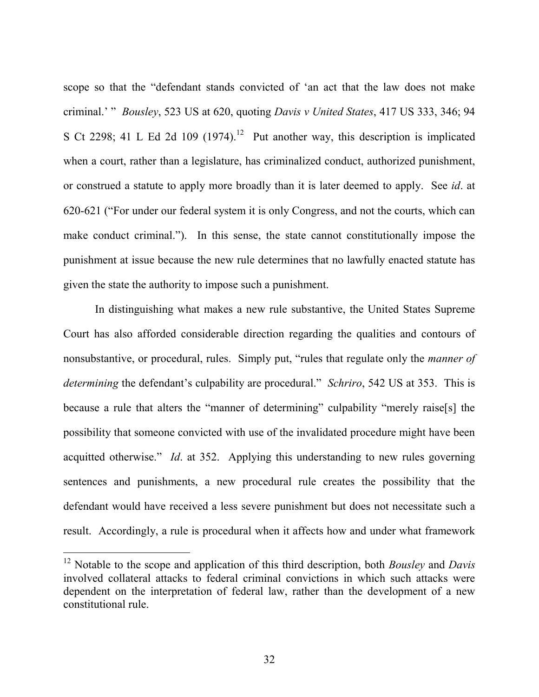scope so that the "defendant stands convicted of 'an act that the law does not make criminal.' " *Bousley*, 523 US at 620, quoting *Davis v United States*, 417 US 333, 346; 94 S Ct 2298; 41 L Ed 2d 109 (1974).<sup>12</sup> Put another way, this description is implicated when a court, rather than a legislature, has criminalized conduct, authorized punishment, or construed a statute to apply more broadly than it is later deemed to apply. See *id*. at 620-621 ("For under our federal system it is only Congress, and not the courts, which can make conduct criminal."). In this sense, the state cannot constitutionally impose the punishment at issue because the new rule determines that no lawfully enacted statute has given the state the authority to impose such a punishment.

In distinguishing what makes a new rule substantive, the United States Supreme Court has also afforded considerable direction regarding the qualities and contours of nonsubstantive, or procedural, rules. Simply put, "rules that regulate only the *manner of determining* the defendant's culpability are procedural." *Schriro*, 542 US at 353. This is because a rule that alters the "manner of determining" culpability "merely raise[s] the possibility that someone convicted with use of the invalidated procedure might have been acquitted otherwise." *Id*. at 352. Applying this understanding to new rules governing sentences and punishments, a new procedural rule creates the possibility that the defendant would have received a less severe punishment but does not necessitate such a result. Accordingly, a rule is procedural when it affects how and under what framework

 <sup>12</sup> Notable to the scope and application of this third description, both *Bousley* and *Davis* involved collateral attacks to federal criminal convictions in which such attacks were dependent on the interpretation of federal law, rather than the development of a new constitutional rule.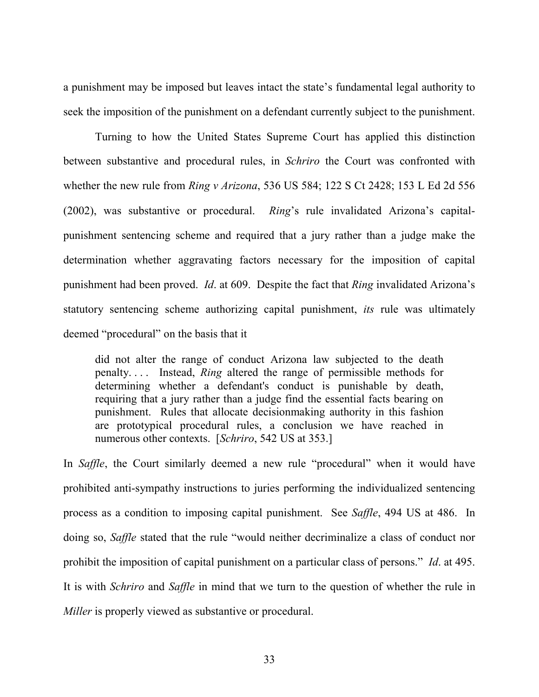a punishment may be imposed but leaves intact the state's fundamental legal authority to seek the imposition of the punishment on a defendant currently subject to the punishment.

Turning to how the United States Supreme Court has applied this distinction between substantive and procedural rules, in *Schriro* the Court was confronted with whether the new rule from *Ring v Arizona*, 536 US 584; 122 S Ct 2428; 153 L Ed 2d 556 (2002), was substantive or procedural. *Ring*'s rule invalidated Arizona's capitalpunishment sentencing scheme and required that a jury rather than a judge make the determination whether aggravating factors necessary for the imposition of capital punishment had been proved. *Id*. at 609. Despite the fact that *Ring* invalidated Arizona's statutory sentencing scheme authorizing capital punishment, *its* rule was ultimately deemed "procedural" on the basis that it

did not alter the range of conduct Arizona law subjected to the death penalty. . . . Instead, *Ring* altered the range of permissible methods for determining whether a defendant's conduct is punishable by death, requiring that a jury rather than a judge find the essential facts bearing on punishment. Rules that allocate decisionmaking authority in this fashion are prototypical procedural rules, a conclusion we have reached in numerous other contexts. [*Schriro*, 542 US at 353.]

In *Saffle*, the Court similarly deemed a new rule "procedural" when it would have prohibited anti-sympathy instructions to juries performing the individualized sentencing process as a condition to imposing capital punishment. See *Saffle*, 494 US at 486. In doing so, *Saffle* stated that the rule "would neither decriminalize a class of conduct nor prohibit the imposition of capital punishment on a particular class of persons." *Id*. at 495. It is with *Schriro* and *Saffle* in mind that we turn to the question of whether the rule in *Miller* is properly viewed as substantive or procedural.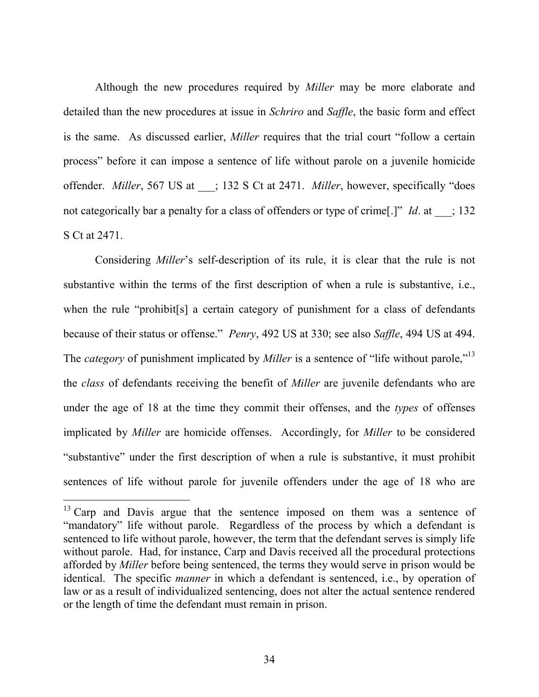Although the new procedures required by *Miller* may be more elaborate and detailed than the new procedures at issue in *Schriro* and *Saffle*, the basic form and effect is the same. As discussed earlier, *Miller* requires that the trial court "follow a certain process" before it can impose a sentence of life without parole on a juvenile homicide offender. *Miller*, 567 US at \_\_\_; 132 S Ct at 2471. *Miller*, however, specifically "does not categorically bar a penalty for a class of offenders or type of crime<sup>[1]</sup> *Id.* at  $\qquad$ ; 132 S Ct at 2471.

Considering *Miller*'s self-description of its rule, it is clear that the rule is not substantive within the terms of the first description of when a rule is substantive, i.e., when the rule "prohibit[s] a certain category of punishment for a class of defendants because of their status or offense." *Penry*, 492 US at 330; see also *Saffle*, 494 US at 494. The *category* of punishment implicated by *Miller* is a sentence of "life without parole,"<sup>13</sup> the *class* of defendants receiving the benefit of *Miller* are juvenile defendants who are under the age of 18 at the time they commit their offenses, and the *types* of offenses implicated by *Miller* are homicide offenses. Accordingly, for *Miller* to be considered "substantive" under the first description of when a rule is substantive, it must prohibit sentences of life without parole for juvenile offenders under the age of 18 who are

<sup>&</sup>lt;sup>13</sup> Carp and Davis argue that the sentence imposed on them was a sentence of "mandatory" life without parole. Regardless of the process by which a defendant is sentenced to life without parole, however, the term that the defendant serves is simply life without parole. Had, for instance, Carp and Davis received all the procedural protections afforded by *Miller* before being sentenced, the terms they would serve in prison would be identical. The specific *manner* in which a defendant is sentenced, i.e., by operation of law or as a result of individualized sentencing, does not alter the actual sentence rendered or the length of time the defendant must remain in prison.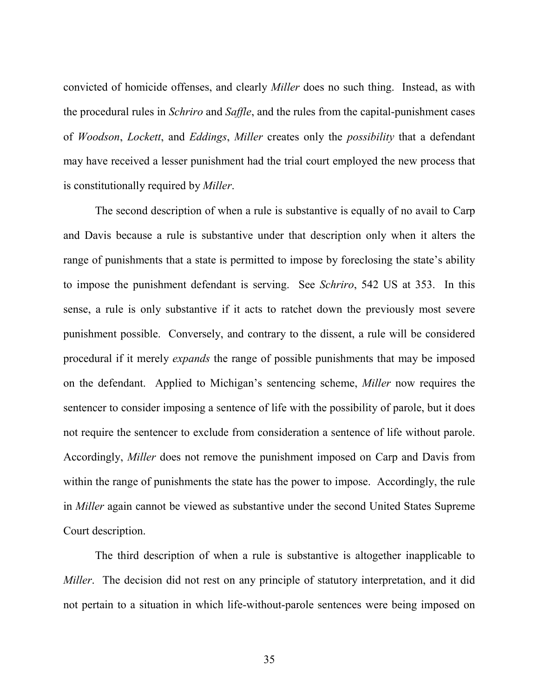convicted of homicide offenses, and clearly *Miller* does no such thing. Instead, as with the procedural rules in *Schriro* and *Saffle*, and the rules from the capital-punishment cases of *Woodson*, *Lockett*, and *Eddings*, *Miller* creates only the *possibility* that a defendant may have received a lesser punishment had the trial court employed the new process that is constitutionally required by *Miller*.

The second description of when a rule is substantive is equally of no avail to Carp and Davis because a rule is substantive under that description only when it alters the range of punishments that a state is permitted to impose by foreclosing the state's ability to impose the punishment defendant is serving. See *Schriro*, 542 US at 353. In this sense, a rule is only substantive if it acts to ratchet down the previously most severe punishment possible. Conversely, and contrary to the dissent, a rule will be considered procedural if it merely *expands* the range of possible punishments that may be imposed on the defendant. Applied to Michigan's sentencing scheme, *Miller* now requires the sentencer to consider imposing a sentence of life with the possibility of parole, but it does not require the sentencer to exclude from consideration a sentence of life without parole. Accordingly, *Miller* does not remove the punishment imposed on Carp and Davis from within the range of punishments the state has the power to impose. Accordingly, the rule in *Miller* again cannot be viewed as substantive under the second United States Supreme Court description.

The third description of when a rule is substantive is altogether inapplicable to *Miller*. The decision did not rest on any principle of statutory interpretation, and it did not pertain to a situation in which life-without-parole sentences were being imposed on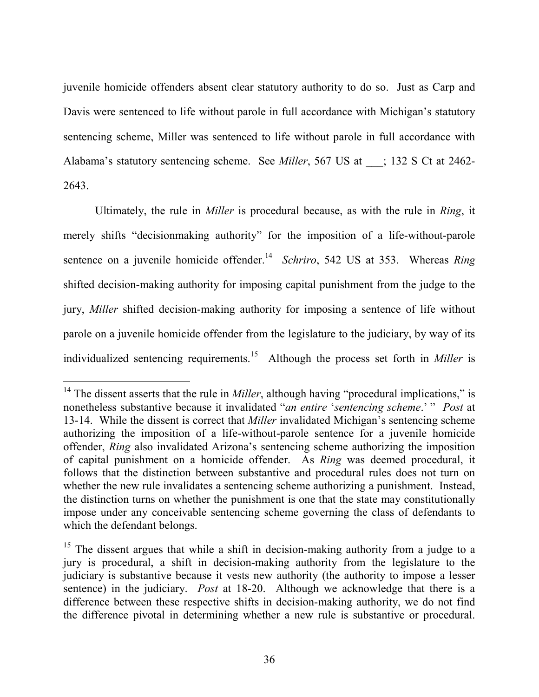juvenile homicide offenders absent clear statutory authority to do so. Just as Carp and Davis were sentenced to life without parole in full accordance with Michigan's statutory sentencing scheme, Miller was sentenced to life without parole in full accordance with Alabama's statutory sentencing scheme. See *Miller*, 567 US at  $\therefore$  132 S Ct at 2462-2643.

Ultimately, the rule in *Miller* is procedural because, as with the rule in *Ring*, it merely shifts "decisionmaking authority" for the imposition of a life-without-parole sentence on a juvenile homicide offender.<sup>14</sup> *Schriro*, 542 US at 353. Whereas *Ring* shifted decision-making authority for imposing capital punishment from the judge to the jury, *Miller* shifted decision-making authority for imposing a sentence of life without parole on a juvenile homicide offender from the legislature to the judiciary, by way of its individualized sentencing requirements. 15 Although the process set forth in *Miller* is

<sup>&</sup>lt;sup>14</sup> The dissent asserts that the rule in *Miller*, although having "procedural implications," is nonetheless substantive because it invalidated "*an entire* '*sentencing scheme*.' " *Post* at 13-14. While the dissent is correct that *Miller* invalidated Michigan's sentencing scheme authorizing the imposition of a life-without-parole sentence for a juvenile homicide offender, *Ring* also invalidated Arizona's sentencing scheme authorizing the imposition of capital punishment on a homicide offender. As *Ring* was deemed procedural, it follows that the distinction between substantive and procedural rules does not turn on whether the new rule invalidates a sentencing scheme authorizing a punishment. Instead, the distinction turns on whether the punishment is one that the state may constitutionally impose under any conceivable sentencing scheme governing the class of defendants to which the defendant belongs.

<sup>&</sup>lt;sup>15</sup> The dissent argues that while a shift in decision-making authority from a judge to a jury is procedural, a shift in decision-making authority from the legislature to the judiciary is substantive because it vests new authority (the authority to impose a lesser sentence) in the judiciary. *Post* at 18-20. Although we acknowledge that there is a difference between these respective shifts in decision-making authority, we do not find the difference pivotal in determining whether a new rule is substantive or procedural.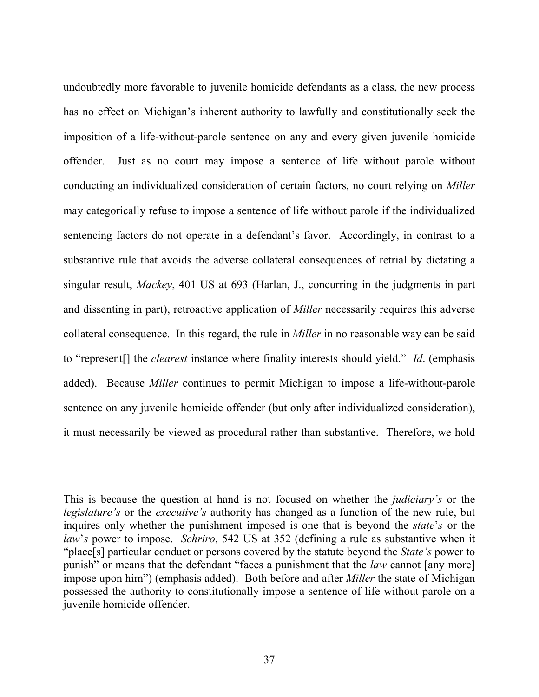undoubtedly more favorable to juvenile homicide defendants as a class, the new process has no effect on Michigan's inherent authority to lawfully and constitutionally seek the imposition of a life-without-parole sentence on any and every given juvenile homicide offender. Just as no court may impose a sentence of life without parole without conducting an individualized consideration of certain factors, no court relying on *Miller* may categorically refuse to impose a sentence of life without parole if the individualized sentencing factors do not operate in a defendant's favor. Accordingly, in contrast to a substantive rule that avoids the adverse collateral consequences of retrial by dictating a singular result, *Mackey*, 401 US at 693 (Harlan, J., concurring in the judgments in part and dissenting in part), retroactive application of *Miller* necessarily requires this adverse collateral consequence. In this regard, the rule in *Miller* in no reasonable way can be said to "represent[] the *clearest* instance where finality interests should yield." *Id*. (emphasis added). Because *Miller* continues to permit Michigan to impose a life-without-parole sentence on any juvenile homicide offender (but only after individualized consideration), it must necessarily be viewed as procedural rather than substantive. Therefore, we hold

 $\overline{a}$ 

This is because the question at hand is not focused on whether the *judiciary's* or the *legislature's* or the *executive's* authority has changed as a function of the new rule, but inquires only whether the punishment imposed is one that is beyond the *state*'*s* or the *law*'*s* power to impose. *Schriro*, 542 US at 352 (defining a rule as substantive when it "place[s] particular conduct or persons covered by the statute beyond the *State's* power to punish" or means that the defendant "faces a punishment that the *law* cannot [any more] impose upon him") (emphasis added). Both before and after *Miller* the state of Michigan possessed the authority to constitutionally impose a sentence of life without parole on a juvenile homicide offender.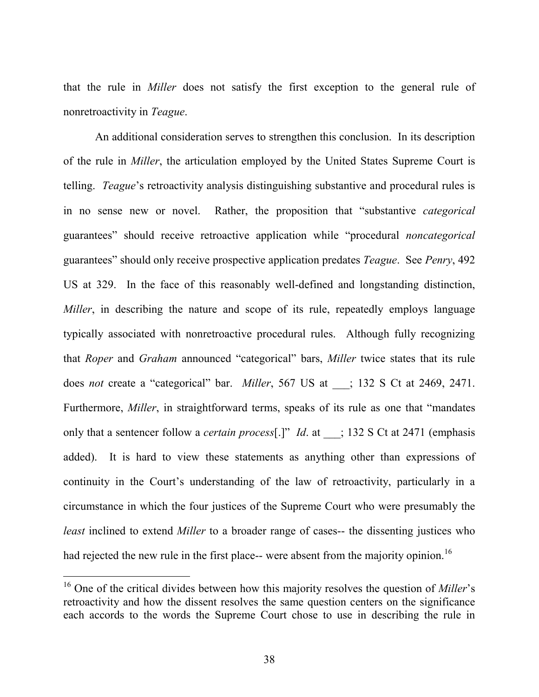that the rule in *Miller* does not satisfy the first exception to the general rule of nonretroactivity in *Teague*.

An additional consideration serves to strengthen this conclusion. In its description of the rule in *Miller*, the articulation employed by the United States Supreme Court is telling. *Teague*'s retroactivity analysis distinguishing substantive and procedural rules is in no sense new or novel. Rather, the proposition that "substantive *categorical* guarantees" should receive retroactive application while "procedural *noncategorical* guarantees" should only receive prospective application predates *Teague*. See *Penry*, 492 US at 329. In the face of this reasonably well-defined and longstanding distinction, *Miller*, in describing the nature and scope of its rule, repeatedly employs language typically associated with nonretroactive procedural rules. Although fully recognizing that *Roper* and *Graham* announced "categorical" bars, *Miller* twice states that its rule does *not* create a "categorical" bar. *Miller*, 567 US at \_\_\_; 132 S Ct at 2469, 2471. Furthermore, *Miller*, in straightforward terms, speaks of its rule as one that "mandates only that a sentencer follow a *certain process*[.]" *Id*. at \_\_\_; 132 S Ct at 2471 (emphasis added). It is hard to view these statements as anything other than expressions of continuity in the Court's understanding of the law of retroactivity, particularly in a circumstance in which the four justices of the Supreme Court who were presumably the *least* inclined to extend *Miller* to a broader range of cases-- the dissenting justices who had rejected the new rule in the first place-- were absent from the majority opinion.<sup>16</sup>

 <sup>16</sup> One of the critical divides between how this majority resolves the question of *Miller*'s retroactivity and how the dissent resolves the same question centers on the significance each accords to the words the Supreme Court chose to use in describing the rule in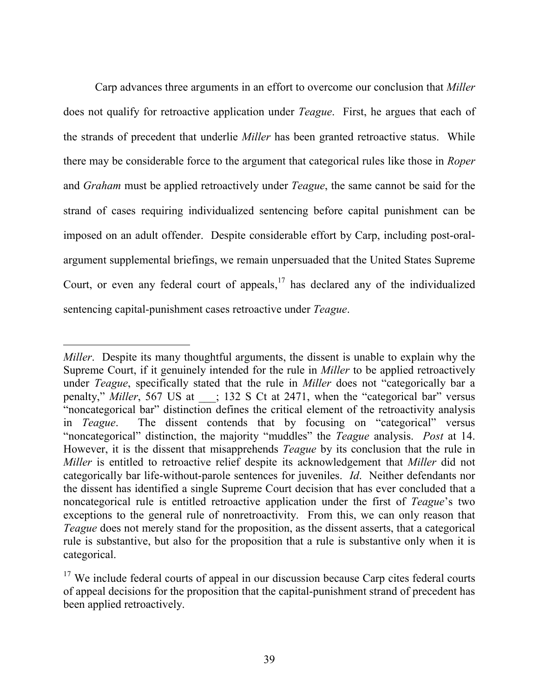Carp advances three arguments in an effort to overcome our conclusion that *Miller* does not qualify for retroactive application under *Teague*. First, he argues that each of the strands of precedent that underlie *Miller* has been granted retroactive status. While there may be considerable force to the argument that categorical rules like those in *Roper*  and *Graham* must be applied retroactively under *Teague*, the same cannot be said for the strand of cases requiring individualized sentencing before capital punishment can be imposed on an adult offender. Despite considerable effort by Carp, including post-oralargument supplemental briefings, we remain unpersuaded that the United States Supreme Court, or even any federal court of appeals, $17$  has declared any of the individualized sentencing capital-punishment cases retroactive under *Teague*.

-

*Miller*. Despite its many thoughtful arguments, the dissent is unable to explain why the Supreme Court, if it genuinely intended for the rule in *Miller* to be applied retroactively under *Teague*, specifically stated that the rule in *Miller* does not "categorically bar a penalty," *Miller*, 567 US at \_\_\_; 132 S Ct at 2471, when the "categorical bar" versus "noncategorical bar" distinction defines the critical element of the retroactivity analysis in *Teague*. The dissent contends that by focusing on "categorical" versus "noncategorical" distinction, the majority "muddles" the *Teague* analysis. *Post* at 14. However, it is the dissent that misapprehends *Teague* by its conclusion that the rule in *Miller* is entitled to retroactive relief despite its acknowledgement that *Miller* did not categorically bar life-without-parole sentences for juveniles. *Id*. Neither defendants nor the dissent has identified a single Supreme Court decision that has ever concluded that a noncategorical rule is entitled retroactive application under the first of *Teague*'s two exceptions to the general rule of nonretroactivity. From this, we can only reason that *Teague* does not merely stand for the proposition, as the dissent asserts, that a categorical rule is substantive, but also for the proposition that a rule is substantive only when it is categorical.

 $17$  We include federal courts of appeal in our discussion because Carp cites federal courts of appeal decisions for the proposition that the capital-punishment strand of precedent has been applied retroactively.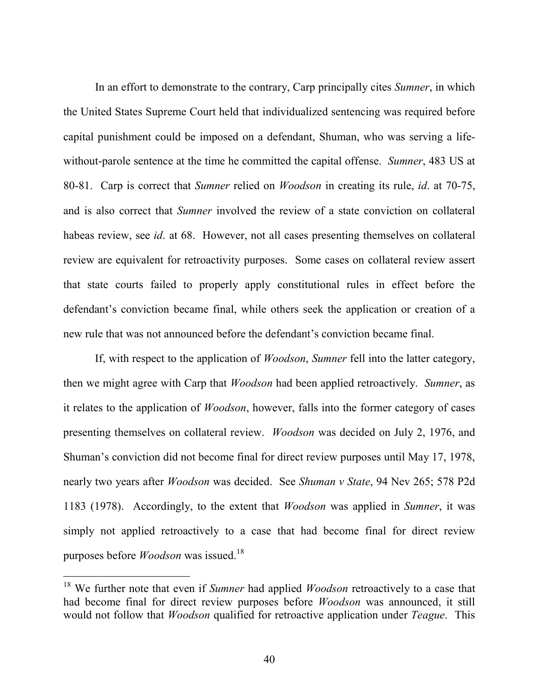In an effort to demonstrate to the contrary, Carp principally cites *Sumner*, in which the United States Supreme Court held that individualized sentencing was required before capital punishment could be imposed on a defendant, Shuman, who was serving a lifewithout-parole sentence at the time he committed the capital offense. *Sumner*, 483 US at 80-81. Carp is correct that *Sumner* relied on *Woodson* in creating its rule, *id*. at 70-75, and is also correct that *Sumner* involved the review of a state conviction on collateral habeas review, see *id*. at 68. However, not all cases presenting themselves on collateral review are equivalent for retroactivity purposes. Some cases on collateral review assert that state courts failed to properly apply constitutional rules in effect before the defendant's conviction became final, while others seek the application or creation of a new rule that was not announced before the defendant's conviction became final.

If, with respect to the application of *Woodson*, *Sumner* fell into the latter category, then we might agree with Carp that *Woodson* had been applied retroactively. *Sumner*, as it relates to the application of *Woodson*, however, falls into the former category of cases presenting themselves on collateral review. *Woodson* was decided on July 2, 1976, and Shuman's conviction did not become final for direct review purposes until May 17, 1978, nearly two years after *Woodson* was decided. See *Shuman v State*, 94 Nev 265; 578 P2d 1183 (1978). Accordingly, to the extent that *Woodson* was applied in *Sumner*, it was simply not applied retroactively to a case that had become final for direct review purposes before *Woodson* was issued. 18

 <sup>18</sup> We further note that even if *Sumner* had applied *Woodson* retroactively to a case that had become final for direct review purposes before *Woodson* was announced, it still would not follow that *Woodson* qualified for retroactive application under *Teague*. This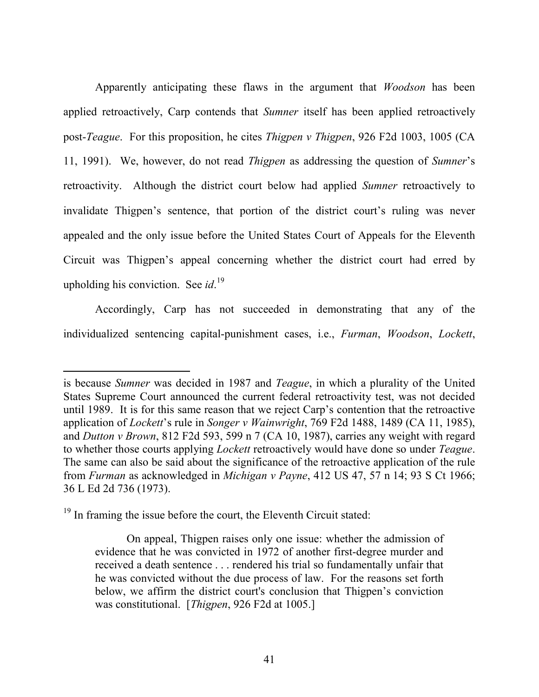Apparently anticipating these flaws in the argument that *Woodson* has been applied retroactively, Carp contends that *Sumner* itself has been applied retroactively post-*Teague*. For this proposition, he cites *Thigpen v Thigpen*, 926 F2d 1003, 1005 (CA 11, 1991). We, however, do not read *Thigpen* as addressing the question of *Sumner*'s retroactivity. Although the district court below had applied *Sumner* retroactively to invalidate Thigpen's sentence, that portion of the district court's ruling was never appealed and the only issue before the United States Court of Appeals for the Eleventh Circuit was Thigpen's appeal concerning whether the district court had erred by upholding his conviction. See *id*. 19

Accordingly, Carp has not succeeded in demonstrating that any of the individualized sentencing capital-punishment cases, i.e., *Furman*, *Woodson*, *Lockett*,

 $19$  In framing the issue before the court, the Eleventh Circuit stated:

 $\overline{a}$ 

is because *Sumner* was decided in 1987 and *Teague*, in which a plurality of the United States Supreme Court announced the current federal retroactivity test, was not decided until 1989. It is for this same reason that we reject Carp's contention that the retroactive application of *Lockett*'s rule in *Songer v Wainwright*, 769 F2d 1488, 1489 (CA 11, 1985), and *Dutton v Brown*, 812 F2d 593, 599 n 7 (CA 10, 1987), carries any weight with regard to whether those courts applying *Lockett* retroactively would have done so under *Teague*. The same can also be said about the significance of the retroactive application of the rule from *Furman* as acknowledged in *Michigan v Payne*, 412 US 47, 57 n 14; 93 S Ct 1966; 36 L Ed 2d 736 (1973).

On appeal, Thigpen raises only one issue: whether the admission of evidence that he was convicted in 1972 of another first-degree murder and received a death sentence . . . rendered his trial so fundamentally unfair that he was convicted without the due process of law. For the reasons set forth below, we affirm the district court's conclusion that Thigpen's conviction was constitutional. [*Thigpen*, 926 F2d at 1005.]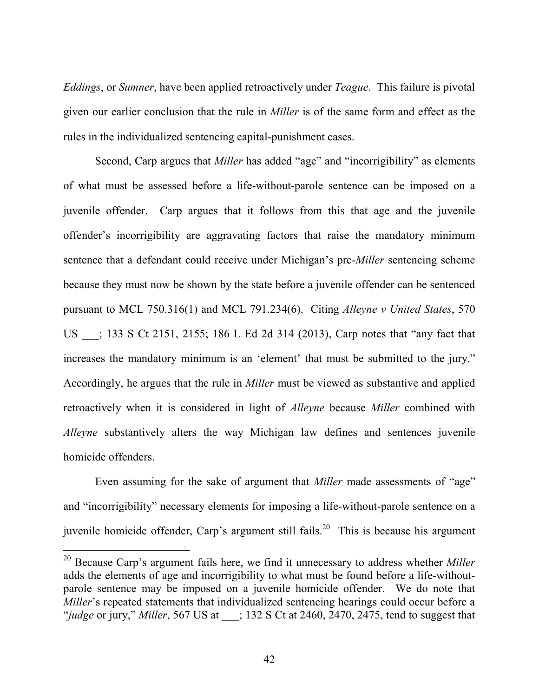*Eddings*, or *Sumner*, have been applied retroactively under *Teague*. This failure is pivotal given our earlier conclusion that the rule in *Miller* is of the same form and effect as the rules in the individualized sentencing capital-punishment cases.

Second, Carp argues that *Miller* has added "age" and "incorrigibility" as elements of what must be assessed before a life-without-parole sentence can be imposed on a juvenile offender. Carp argues that it follows from this that age and the juvenile offender's incorrigibility are aggravating factors that raise the mandatory minimum sentence that a defendant could receive under Michigan's pre-*Miller* sentencing scheme because they must now be shown by the state before a juvenile offender can be sentenced pursuant to MCL 750.316(1) and MCL 791.234(6). Citing *Alleyne v United States*, 570 US : 133 S Ct 2151, 2155; 186 L Ed 2d 314 (2013), Carp notes that "any fact that increases the mandatory minimum is an 'element' that must be submitted to the jury." Accordingly, he argues that the rule in *Miller* must be viewed as substantive and applied retroactively when it is considered in light of *Alleyne* because *Miller* combined with *Alleyne* substantively alters the way Michigan law defines and sentences juvenile homicide offenders.

Even assuming for the sake of argument that *Miller* made assessments of "age" and "incorrigibility" necessary elements for imposing a life-without-parole sentence on a juvenile homicide offender, Carp's argument still fails.<sup>20</sup> This is because his argument

 <sup>20</sup> Because Carp's argument fails here, we find it unnecessary to address whether *Miller* adds the elements of age and incorrigibility to what must be found before a life-withoutparole sentence may be imposed on a juvenile homicide offender. We do note that *Miller*'s repeated statements that individualized sentencing hearings could occur before a "*judge* or jury," *Miller*, 567 US at \_\_\_; 132 S Ct at 2460, 2470, 2475, tend to suggest that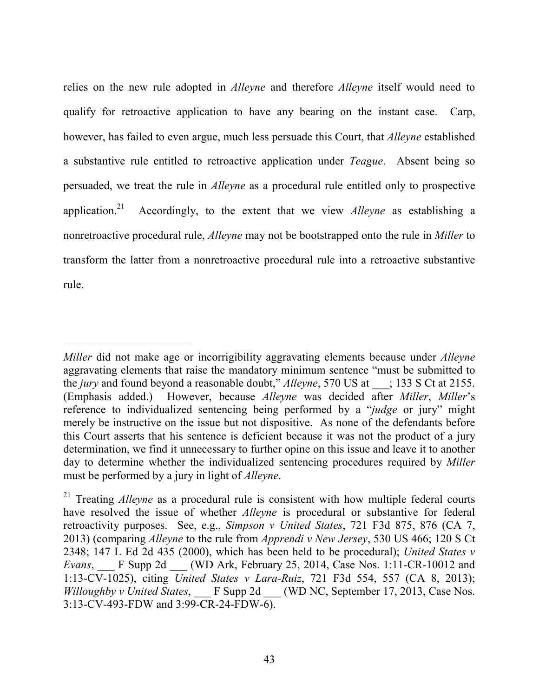relies on the new rule adopted in *Alleyne* and therefore *Alleyne* itself would need to qualify for retroactive application to have any bearing on the instant case. Carp, however, has failed to even argue, much less persuade this Court, that *Alleyne* established a substantive rule entitled to retroactive application under *Teague*. Absent being so persuaded, we treat the rule in *Alleyne* as a procedural rule entitled only to prospective application.<sup>21</sup> Accordingly, to the extent that we view *Alleyne* as establishing a nonretroactive procedural rule, *Alleyne* may not be bootstrapped onto the rule in *Miller* to transform the latter from a nonretroactive procedural rule into a retroactive substantive rule.

-

*Miller* did not make age or incorrigibility aggravating elements because under *Alleyne* aggravating elements that raise the mandatory minimum sentence "must be submitted to the *jury* and found beyond a reasonable doubt," *Alleyne*, 570 US at \_\_\_; 133 S Ct at 2155. (Emphasis added.) However, because *Alleyne* was decided after *Miller*, *Miller*'s reference to individualized sentencing being performed by a "*judge* or jury" might merely be instructive on the issue but not dispositive. As none of the defendants before this Court asserts that his sentence is deficient because it was not the product of a jury determination, we find it unnecessary to further opine on this issue and leave it to another day to determine whether the individualized sentencing procedures required by *Miller*  must be performed by a jury in light of *Alleyne*.

<sup>&</sup>lt;sup>21</sup> Treating *Alleyne* as a procedural rule is consistent with how multiple federal courts have resolved the issue of whether *Alleyne* is procedural or substantive for federal retroactivity purposes. See, e.g., *Simpson v United States*, 721 F3d 875, 876 (CA 7, 2013) (comparing *Alleyne* to the rule from *Apprendi v New Jersey*, 530 US 466; 120 S Ct 2348; 147 L Ed 2d 435 (2000), which has been held to be procedural); *United States v Evans*, F Supp 2d (WD Ark, February 25, 2014, Case Nos. 1:11-CR-10012 and 1:13-CV-1025), citing *United States v Lara-Ruiz*, 721 F3d 554, 557 (CA 8, 2013); *Willoughby v United States*, F Supp 2d (WD NC, September 17, 2013, Case Nos.) 3:13-CV-493-FDW and 3:99-CR-24-FDW-6).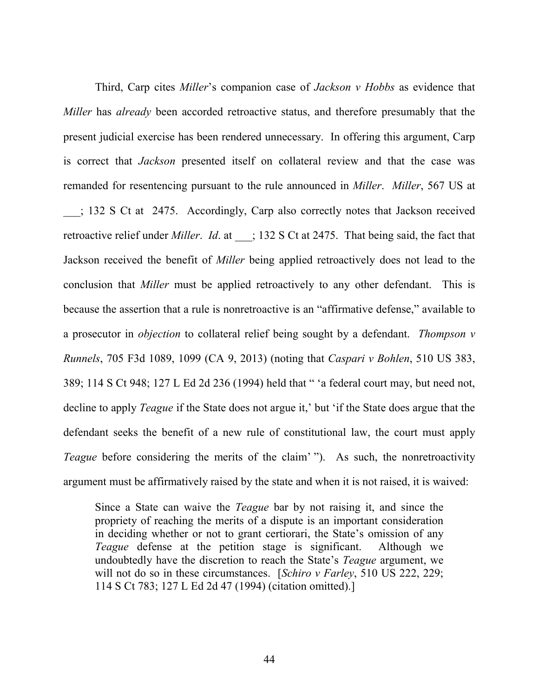Third, Carp cites *Miller*'s companion case of *Jackson v Hobbs* as evidence that *Miller* has *already* been accorded retroactive status, and therefore presumably that the present judicial exercise has been rendered unnecessary. In offering this argument, Carp is correct that *Jackson* presented itself on collateral review and that the case was remanded for resentencing pursuant to the rule announced in *Miller*. *Miller*, 567 US at \_\_\_; 132 S Ct at 2475. Accordingly, Carp also correctly notes that Jackson received retroactive relief under *Miller*. *Id*. at \_\_\_; 132 S Ct at 2475. That being said, the fact that Jackson received the benefit of *Miller* being applied retroactively does not lead to the conclusion that *Miller* must be applied retroactively to any other defendant. This is because the assertion that a rule is nonretroactive is an "affirmative defense," available to a prosecutor in *objection* to collateral relief being sought by a defendant. *Thompson v Runnels*, 705 F3d 1089, 1099 (CA 9, 2013) (noting that *Caspari v Bohlen*, 510 US 383, 389; 114 S Ct 948; 127 L Ed 2d 236 (1994) held that " 'a federal court may, but need not, decline to apply *Teague* if the State does not argue it,' but 'if the State does argue that the defendant seeks the benefit of a new rule of constitutional law, the court must apply *Teague* before considering the merits of the claim' "). As such, the nonretroactivity argument must be affirmatively raised by the state and when it is not raised, it is waived:

Since a State can waive the *Teague* bar by not raising it, and since the propriety of reaching the merits of a dispute is an important consideration in deciding whether or not to grant certiorari, the State's omission of any *Teague* defense at the petition stage is significant. Although we undoubtedly have the discretion to reach the State's *Teague* argument, we will not do so in these circumstances. [*Schiro v Farley*, 510 US 222, 229; 114 S Ct 783; 127 L Ed 2d 47 (1994) (citation omitted).]

44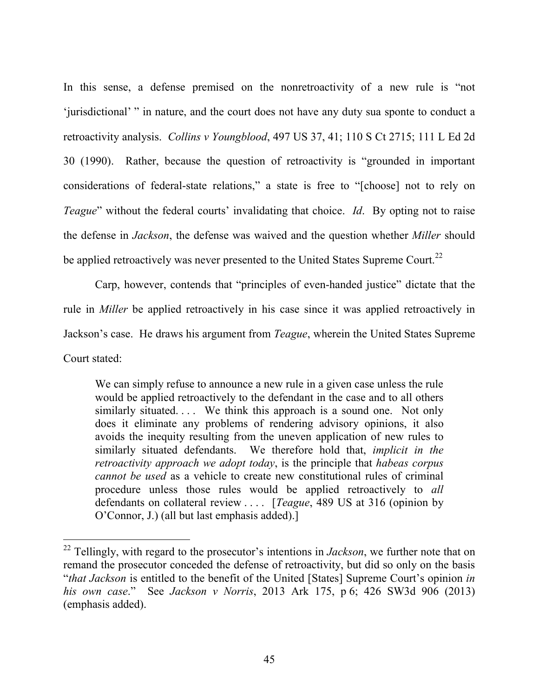In this sense, a defense premised on the nonretroactivity of a new rule is "not 'jurisdictional' " in nature, and the court does not have any duty sua sponte to conduct a retroactivity analysis. *Collins v Youngblood*, 497 US 37, 41; 110 S Ct 2715; 111 L Ed 2d 30 (1990). Rather, because the question of retroactivity is "grounded in important considerations of federal-state relations," a state is free to "[choose] not to rely on *Teague*" without the federal courts' invalidating that choice. *Id*. By opting not to raise the defense in *Jackson*, the defense was waived and the question whether *Miller* should be applied retroactively was never presented to the United States Supreme Court.<sup>22</sup>

Carp, however, contends that "principles of even-handed justice" dictate that the rule in *Miller* be applied retroactively in his case since it was applied retroactively in Jackson's case. He draws his argument from *Teague*, wherein the United States Supreme Court stated:

We can simply refuse to announce a new rule in a given case unless the rule would be applied retroactively to the defendant in the case and to all others similarly situated.... We think this approach is a sound one. Not only does it eliminate any problems of rendering advisory opinions, it also avoids the inequity resulting from the uneven application of new rules to similarly situated defendants. We therefore hold that, *implicit in the retroactivity approach we adopt today*, is the principle that *habeas corpus cannot be used* as a vehicle to create new constitutional rules of criminal procedure unless those rules would be applied retroactively to *all* defendants on collateral review . . . . [*Teague*, 489 US at 316 (opinion by O'Connor, J.) (all but last emphasis added).]

 <sup>22</sup> Tellingly, with regard to the prosecutor's intentions in *Jackson*, we further note that on remand the prosecutor conceded the defense of retroactivity, but did so only on the basis "*that Jackson* is entitled to the benefit of the United [States] Supreme Court's opinion *in his own case*." See *Jackson v Norris*, 2013 Ark 175, p 6; 426 SW3d 906 (2013) (emphasis added).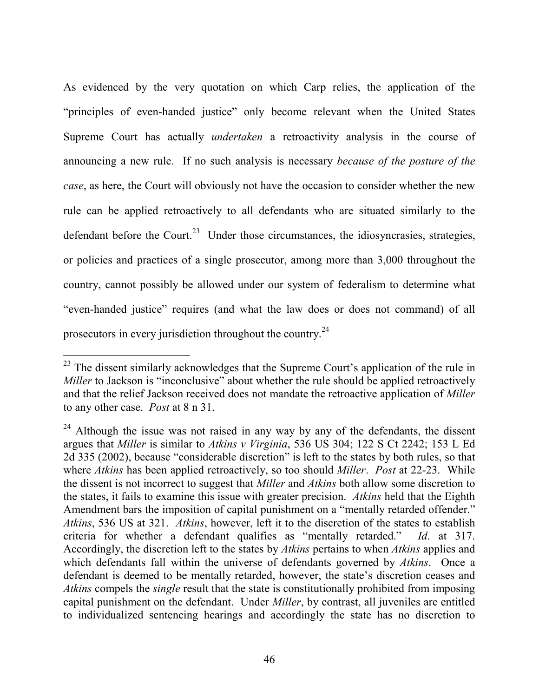As evidenced by the very quotation on which Carp relies, the application of the "principles of even-handed justice" only become relevant when the United States Supreme Court has actually *undertaken* a retroactivity analysis in the course of announcing a new rule. If no such analysis is necessary *because of the posture of the case*, as here, the Court will obviously not have the occasion to consider whether the new rule can be applied retroactively to all defendants who are situated similarly to the defendant before the Court.<sup>23</sup> Under those circumstances, the idiosyncrasies, strategies, or policies and practices of a single prosecutor, among more than 3,000 throughout the country, cannot possibly be allowed under our system of federalism to determine what "even-handed justice" requires (and what the law does or does not command) of all prosecutors in every jurisdiction throughout the country.24

<sup>&</sup>lt;sup>23</sup> The dissent similarly acknowledges that the Supreme Court's application of the rule in *Miller* to Jackson is "inconclusive" about whether the rule should be applied retroactively and that the relief Jackson received does not mandate the retroactive application of *Miller* to any other case. *Post* at 8 n 31.

 $24$  Although the issue was not raised in any way by any of the defendants, the dissent argues that *Miller* is similar to *Atkins v Virginia*, 536 US 304; 122 S Ct 2242; 153 L Ed 2d 335 (2002), because "considerable discretion" is left to the states by both rules, so that where *Atkins* has been applied retroactively, so too should *Miller*. *Post* at 22-23. While the dissent is not incorrect to suggest that *Miller* and *Atkins* both allow some discretion to the states, it fails to examine this issue with greater precision. *Atkins* held that the Eighth Amendment bars the imposition of capital punishment on a "mentally retarded offender." *Atkins*, 536 US at 321. *Atkins*, however, left it to the discretion of the states to establish criteria for whether a defendant qualifies as "mentally retarded." *Id*. at 317. Accordingly, the discretion left to the states by *Atkins* pertains to when *Atkins* applies and which defendants fall within the universe of defendants governed by *Atkins*. Once a defendant is deemed to be mentally retarded, however, the state's discretion ceases and *Atkins* compels the *single* result that the state is constitutionally prohibited from imposing capital punishment on the defendant. Under *Miller*, by contrast, all juveniles are entitled to individualized sentencing hearings and accordingly the state has no discretion to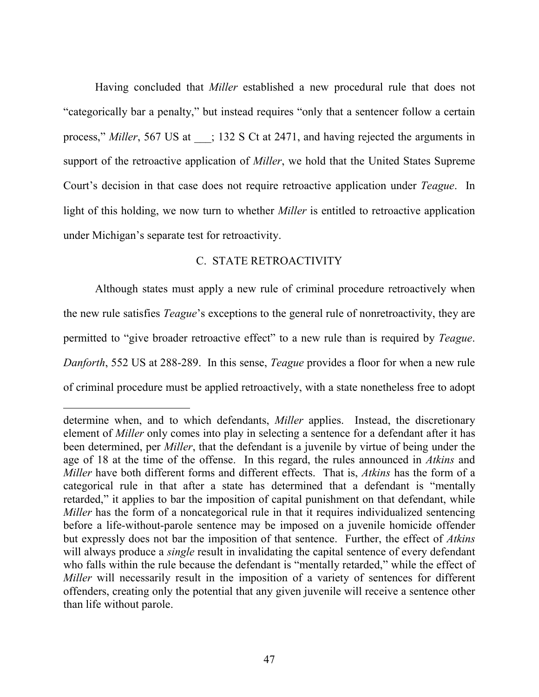Having concluded that *Miller* established a new procedural rule that does not "categorically bar a penalty," but instead requires "only that a sentencer follow a certain process," *Miller*, 567 US at  $\therefore$  132 S Ct at 2471, and having rejected the arguments in support of the retroactive application of *Miller*, we hold that the United States Supreme Court's decision in that case does not require retroactive application under *Teague*. In light of this holding, we now turn to whether *Miller* is entitled to retroactive application under Michigan's separate test for retroactivity.

## C. STATE RETROACTIVITY

Although states must apply a new rule of criminal procedure retroactively when the new rule satisfies *Teague*'s exceptions to the general rule of nonretroactivity, they are permitted to "give broader retroactive effect" to a new rule than is required by *Teague*. *Danforth*, 552 US at 288-289. In this sense, *Teague* provides a floor for when a new rule of criminal procedure must be applied retroactively, with a state nonetheless free to adopt

-

determine when, and to which defendants, *Miller* applies. Instead, the discretionary element of *Miller* only comes into play in selecting a sentence for a defendant after it has been determined, per *Miller*, that the defendant is a juvenile by virtue of being under the age of 18 at the time of the offense. In this regard, the rules announced in *Atkins* and *Miller* have both different forms and different effects. That is, *Atkins* has the form of a categorical rule in that after a state has determined that a defendant is "mentally retarded," it applies to bar the imposition of capital punishment on that defendant, while *Miller* has the form of a noncategorical rule in that it requires individualized sentencing before a life-without-parole sentence may be imposed on a juvenile homicide offender but expressly does not bar the imposition of that sentence. Further, the effect of *Atkins* will always produce a *single* result in invalidating the capital sentence of every defendant who falls within the rule because the defendant is "mentally retarded," while the effect of *Miller* will necessarily result in the imposition of a variety of sentences for different offenders, creating only the potential that any given juvenile will receive a sentence other than life without parole.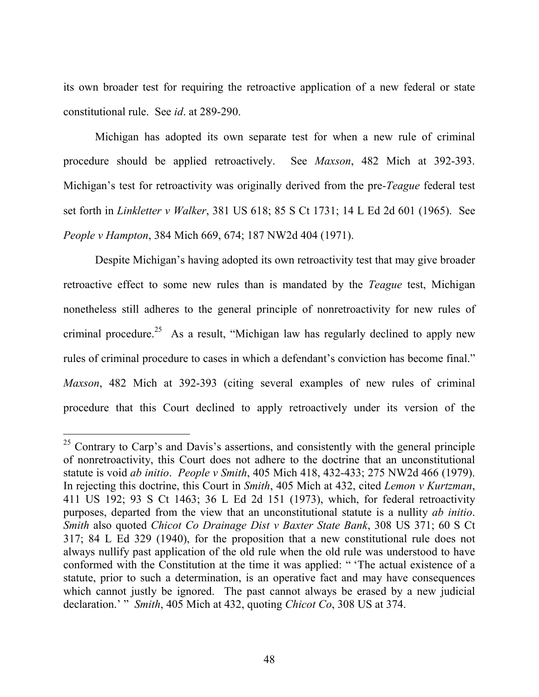its own broader test for requiring the retroactive application of a new federal or state constitutional rule. See *id*. at 289-290.

Michigan has adopted its own separate test for when a new rule of criminal procedure should be applied retroactively. See *Maxson*, 482 Mich at 392-393. Michigan's test for retroactivity was originally derived from the pre-*Teague* federal test set forth in *Linkletter v Walker*, 381 US 618; 85 S Ct 1731; 14 L Ed 2d 601 (1965). See *People v Hampton*, 384 Mich 669, 674; 187 NW2d 404 (1971).

Despite Michigan's having adopted its own retroactivity test that may give broader retroactive effect to some new rules than is mandated by the *Teague* test, Michigan nonetheless still adheres to the general principle of nonretroactivity for new rules of criminal procedure.<sup>25</sup> As a result, "Michigan law has regularly declined to apply new rules of criminal procedure to cases in which a defendant's conviction has become final." *Maxson*, 482 Mich at 392-393 (citing several examples of new rules of criminal procedure that this Court declined to apply retroactively under its version of the

 $25$  Contrary to Carp's and Davis's assertions, and consistently with the general principle of nonretroactivity, this Court does not adhere to the doctrine that an unconstitutional statute is void *ab initio*. *People v Smith*, 405 Mich 418, 432-433; 275 NW2d 466 (1979). In rejecting this doctrine, this Court in *Smith*, 405 Mich at 432, cited *Lemon v Kurtzman*, 411 US 192; 93 S Ct 1463; 36 L Ed 2d 151 (1973), which, for federal retroactivity purposes, departed from the view that an unconstitutional statute is a nullity *ab initio*. *Smith* also quoted *Chicot Co Drainage Dist v Baxter State Bank*, 308 US 371; 60 S Ct 317; 84 L Ed 329 (1940), for the proposition that a new constitutional rule does not always nullify past application of the old rule when the old rule was understood to have conformed with the Constitution at the time it was applied: " 'The actual existence of a statute, prior to such a determination, is an operative fact and may have consequences which cannot justly be ignored. The past cannot always be erased by a new judicial declaration.' " *Smith*, 405 Mich at 432, quoting *Chicot Co*, 308 US at 374.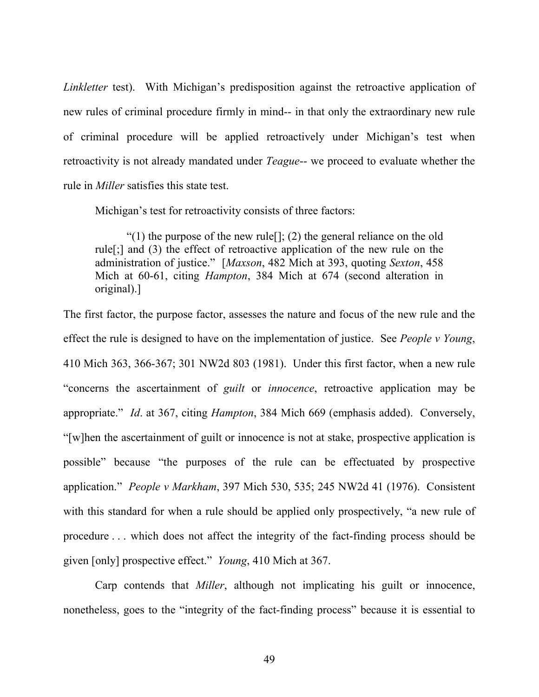*Linkletter* test). With Michigan's predisposition against the retroactive application of new rules of criminal procedure firmly in mind-- in that only the extraordinary new rule of criminal procedure will be applied retroactively under Michigan's test when retroactivity is not already mandated under *Teague*-- we proceed to evaluate whether the rule in *Miller* satisfies this state test.

Michigan's test for retroactivity consists of three factors:

"(1) the purpose of the new rule  $[\cdot]$ ; (2) the general reliance on the old rule[;] and (3) the effect of retroactive application of the new rule on the administration of justice." [*Maxson*, 482 Mich at 393, quoting *Sexton*, 458 Mich at 60-61, citing *Hampton*, 384 Mich at 674 (second alteration in original).]

The first factor, the purpose factor, assesses the nature and focus of the new rule and the effect the rule is designed to have on the implementation of justice. See *People v Young*, 410 Mich 363, 366-367; 301 NW2d 803 (1981). Under this first factor, when a new rule "concerns the ascertainment of *guilt* or *innocence*, retroactive application may be appropriate." *Id*. at 367, citing *Hampton*, 384 Mich 669 (emphasis added). Conversely, "[w]hen the ascertainment of guilt or innocence is not at stake, prospective application is possible" because "the purposes of the rule can be effectuated by prospective application." *People v Markham*, 397 Mich 530, 535; 245 NW2d 41 (1976). Consistent with this standard for when a rule should be applied only prospectively, "a new rule of procedure . . . which does not affect the integrity of the fact-finding process should be given [only] prospective effect." *Young*, 410 Mich at 367.

Carp contends that *Miller*, although not implicating his guilt or innocence, nonetheless, goes to the "integrity of the fact-finding process" because it is essential to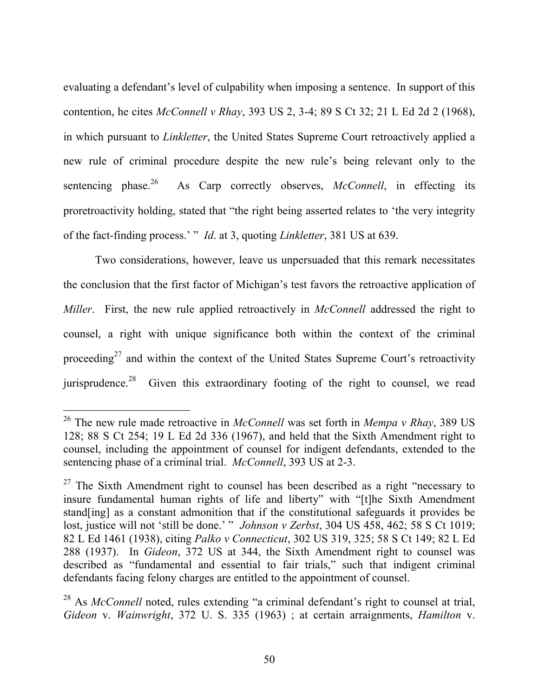evaluating a defendant's level of culpability when imposing a sentence. In support of this contention, he cites *McConnell v Rhay*, 393 US 2, 3-4; 89 S Ct 32; 21 L Ed 2d 2 (1968), in which pursuant to *Linkletter*, the United States Supreme Court retroactively applied a new rule of criminal procedure despite the new rule's being relevant only to the sentencing phase.<sup>26</sup> As Carp correctly observes, *McConnell*, in effecting its proretroactivity holding, stated that "the right being asserted relates to 'the very integrity of the fact-finding process.' " *Id*. at 3, quoting *Linkletter*, 381 US at 639.

Two considerations, however, leave us unpersuaded that this remark necessitates the conclusion that the first factor of Michigan's test favors the retroactive application of *Miller*. First, the new rule applied retroactively in *McConnell* addressed the right to counsel, a right with unique significance both within the context of the criminal proceeding<sup>27</sup> and within the context of the United States Supreme Court's retroactivity jurisprudence.<sup>28</sup> Given this extraordinary footing of the right to counsel, we read

 <sup>26</sup> The new rule made retroactive in *McConnell* was set forth in *Mempa v Rhay*, 389 US 128; 88 S Ct 254; 19 L Ed 2d 336 (1967), and held that the Sixth Amendment right to counsel, including the appointment of counsel for indigent defendants, extended to the sentencing phase of a criminal trial. *McConnell*, 393 US at 2-3.

 $27$  The Sixth Amendment right to counsel has been described as a right "necessary to insure fundamental human rights of life and liberty" with "[t]he Sixth Amendment stand[ing] as a constant admonition that if the constitutional safeguards it provides be lost, justice will not 'still be done.' " *Johnson v Zerbst*, 304 US 458, 462; 58 S Ct 1019; 82 L Ed 1461 (1938), citing *Palko v Connecticut*, 302 US 319, 325; 58 S Ct 149; 82 L Ed 288 (1937). In *Gideon*, 372 US at 344, the Sixth Amendment right to counsel was described as "fundamental and essential to fair trials," such that indigent criminal defendants facing felony charges are entitled to the appointment of counsel.

<sup>28</sup> As *McConnell* noted, rules extending "a criminal defendant's right to counsel at trial, *Gideon* v. *Wainwright*, 372 U. S. 335 (1963) ; at certain arraignments, *Hamilton* v.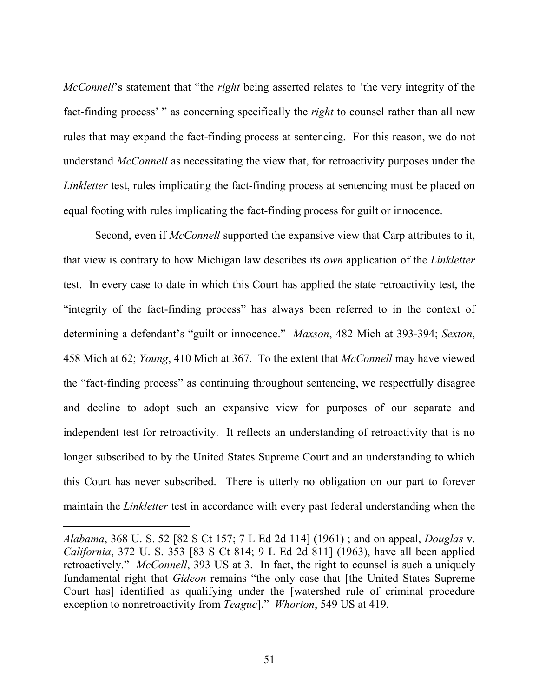*McConnell*'s statement that "the *right* being asserted relates to 'the very integrity of the fact-finding process' " as concerning specifically the *right* to counsel rather than all new rules that may expand the fact-finding process at sentencing. For this reason, we do not understand *McConnell* as necessitating the view that, for retroactivity purposes under the *Linkletter* test, rules implicating the fact-finding process at sentencing must be placed on equal footing with rules implicating the fact-finding process for guilt or innocence.

Second, even if *McConnell* supported the expansive view that Carp attributes to it, that view is contrary to how Michigan law describes its *own* application of the *Linkletter* test. In every case to date in which this Court has applied the state retroactivity test, the "integrity of the fact-finding process" has always been referred to in the context of determining a defendant's "guilt or innocence." *Maxson*, 482 Mich at 393-394; *Sexton*, 458 Mich at 62; *Young*, 410 Mich at 367. To the extent that *McConnell* may have viewed the "fact-finding process" as continuing throughout sentencing, we respectfully disagree and decline to adopt such an expansive view for purposes of our separate and independent test for retroactivity. It reflects an understanding of retroactivity that is no longer subscribed to by the United States Supreme Court and an understanding to which this Court has never subscribed. There is utterly no obligation on our part to forever maintain the *Linkletter* test in accordance with every past federal understanding when the

-

*Alabama*, 368 U. S. 52 [82 S Ct 157; 7 L Ed 2d 114] (1961) ; and on appeal, *Douglas* v. *California*, 372 U. S. 353 [83 S Ct 814; 9 L Ed 2d 811] (1963), have all been applied retroactively." *McConnell*, 393 US at 3. In fact, the right to counsel is such a uniquely fundamental right that *Gideon* remains "the only case that [the United States Supreme Court has] identified as qualifying under the [watershed rule of criminal procedure exception to nonretroactivity from *Teague*]." *Whorton*, 549 US at 419.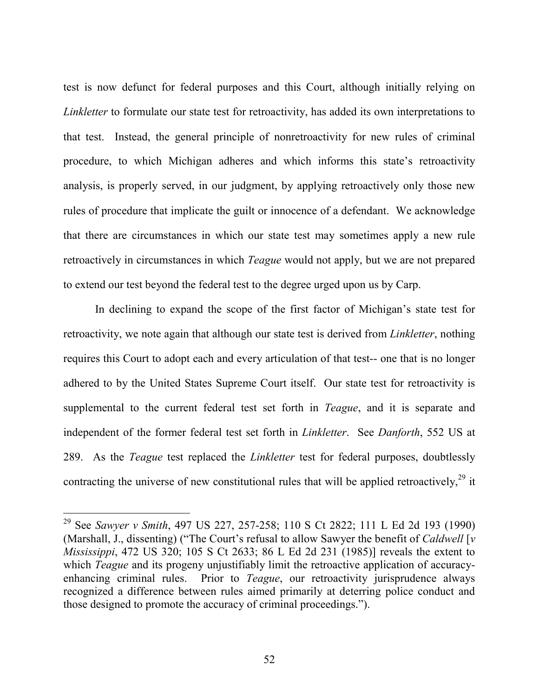test is now defunct for federal purposes and this Court, although initially relying on *Linkletter* to formulate our state test for retroactivity, has added its own interpretations to that test. Instead, the general principle of nonretroactivity for new rules of criminal procedure, to which Michigan adheres and which informs this state's retroactivity analysis, is properly served, in our judgment, by applying retroactively only those new rules of procedure that implicate the guilt or innocence of a defendant. We acknowledge that there are circumstances in which our state test may sometimes apply a new rule retroactively in circumstances in which *Teague* would not apply, but we are not prepared to extend our test beyond the federal test to the degree urged upon us by Carp.

In declining to expand the scope of the first factor of Michigan's state test for retroactivity, we note again that although our state test is derived from *Linkletter*, nothing requires this Court to adopt each and every articulation of that test-- one that is no longer adhered to by the United States Supreme Court itself. Our state test for retroactivity is supplemental to the current federal test set forth in *Teague*, and it is separate and independent of the former federal test set forth in *Linkletter*. See *Danforth*, 552 US at 289. As the *Teague* test replaced the *Linkletter* test for federal purposes, doubtlessly contracting the universe of new constitutional rules that will be applied retroactively,<sup>29</sup> it

 <sup>29</sup> See *Sawyer v Smith*, 497 US 227, 257-258; 110 S Ct 2822; 111 L Ed 2d 193 (1990) (Marshall, J., dissenting) ("The Court's refusal to allow Sawyer the benefit of *Caldwell* [*v Mississippi*, 472 US 320; 105 S Ct 2633; 86 L Ed 2d 231 (1985)] reveals the extent to which *Teague* and its progeny unjustifiably limit the retroactive application of accuracyenhancing criminal rules. Prior to *Teague*, our retroactivity jurisprudence always recognized a difference between rules aimed primarily at deterring police conduct and those designed to promote the accuracy of criminal proceedings.").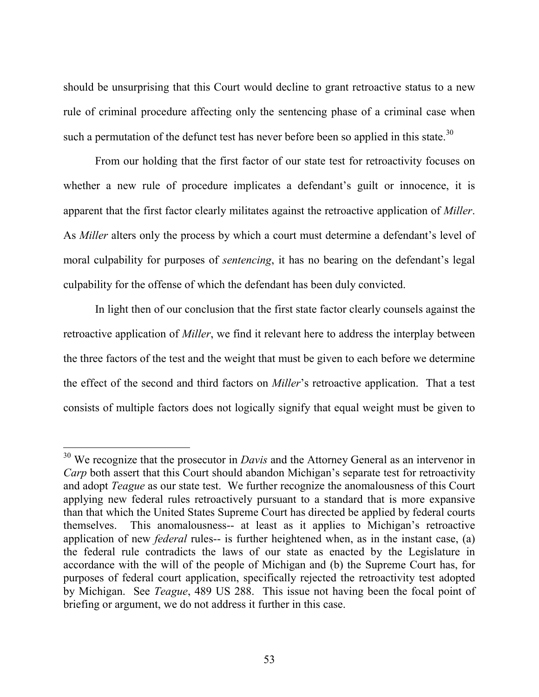should be unsurprising that this Court would decline to grant retroactive status to a new rule of criminal procedure affecting only the sentencing phase of a criminal case when such a permutation of the defunct test has never before been so applied in this state.<sup>30</sup>

From our holding that the first factor of our state test for retroactivity focuses on whether a new rule of procedure implicates a defendant's guilt or innocence, it is apparent that the first factor clearly militates against the retroactive application of *Miller*. As *Miller* alters only the process by which a court must determine a defendant's level of moral culpability for purposes of *sentencing*, it has no bearing on the defendant's legal culpability for the offense of which the defendant has been duly convicted.

In light then of our conclusion that the first state factor clearly counsels against the retroactive application of *Miller*, we find it relevant here to address the interplay between the three factors of the test and the weight that must be given to each before we determine the effect of the second and third factors on *Miller*'s retroactive application. That a test consists of multiple factors does not logically signify that equal weight must be given to

<sup>&</sup>lt;sup>30</sup> We recognize that the prosecutor in *Davis* and the Attorney General as an intervenor in *Carp* both assert that this Court should abandon Michigan's separate test for retroactivity and adopt *Teague* as our state test. We further recognize the anomalousness of this Court applying new federal rules retroactively pursuant to a standard that is more expansive than that which the United States Supreme Court has directed be applied by federal courts themselves. This anomalousness-- at least as it applies to Michigan's retroactive application of new *federal* rules-- is further heightened when, as in the instant case, (a) the federal rule contradicts the laws of our state as enacted by the Legislature in accordance with the will of the people of Michigan and (b) the Supreme Court has, for purposes of federal court application, specifically rejected the retroactivity test adopted by Michigan. See *Teague*, 489 US 288. This issue not having been the focal point of briefing or argument, we do not address it further in this case.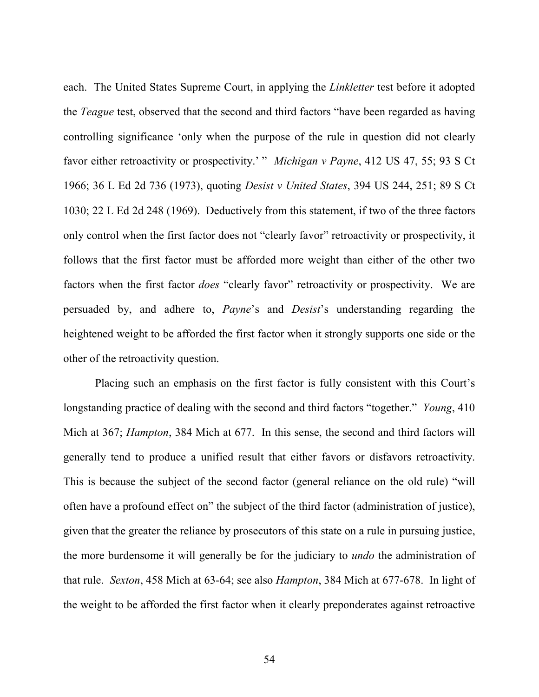each. The United States Supreme Court, in applying the *Linkletter* test before it adopted the *Teague* test, observed that the second and third factors "have been regarded as having controlling significance 'only when the purpose of the rule in question did not clearly favor either retroactivity or prospectivity.' " *Michigan v Payne*, 412 US 47, 55; 93 S Ct 1966; 36 L Ed 2d 736 (1973), quoting *Desist v United States*, 394 US 244, 251; 89 S Ct 1030; 22 L Ed 2d 248 (1969). Deductively from this statement, if two of the three factors only control when the first factor does not "clearly favor" retroactivity or prospectivity, it follows that the first factor must be afforded more weight than either of the other two factors when the first factor *does* "clearly favor" retroactivity or prospectivity. We are persuaded by, and adhere to, *Payne*'s and *Desist*'s understanding regarding the heightened weight to be afforded the first factor when it strongly supports one side or the other of the retroactivity question.

Placing such an emphasis on the first factor is fully consistent with this Court's longstanding practice of dealing with the second and third factors "together." *Young*, 410 Mich at 367; *Hampton*, 384 Mich at 677. In this sense, the second and third factors will generally tend to produce a unified result that either favors or disfavors retroactivity. This is because the subject of the second factor (general reliance on the old rule) "will often have a profound effect on" the subject of the third factor (administration of justice), given that the greater the reliance by prosecutors of this state on a rule in pursuing justice, the more burdensome it will generally be for the judiciary to *undo* the administration of that rule. *Sexton*, 458 Mich at 63-64; see also *Hampton*, 384 Mich at 677-678. In light of the weight to be afforded the first factor when it clearly preponderates against retroactive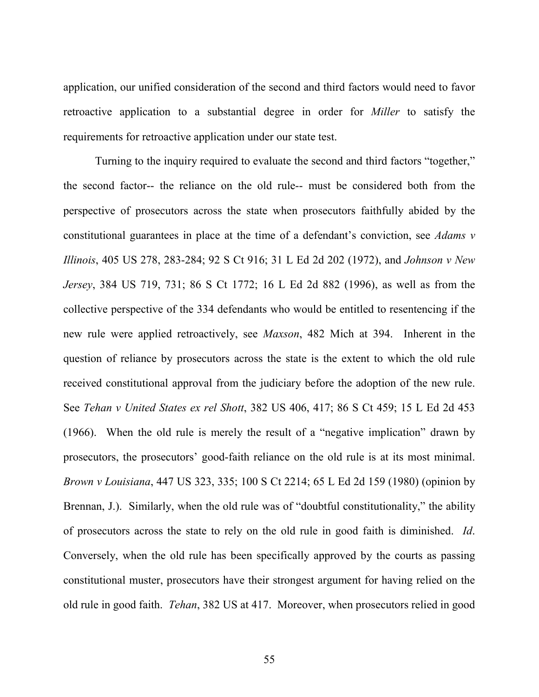application, our unified consideration of the second and third factors would need to favor retroactive application to a substantial degree in order for *Miller* to satisfy the requirements for retroactive application under our state test.

Turning to the inquiry required to evaluate the second and third factors "together," the second factor-- the reliance on the old rule-- must be considered both from the perspective of prosecutors across the state when prosecutors faithfully abided by the constitutional guarantees in place at the time of a defendant's conviction, see *Adams v Illinois*, 405 US 278, 283-284; 92 S Ct 916; 31 L Ed 2d 202 (1972), and *Johnson v New Jersey*, 384 US 719, 731; 86 S Ct 1772; 16 L Ed 2d 882 (1996), as well as from the collective perspective of the 334 defendants who would be entitled to resentencing if the new rule were applied retroactively, see *Maxson*, 482 Mich at 394. Inherent in the question of reliance by prosecutors across the state is the extent to which the old rule received constitutional approval from the judiciary before the adoption of the new rule. See *Tehan v United States ex rel Shott*, 382 US 406, 417; 86 S Ct 459; 15 L Ed 2d 453 (1966). When the old rule is merely the result of a "negative implication" drawn by prosecutors, the prosecutors' good-faith reliance on the old rule is at its most minimal. *Brown v Louisiana*, 447 US 323, 335; 100 S Ct 2214; 65 L Ed 2d 159 (1980) (opinion by Brennan, J.). Similarly, when the old rule was of "doubtful constitutionality," the ability of prosecutors across the state to rely on the old rule in good faith is diminished. *Id*. Conversely, when the old rule has been specifically approved by the courts as passing constitutional muster, prosecutors have their strongest argument for having relied on the old rule in good faith. *Tehan*, 382 US at 417. Moreover, when prosecutors relied in good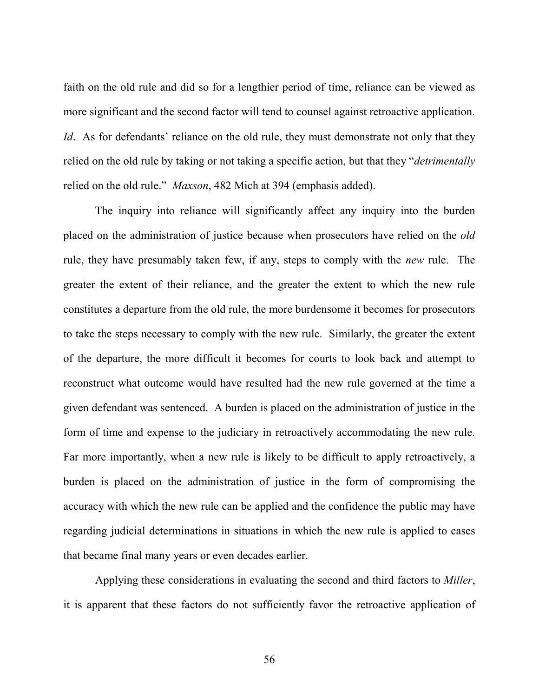faith on the old rule and did so for a lengthier period of time, reliance can be viewed as more significant and the second factor will tend to counsel against retroactive application. *Id.* As for defendants' reliance on the old rule, they must demonstrate not only that they relied on the old rule by taking or not taking a specific action, but that they "*detrimentally* relied on the old rule." *Maxson*, 482 Mich at 394 (emphasis added).

The inquiry into reliance will significantly affect any inquiry into the burden placed on the administration of justice because when prosecutors have relied on the *old* rule, they have presumably taken few, if any, steps to comply with the *new* rule. The greater the extent of their reliance, and the greater the extent to which the new rule constitutes a departure from the old rule, the more burdensome it becomes for prosecutors to take the steps necessary to comply with the new rule. Similarly, the greater the extent of the departure, the more difficult it becomes for courts to look back and attempt to reconstruct what outcome would have resulted had the new rule governed at the time a given defendant was sentenced. A burden is placed on the administration of justice in the form of time and expense to the judiciary in retroactively accommodating the new rule. Far more importantly, when a new rule is likely to be difficult to apply retroactively, a burden is placed on the administration of justice in the form of compromising the accuracy with which the new rule can be applied and the confidence the public may have regarding judicial determinations in situations in which the new rule is applied to cases that became final many years or even decades earlier.

Applying these considerations in evaluating the second and third factors to *Miller*, it is apparent that these factors do not sufficiently favor the retroactive application of

56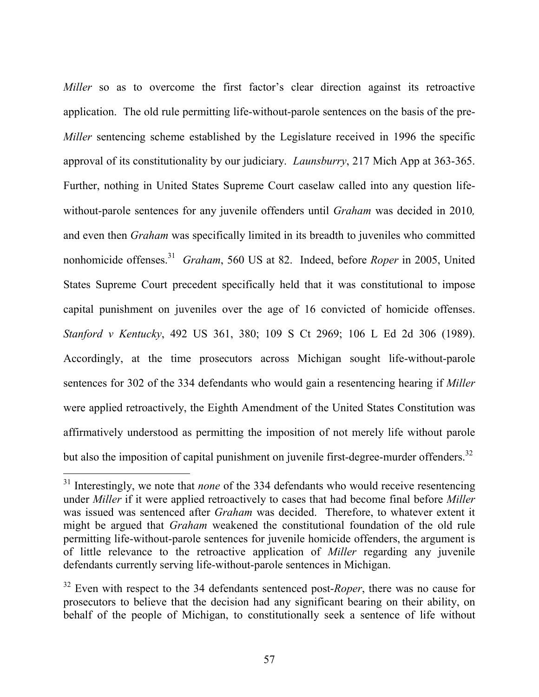*Miller* so as to overcome the first factor's clear direction against its retroactive application. The old rule permitting life-without-parole sentences on the basis of the pre-*Miller* sentencing scheme established by the Legislature received in 1996 the specific approval of its constitutionality by our judiciary. *Launsburry*, 217 Mich App at 363-365. Further, nothing in United States Supreme Court caselaw called into any question lifewithout-parole sentences for any juvenile offenders until *Graham* was decided in 2010*,* and even then *Graham* was specifically limited in its breadth to juveniles who committed nonhomicide offenses.31 *Graham*, 560 US at 82. Indeed, before *Roper* in 2005, United States Supreme Court precedent specifically held that it was constitutional to impose capital punishment on juveniles over the age of 16 convicted of homicide offenses. *Stanford v Kentucky*, 492 US 361, 380; 109 S Ct 2969; 106 L Ed 2d 306 (1989). Accordingly, at the time prosecutors across Michigan sought life-without-parole sentences for 302 of the 334 defendants who would gain a resentencing hearing if *Miller* were applied retroactively, the Eighth Amendment of the United States Constitution was affirmatively understood as permitting the imposition of not merely life without parole but also the imposition of capital punishment on juvenile first-degree-murder offenders.<sup>32</sup>

<sup>&</sup>lt;sup>31</sup> Interestingly, we note that *none* of the 334 defendants who would receive resentencing under *Miller* if it were applied retroactively to cases that had become final before *Miller* was issued was sentenced after *Graham* was decided. Therefore, to whatever extent it might be argued that *Graham* weakened the constitutional foundation of the old rule permitting life-without-parole sentences for juvenile homicide offenders, the argument is of little relevance to the retroactive application of *Miller* regarding any juvenile defendants currently serving life-without-parole sentences in Michigan.

<sup>&</sup>lt;sup>32</sup> Even with respect to the 34 defendants sentenced post-*Roper*, there was no cause for prosecutors to believe that the decision had any significant bearing on their ability, on behalf of the people of Michigan, to constitutionally seek a sentence of life without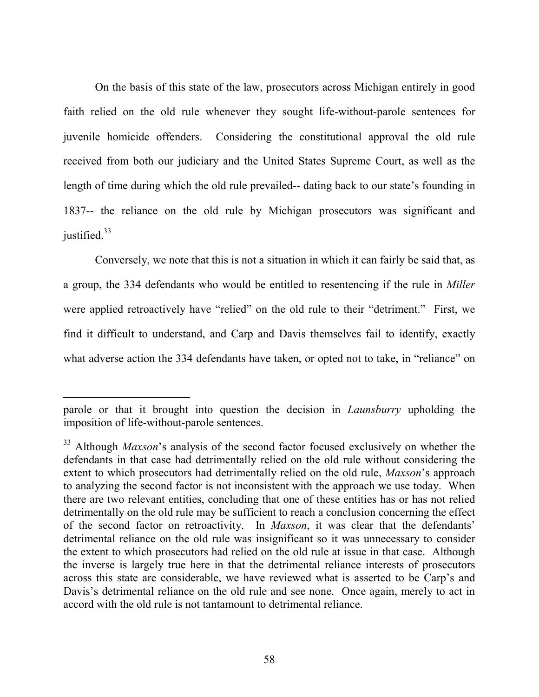On the basis of this state of the law, prosecutors across Michigan entirely in good faith relied on the old rule whenever they sought life-without-parole sentences for juvenile homicide offenders. Considering the constitutional approval the old rule received from both our judiciary and the United States Supreme Court, as well as the length of time during which the old rule prevailed-- dating back to our state's founding in 1837-- the reliance on the old rule by Michigan prosecutors was significant and justified.<sup>33</sup>

Conversely, we note that this is not a situation in which it can fairly be said that, as a group, the 334 defendants who would be entitled to resentencing if the rule in *Miller* were applied retroactively have "relied" on the old rule to their "detriment." First, we find it difficult to understand, and Carp and Davis themselves fail to identify, exactly what adverse action the 334 defendants have taken, or opted not to take, in "reliance" on

 $\overline{a}$ 

parole or that it brought into question the decision in *Launsburry* upholding the imposition of life-without-parole sentences.

<sup>&</sup>lt;sup>33</sup> Although *Maxson*'s analysis of the second factor focused exclusively on whether the defendants in that case had detrimentally relied on the old rule without considering the extent to which prosecutors had detrimentally relied on the old rule, *Maxson*'s approach to analyzing the second factor is not inconsistent with the approach we use today. When there are two relevant entities, concluding that one of these entities has or has not relied detrimentally on the old rule may be sufficient to reach a conclusion concerning the effect of the second factor on retroactivity. In *Maxson*, it was clear that the defendants' detrimental reliance on the old rule was insignificant so it was unnecessary to consider the extent to which prosecutors had relied on the old rule at issue in that case. Although the inverse is largely true here in that the detrimental reliance interests of prosecutors across this state are considerable, we have reviewed what is asserted to be Carp's and Davis's detrimental reliance on the old rule and see none. Once again, merely to act in accord with the old rule is not tantamount to detrimental reliance.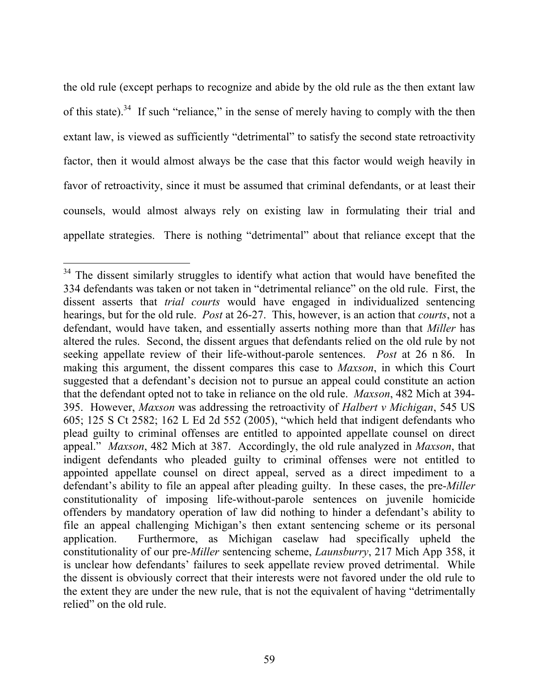the old rule (except perhaps to recognize and abide by the old rule as the then extant law of this state).<sup>34</sup> If such "reliance," in the sense of merely having to comply with the then extant law, is viewed as sufficiently "detrimental" to satisfy the second state retroactivity factor, then it would almost always be the case that this factor would weigh heavily in favor of retroactivity, since it must be assumed that criminal defendants, or at least their counsels, would almost always rely on existing law in formulating their trial and appellate strategies. There is nothing "detrimental" about that reliance except that the

<sup>&</sup>lt;sup>34</sup> The dissent similarly struggles to identify what action that would have benefited the 334 defendants was taken or not taken in "detrimental reliance" on the old rule. First, the dissent asserts that *trial courts* would have engaged in individualized sentencing hearings, but for the old rule. *Post* at 26-27. This, however, is an action that *courts*, not a defendant, would have taken, and essentially asserts nothing more than that *Miller* has altered the rules. Second, the dissent argues that defendants relied on the old rule by not seeking appellate review of their life-without-parole sentences. *Post* at 26 n 86. In making this argument, the dissent compares this case to *Maxson*, in which this Court suggested that a defendant's decision not to pursue an appeal could constitute an action that the defendant opted not to take in reliance on the old rule. *Maxson*, 482 Mich at 394- 395. However, *Maxson* was addressing the retroactivity of *Halbert v Michigan*, 545 US 605; 125 S Ct 2582; 162 L Ed 2d 552 (2005), "which held that indigent defendants who plead guilty to criminal offenses are entitled to appointed appellate counsel on direct appeal." *Maxson*, 482 Mich at 387. Accordingly, the old rule analyzed in *Maxson*, that indigent defendants who pleaded guilty to criminal offenses were not entitled to appointed appellate counsel on direct appeal, served as a direct impediment to a defendant's ability to file an appeal after pleading guilty. In these cases, the pre-*Miller* constitutionality of imposing life-without-parole sentences on juvenile homicide offenders by mandatory operation of law did nothing to hinder a defendant's ability to file an appeal challenging Michigan's then extant sentencing scheme or its personal application. Furthermore, as Michigan caselaw had specifically upheld the constitutionality of our pre-*Miller* sentencing scheme, *Launsburry*, 217 Mich App 358, it is unclear how defendants' failures to seek appellate review proved detrimental. While the dissent is obviously correct that their interests were not favored under the old rule to the extent they are under the new rule, that is not the equivalent of having "detrimentally relied" on the old rule.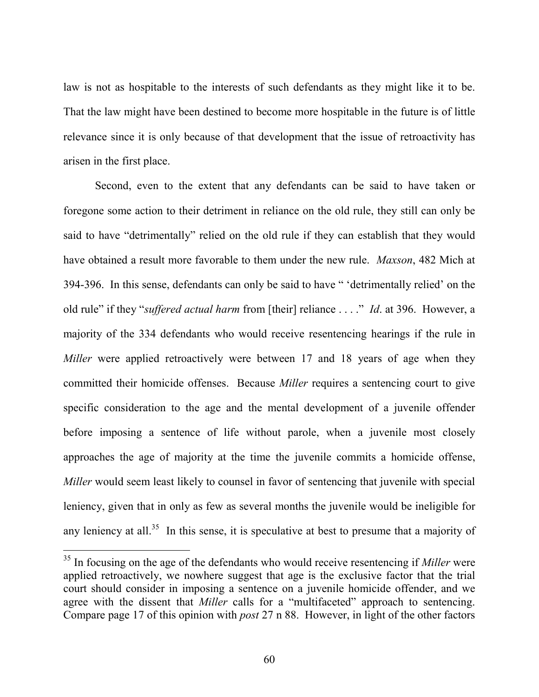law is not as hospitable to the interests of such defendants as they might like it to be. That the law might have been destined to become more hospitable in the future is of little relevance since it is only because of that development that the issue of retroactivity has arisen in the first place.

Second, even to the extent that any defendants can be said to have taken or foregone some action to their detriment in reliance on the old rule, they still can only be said to have "detrimentally" relied on the old rule if they can establish that they would have obtained a result more favorable to them under the new rule. *Maxson*, 482 Mich at 394-396. In this sense, defendants can only be said to have " 'detrimentally relied' on the old rule" if they "*suffered actual harm* from [their] reliance . . . ." *Id*. at 396. However, a majority of the 334 defendants who would receive resentencing hearings if the rule in *Miller* were applied retroactively were between 17 and 18 years of age when they committed their homicide offenses. Because *Miller* requires a sentencing court to give specific consideration to the age and the mental development of a juvenile offender before imposing a sentence of life without parole, when a juvenile most closely approaches the age of majority at the time the juvenile commits a homicide offense, *Miller* would seem least likely to counsel in favor of sentencing that juvenile with special leniency, given that in only as few as several months the juvenile would be ineligible for any leniency at all.<sup>35</sup> In this sense, it is speculative at best to presume that a majority of

<sup>&</sup>lt;sup>35</sup> In focusing on the age of the defendants who would receive resentencing if *Miller* were applied retroactively, we nowhere suggest that age is the exclusive factor that the trial court should consider in imposing a sentence on a juvenile homicide offender, and we agree with the dissent that *Miller* calls for a "multifaceted" approach to sentencing. Compare page 17 of this opinion with *post* 27 n 88. However, in light of the other factors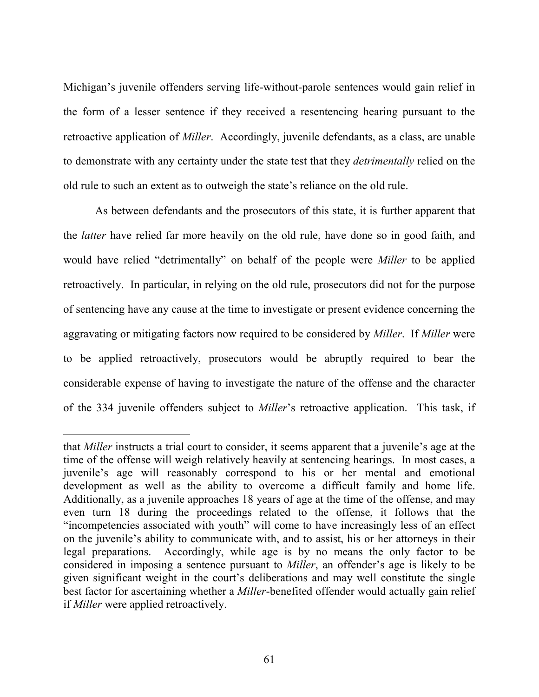Michigan's juvenile offenders serving life-without-parole sentences would gain relief in the form of a lesser sentence if they received a resentencing hearing pursuant to the retroactive application of *Miller*. Accordingly, juvenile defendants, as a class, are unable to demonstrate with any certainty under the state test that they *detrimentally* relied on the old rule to such an extent as to outweigh the state's reliance on the old rule.

As between defendants and the prosecutors of this state, it is further apparent that the *latter* have relied far more heavily on the old rule, have done so in good faith, and would have relied "detrimentally" on behalf of the people were *Miller* to be applied retroactively. In particular, in relying on the old rule, prosecutors did not for the purpose of sentencing have any cause at the time to investigate or present evidence concerning the aggravating or mitigating factors now required to be considered by *Miller*. If *Miller* were to be applied retroactively, prosecutors would be abruptly required to bear the considerable expense of having to investigate the nature of the offense and the character of the 334 juvenile offenders subject to *Miller*'s retroactive application. This task, if

 $\overline{a}$ 

that *Miller* instructs a trial court to consider, it seems apparent that a juvenile's age at the time of the offense will weigh relatively heavily at sentencing hearings. In most cases, a juvenile's age will reasonably correspond to his or her mental and emotional development as well as the ability to overcome a difficult family and home life. Additionally, as a juvenile approaches 18 years of age at the time of the offense, and may even turn 18 during the proceedings related to the offense, it follows that the "incompetencies associated with youth" will come to have increasingly less of an effect on the juvenile's ability to communicate with, and to assist, his or her attorneys in their legal preparations. Accordingly, while age is by no means the only factor to be considered in imposing a sentence pursuant to *Miller*, an offender's age is likely to be given significant weight in the court's deliberations and may well constitute the single best factor for ascertaining whether a *Miller*-benefited offender would actually gain relief if *Miller* were applied retroactively.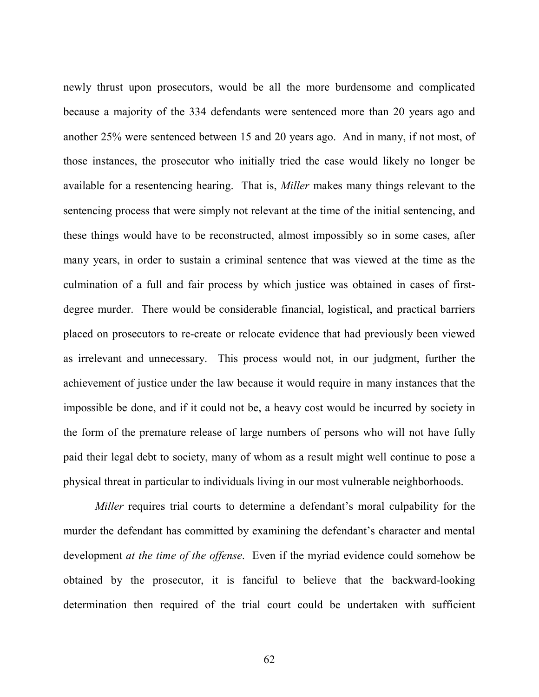newly thrust upon prosecutors, would be all the more burdensome and complicated because a majority of the 334 defendants were sentenced more than 20 years ago and another 25% were sentenced between 15 and 20 years ago. And in many, if not most, of those instances, the prosecutor who initially tried the case would likely no longer be available for a resentencing hearing. That is, *Miller* makes many things relevant to the sentencing process that were simply not relevant at the time of the initial sentencing, and these things would have to be reconstructed, almost impossibly so in some cases, after many years, in order to sustain a criminal sentence that was viewed at the time as the culmination of a full and fair process by which justice was obtained in cases of firstdegree murder. There would be considerable financial, logistical, and practical barriers placed on prosecutors to re-create or relocate evidence that had previously been viewed as irrelevant and unnecessary. This process would not, in our judgment, further the achievement of justice under the law because it would require in many instances that the impossible be done, and if it could not be, a heavy cost would be incurred by society in the form of the premature release of large numbers of persons who will not have fully paid their legal debt to society, many of whom as a result might well continue to pose a physical threat in particular to individuals living in our most vulnerable neighborhoods.

*Miller* requires trial courts to determine a defendant's moral culpability for the murder the defendant has committed by examining the defendant's character and mental development *at the time of the offense*. Even if the myriad evidence could somehow be obtained by the prosecutor, it is fanciful to believe that the backward-looking determination then required of the trial court could be undertaken with sufficient

62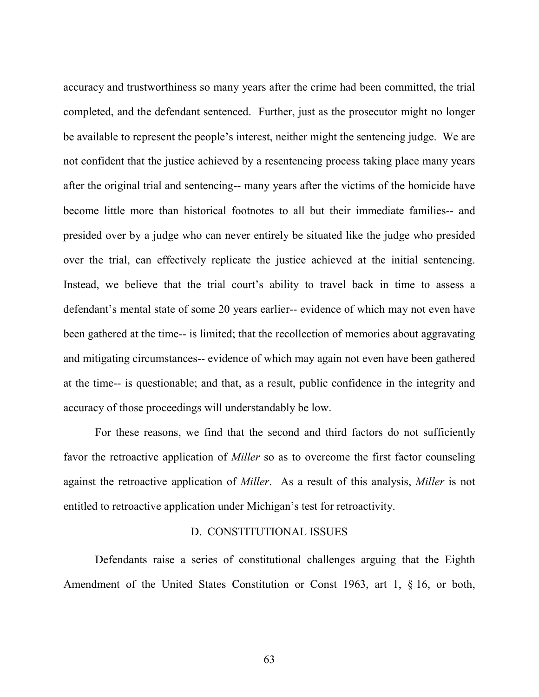accuracy and trustworthiness so many years after the crime had been committed, the trial completed, and the defendant sentenced. Further, just as the prosecutor might no longer be available to represent the people's interest, neither might the sentencing judge. We are not confident that the justice achieved by a resentencing process taking place many years after the original trial and sentencing-- many years after the victims of the homicide have become little more than historical footnotes to all but their immediate families-- and presided over by a judge who can never entirely be situated like the judge who presided over the trial, can effectively replicate the justice achieved at the initial sentencing. Instead, we believe that the trial court's ability to travel back in time to assess a defendant's mental state of some 20 years earlier-- evidence of which may not even have been gathered at the time-- is limited; that the recollection of memories about aggravating and mitigating circumstances-- evidence of which may again not even have been gathered at the time-- is questionable; and that, as a result, public confidence in the integrity and accuracy of those proceedings will understandably be low.

For these reasons, we find that the second and third factors do not sufficiently favor the retroactive application of *Miller* so as to overcome the first factor counseling against the retroactive application of *Miller*. As a result of this analysis, *Miller* is not entitled to retroactive application under Michigan's test for retroactivity.

## D. CONSTITUTIONAL ISSUES

Defendants raise a series of constitutional challenges arguing that the Eighth Amendment of the United States Constitution or Const 1963, art 1, § 16, or both,

63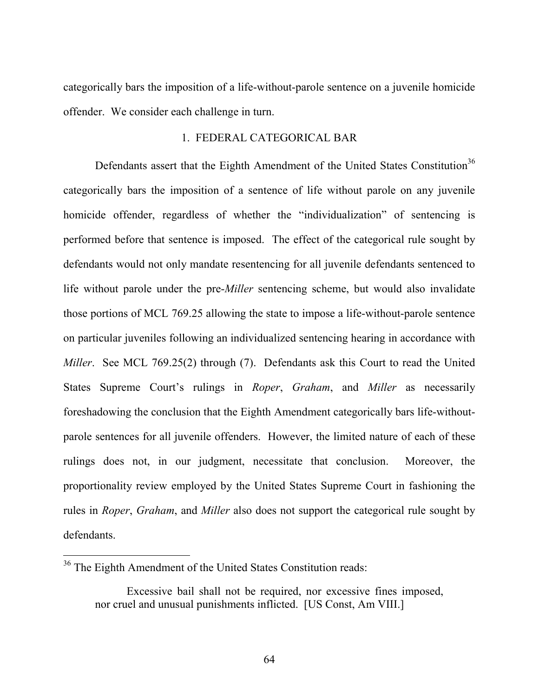categorically bars the imposition of a life-without-parole sentence on a juvenile homicide offender. We consider each challenge in turn.

## 1. FEDERAL CATEGORICAL BAR

Defendants assert that the Eighth Amendment of the United States Constitution<sup>36</sup> categorically bars the imposition of a sentence of life without parole on any juvenile homicide offender, regardless of whether the "individualization" of sentencing is performed before that sentence is imposed. The effect of the categorical rule sought by defendants would not only mandate resentencing for all juvenile defendants sentenced to life without parole under the pre-*Miller* sentencing scheme, but would also invalidate those portions of MCL 769.25 allowing the state to impose a life-without-parole sentence on particular juveniles following an individualized sentencing hearing in accordance with *Miller*. See MCL 769.25(2) through (7). Defendants ask this Court to read the United States Supreme Court's rulings in *Roper*, *Graham*, and *Miller* as necessarily foreshadowing the conclusion that the Eighth Amendment categorically bars life-withoutparole sentences for all juvenile offenders. However, the limited nature of each of these rulings does not, in our judgment, necessitate that conclusion. Moreover, the proportionality review employed by the United States Supreme Court in fashioning the rules in *Roper*, *Graham*, and *Miller* also does not support the categorical rule sought by defendants.

 <sup>36</sup> The Eighth Amendment of the United States Constitution reads:

Excessive bail shall not be required, nor excessive fines imposed, nor cruel and unusual punishments inflicted. [US Const, Am VIII.]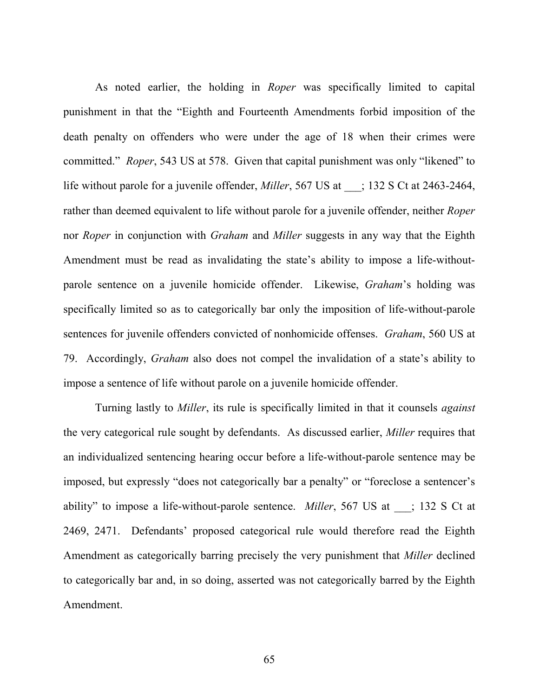As noted earlier, the holding in *Roper* was specifically limited to capital punishment in that the "Eighth and Fourteenth Amendments forbid imposition of the death penalty on offenders who were under the age of 18 when their crimes were committed." *Roper*, 543 US at 578. Given that capital punishment was only "likened" to life without parole for a juvenile offender, *Miller*, 567 US at  $\therefore$  132 S Ct at 2463-2464, rather than deemed equivalent to life without parole for a juvenile offender, neither *Roper* nor *Roper* in conjunction with *Graham* and *Miller* suggests in any way that the Eighth Amendment must be read as invalidating the state's ability to impose a life-withoutparole sentence on a juvenile homicide offender. Likewise, *Graham*'s holding was specifically limited so as to categorically bar only the imposition of life-without-parole sentences for juvenile offenders convicted of nonhomicide offenses. *Graham*, 560 US at 79. Accordingly, *Graham* also does not compel the invalidation of a state's ability to impose a sentence of life without parole on a juvenile homicide offender.

Turning lastly to *Miller*, its rule is specifically limited in that it counsels *against* the very categorical rule sought by defendants. As discussed earlier, *Miller* requires that an individualized sentencing hearing occur before a life-without-parole sentence may be imposed, but expressly "does not categorically bar a penalty" or "foreclose a sentencer's ability" to impose a life-without-parole sentence. *Miller*, 567 US at \_\_\_; 132 S Ct at 2469, 2471. Defendants' proposed categorical rule would therefore read the Eighth Amendment as categorically barring precisely the very punishment that *Miller* declined to categorically bar and, in so doing, asserted was not categorically barred by the Eighth Amendment.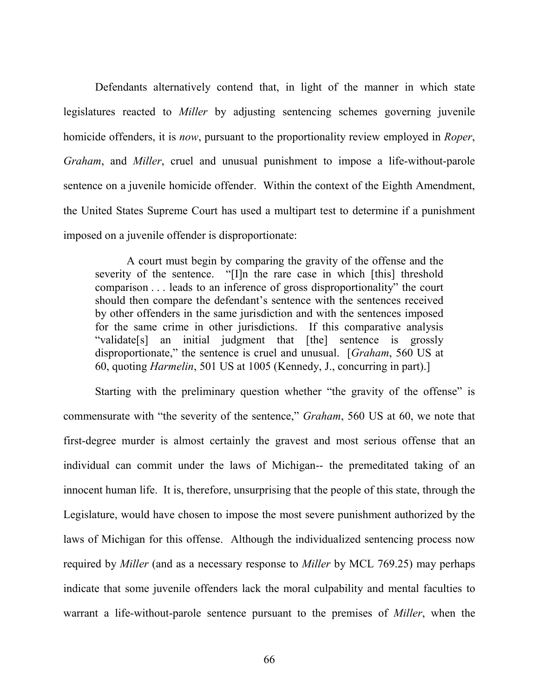Defendants alternatively contend that, in light of the manner in which state legislatures reacted to *Miller* by adjusting sentencing schemes governing juvenile homicide offenders, it is *now*, pursuant to the proportionality review employed in *Roper*, *Graham*, and *Miller*, cruel and unusual punishment to impose a life-without-parole sentence on a juvenile homicide offender. Within the context of the Eighth Amendment, the United States Supreme Court has used a multipart test to determine if a punishment imposed on a juvenile offender is disproportionate:

A court must begin by comparing the gravity of the offense and the severity of the sentence. "[I]n the rare case in which [this] threshold comparison . . . leads to an inference of gross disproportionality" the court should then compare the defendant's sentence with the sentences received by other offenders in the same jurisdiction and with the sentences imposed for the same crime in other jurisdictions. If this comparative analysis "validate[s] an initial judgment that [the] sentence is grossly disproportionate," the sentence is cruel and unusual. [*Graham*, 560 US at 60, quoting *Harmelin*, 501 US at 1005 (Kennedy, J., concurring in part).]

Starting with the preliminary question whether "the gravity of the offense" is commensurate with "the severity of the sentence," *Graham*, 560 US at 60, we note that first-degree murder is almost certainly the gravest and most serious offense that an individual can commit under the laws of Michigan-- the premeditated taking of an innocent human life. It is, therefore, unsurprising that the people of this state, through the Legislature, would have chosen to impose the most severe punishment authorized by the laws of Michigan for this offense. Although the individualized sentencing process now required by *Miller* (and as a necessary response to *Miller* by MCL 769.25) may perhaps indicate that some juvenile offenders lack the moral culpability and mental faculties to warrant a life-without-parole sentence pursuant to the premises of *Miller*, when the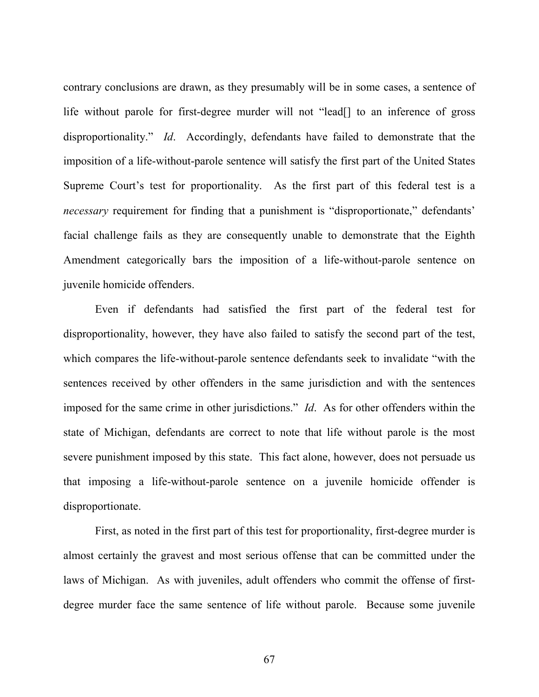contrary conclusions are drawn, as they presumably will be in some cases, a sentence of life without parole for first-degree murder will not "lead[] to an inference of gross disproportionality." *Id*. Accordingly, defendants have failed to demonstrate that the imposition of a life-without-parole sentence will satisfy the first part of the United States Supreme Court's test for proportionality. As the first part of this federal test is a *necessary* requirement for finding that a punishment is "disproportionate," defendants' facial challenge fails as they are consequently unable to demonstrate that the Eighth Amendment categorically bars the imposition of a life-without-parole sentence on juvenile homicide offenders.

Even if defendants had satisfied the first part of the federal test for disproportionality, however, they have also failed to satisfy the second part of the test, which compares the life-without-parole sentence defendants seek to invalidate "with the sentences received by other offenders in the same jurisdiction and with the sentences imposed for the same crime in other jurisdictions." *Id*. As for other offenders within the state of Michigan, defendants are correct to note that life without parole is the most severe punishment imposed by this state. This fact alone, however, does not persuade us that imposing a life-without-parole sentence on a juvenile homicide offender is disproportionate.

First, as noted in the first part of this test for proportionality, first-degree murder is almost certainly the gravest and most serious offense that can be committed under the laws of Michigan. As with juveniles, adult offenders who commit the offense of firstdegree murder face the same sentence of life without parole. Because some juvenile

67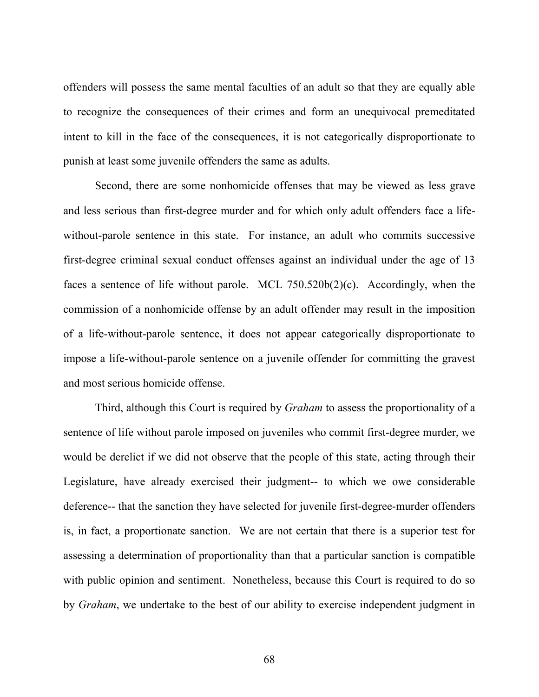offenders will possess the same mental faculties of an adult so that they are equally able to recognize the consequences of their crimes and form an unequivocal premeditated intent to kill in the face of the consequences, it is not categorically disproportionate to punish at least some juvenile offenders the same as adults.

Second, there are some nonhomicide offenses that may be viewed as less grave and less serious than first-degree murder and for which only adult offenders face a lifewithout-parole sentence in this state. For instance, an adult who commits successive first-degree criminal sexual conduct offenses against an individual under the age of 13 faces a sentence of life without parole. MCL 750.520b(2)(c). Accordingly, when the commission of a nonhomicide offense by an adult offender may result in the imposition of a life-without-parole sentence, it does not appear categorically disproportionate to impose a life-without-parole sentence on a juvenile offender for committing the gravest and most serious homicide offense.

Third, although this Court is required by *Graham* to assess the proportionality of a sentence of life without parole imposed on juveniles who commit first-degree murder, we would be derelict if we did not observe that the people of this state, acting through their Legislature, have already exercised their judgment-- to which we owe considerable deference-- that the sanction they have selected for juvenile first-degree-murder offenders is, in fact, a proportionate sanction. We are not certain that there is a superior test for assessing a determination of proportionality than that a particular sanction is compatible with public opinion and sentiment. Nonetheless, because this Court is required to do so by *Graham*, we undertake to the best of our ability to exercise independent judgment in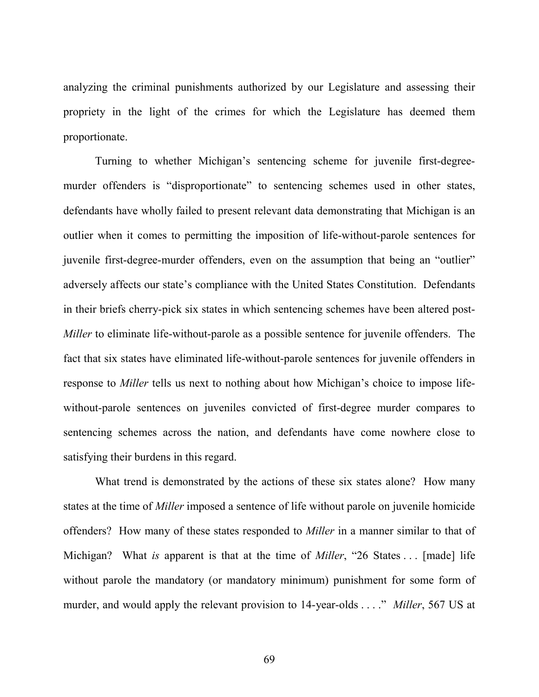analyzing the criminal punishments authorized by our Legislature and assessing their propriety in the light of the crimes for which the Legislature has deemed them proportionate.

Turning to whether Michigan's sentencing scheme for juvenile first-degreemurder offenders is "disproportionate" to sentencing schemes used in other states, defendants have wholly failed to present relevant data demonstrating that Michigan is an outlier when it comes to permitting the imposition of life-without-parole sentences for juvenile first-degree-murder offenders, even on the assumption that being an "outlier" adversely affects our state's compliance with the United States Constitution. Defendants in their briefs cherry-pick six states in which sentencing schemes have been altered post-*Miller* to eliminate life-without-parole as a possible sentence for juvenile offenders. The fact that six states have eliminated life-without-parole sentences for juvenile offenders in response to *Miller* tells us next to nothing about how Michigan's choice to impose lifewithout-parole sentences on juveniles convicted of first-degree murder compares to sentencing schemes across the nation, and defendants have come nowhere close to satisfying their burdens in this regard.

What trend is demonstrated by the actions of these six states alone? How many states at the time of *Miller* imposed a sentence of life without parole on juvenile homicide offenders? How many of these states responded to *Miller* in a manner similar to that of Michigan? What *is* apparent is that at the time of *Miller*, "26 States . . . [made] life without parole the mandatory (or mandatory minimum) punishment for some form of murder, and would apply the relevant provision to 14-year-olds . . . ." *Miller*, 567 US at

69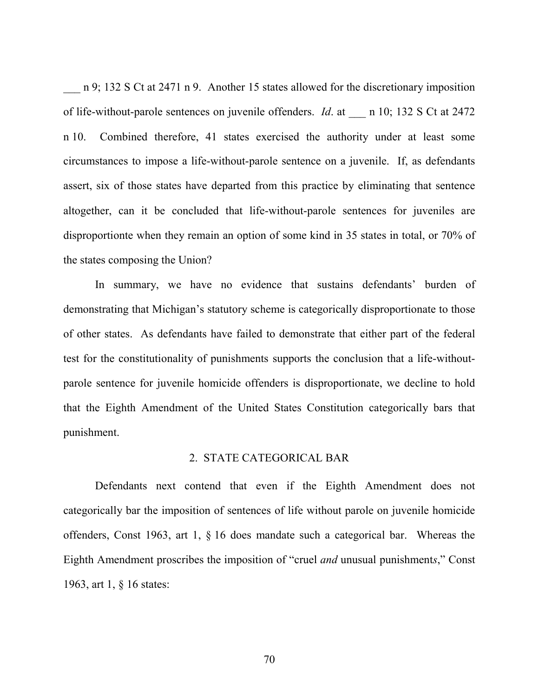n 9; 132 S Ct at 2471 n 9. Another 15 states allowed for the discretionary imposition of life-without-parole sentences on juvenile offenders. *Id*. at \_\_\_ n 10; 132 S Ct at 2472 n 10. Combined therefore, 41 states exercised the authority under at least some circumstances to impose a life-without-parole sentence on a juvenile. If, as defendants assert, six of those states have departed from this practice by eliminating that sentence altogether, can it be concluded that life-without-parole sentences for juveniles are disproportionte when they remain an option of some kind in 35 states in total, or 70% of the states composing the Union?

In summary, we have no evidence that sustains defendants' burden of demonstrating that Michigan's statutory scheme is categorically disproportionate to those of other states. As defendants have failed to demonstrate that either part of the federal test for the constitutionality of punishments supports the conclusion that a life-withoutparole sentence for juvenile homicide offenders is disproportionate, we decline to hold that the Eighth Amendment of the United States Constitution categorically bars that punishment.

#### 2. STATE CATEGORICAL BAR

Defendants next contend that even if the Eighth Amendment does not categorically bar the imposition of sentences of life without parole on juvenile homicide offenders, Const 1963, art 1, § 16 does mandate such a categorical bar. Whereas the Eighth Amendment proscribes the imposition of "cruel *and* unusual punishment*s*," Const 1963, art 1, § 16 states:

70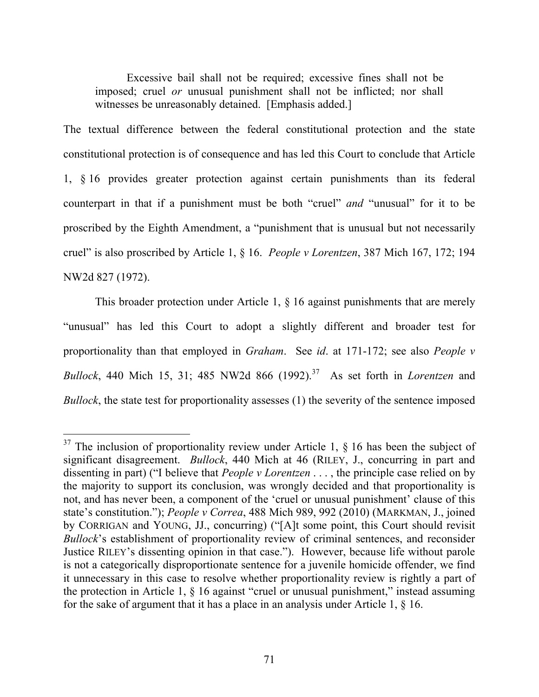Excessive bail shall not be required; excessive fines shall not be imposed; cruel *or* unusual punishment shall not be inflicted; nor shall witnesses be unreasonably detained. [Emphasis added.]

The textual difference between the federal constitutional protection and the state constitutional protection is of consequence and has led this Court to conclude that Article 1, § 16 provides greater protection against certain punishments than its federal counterpart in that if a punishment must be both "cruel" *and* "unusual" for it to be proscribed by the Eighth Amendment, a "punishment that is unusual but not necessarily cruel" is also proscribed by Article 1, § 16. *People v Lorentzen*, 387 Mich 167, 172; 194 NW2d 827 (1972).

This broader protection under Article 1, § 16 against punishments that are merely "unusual" has led this Court to adopt a slightly different and broader test for proportionality than that employed in *Graham*. See *id*. at 171-172; see also *People v Bullock*, 440 Mich 15, 31; 485 NW2d 866 (1992).<sup>37</sup> As set forth in *Lorentzen* and *Bullock*, the state test for proportionality assesses (1) the severity of the sentence imposed

 $37$  The inclusion of proportionality review under Article 1, § 16 has been the subject of significant disagreement. *Bullock*, 440 Mich at 46 (RILEY, J., concurring in part and dissenting in part) ("I believe that *People v Lorentzen* . . . , the principle case relied on by the majority to support its conclusion, was wrongly decided and that proportionality is not, and has never been, a component of the 'cruel or unusual punishment' clause of this state's constitution."); *People v Correa*, 488 Mich 989, 992 (2010) (MARKMAN, J., joined by CORRIGAN and YOUNG, JJ., concurring) ("[A]t some point, this Court should revisit *Bullock*'s establishment of proportionality review of criminal sentences, and reconsider Justice RILEY's dissenting opinion in that case."). However, because life without parole is not a categorically disproportionate sentence for a juvenile homicide offender, we find it unnecessary in this case to resolve whether proportionality review is rightly a part of the protection in Article 1, § 16 against "cruel or unusual punishment," instead assuming for the sake of argument that it has a place in an analysis under Article 1, § 16.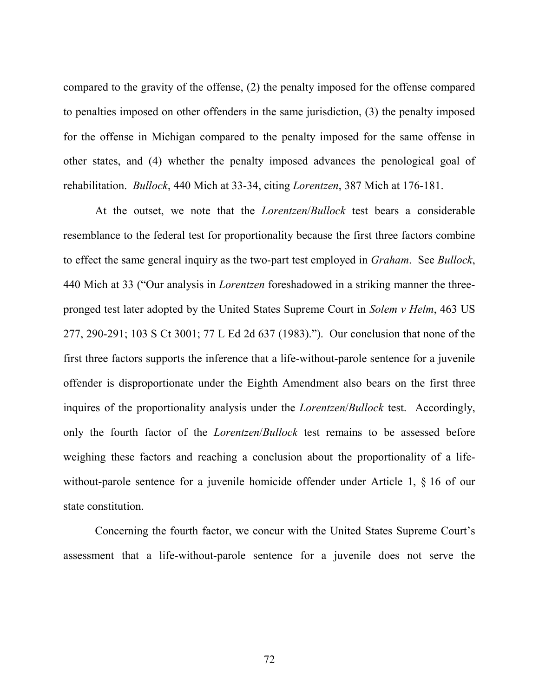compared to the gravity of the offense, (2) the penalty imposed for the offense compared to penalties imposed on other offenders in the same jurisdiction, (3) the penalty imposed for the offense in Michigan compared to the penalty imposed for the same offense in other states, and (4) whether the penalty imposed advances the penological goal of rehabilitation. *Bullock*, 440 Mich at 33-34, citing *Lorentzen*, 387 Mich at 176-181.

At the outset, we note that the *Lorentzen*/*Bullock* test bears a considerable resemblance to the federal test for proportionality because the first three factors combine to effect the same general inquiry as the two-part test employed in *Graham*. See *Bullock*, 440 Mich at 33 ("Our analysis in *Lorentzen* foreshadowed in a striking manner the threepronged test later adopted by the United States Supreme Court in *Solem v Helm*, 463 US 277, 290-291; 103 S Ct 3001; 77 L Ed 2d 637 (1983)."). Our conclusion that none of the first three factors supports the inference that a life-without-parole sentence for a juvenile offender is disproportionate under the Eighth Amendment also bears on the first three inquires of the proportionality analysis under the *Lorentzen*/*Bullock* test. Accordingly, only the fourth factor of the *Lorentzen*/*Bullock* test remains to be assessed before weighing these factors and reaching a conclusion about the proportionality of a lifewithout-parole sentence for a juvenile homicide offender under Article 1, § 16 of our state constitution.

Concerning the fourth factor, we concur with the United States Supreme Court's assessment that a life-without-parole sentence for a juvenile does not serve the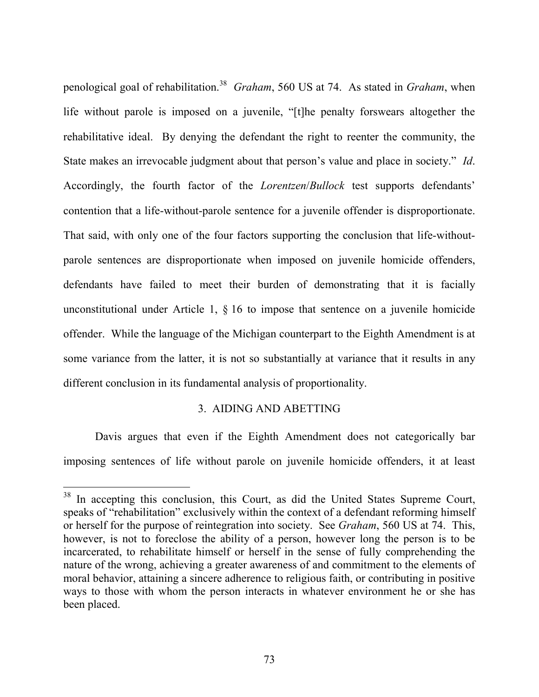penological goal of rehabilitation.38 *Graham*, 560 US at 74. As stated in *Graham*, when life without parole is imposed on a juvenile, "[t]he penalty forswears altogether the rehabilitative ideal. By denying the defendant the right to reenter the community, the State makes an irrevocable judgment about that person's value and place in society." *Id*. Accordingly, the fourth factor of the *Lorentzen*/*Bullock* test supports defendants' contention that a life-without-parole sentence for a juvenile offender is disproportionate. That said, with only one of the four factors supporting the conclusion that life-withoutparole sentences are disproportionate when imposed on juvenile homicide offenders, defendants have failed to meet their burden of demonstrating that it is facially unconstitutional under Article 1, § 16 to impose that sentence on a juvenile homicide offender. While the language of the Michigan counterpart to the Eighth Amendment is at some variance from the latter, it is not so substantially at variance that it results in any different conclusion in its fundamental analysis of proportionality.

### 3. AIDING AND ABETTING

Davis argues that even if the Eighth Amendment does not categorically bar imposing sentences of life without parole on juvenile homicide offenders, it at least

<sup>&</sup>lt;sup>38</sup> In accepting this conclusion, this Court, as did the United States Supreme Court, speaks of "rehabilitation" exclusively within the context of a defendant reforming himself or herself for the purpose of reintegration into society. See *Graham*, 560 US at 74. This, however, is not to foreclose the ability of a person, however long the person is to be incarcerated, to rehabilitate himself or herself in the sense of fully comprehending the nature of the wrong, achieving a greater awareness of and commitment to the elements of moral behavior, attaining a sincere adherence to religious faith, or contributing in positive ways to those with whom the person interacts in whatever environment he or she has been placed.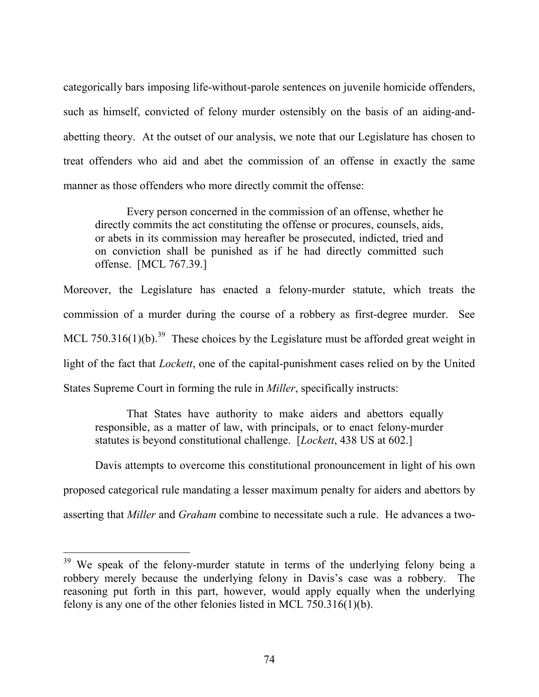categorically bars imposing life-without-parole sentences on juvenile homicide offenders, such as himself, convicted of felony murder ostensibly on the basis of an aiding-andabetting theory. At the outset of our analysis, we note that our Legislature has chosen to treat offenders who aid and abet the commission of an offense in exactly the same manner as those offenders who more directly commit the offense:

Every person concerned in the commission of an offense, whether he directly commits the act constituting the offense or procures, counsels, aids, or abets in its commission may hereafter be prosecuted, indicted, tried and on conviction shall be punished as if he had directly committed such offense. [MCL 767.39.]

Moreover, the Legislature has enacted a felony-murder statute, which treats the commission of a murder during the course of a robbery as first-degree murder. See MCL 750.316(1)(b).<sup>39</sup> These choices by the Legislature must be afforded great weight in light of the fact that *Lockett*, one of the capital-punishment cases relied on by the United States Supreme Court in forming the rule in *Miller*, specifically instructs:

That States have authority to make aiders and abettors equally responsible, as a matter of law, with principals, or to enact felony-murder statutes is beyond constitutional challenge. [*Lockett*, 438 US at 602.]

Davis attempts to overcome this constitutional pronouncement in light of his own proposed categorical rule mandating a lesser maximum penalty for aiders and abettors by asserting that *Miller* and *Graham* combine to necessitate such a rule. He advances a two-

<sup>&</sup>lt;sup>39</sup> We speak of the felony-murder statute in terms of the underlying felony being a robbery merely because the underlying felony in Davis's case was a robbery. The reasoning put forth in this part, however, would apply equally when the underlying felony is any one of the other felonies listed in MCL 750.316(1)(b).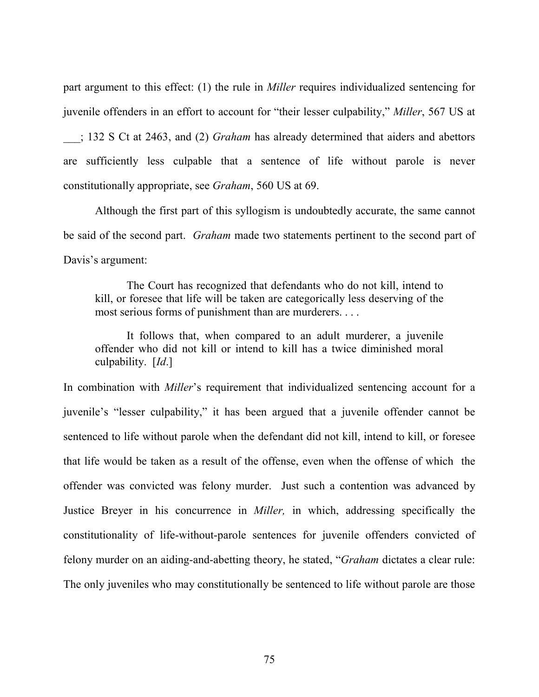part argument to this effect: (1) the rule in *Miller* requires individualized sentencing for juvenile offenders in an effort to account for "their lesser culpability," *Miller*, 567 US at \_\_\_; 132 S Ct at 2463, and (2) *Graham* has already determined that aiders and abettors are sufficiently less culpable that a sentence of life without parole is never constitutionally appropriate, see *Graham*, 560 US at 69.

Although the first part of this syllogism is undoubtedly accurate, the same cannot be said of the second part. *Graham* made two statements pertinent to the second part of Davis's argument:

The Court has recognized that defendants who do not kill, intend to kill, or foresee that life will be taken are categorically less deserving of the most serious forms of punishment than are murderers. . . .

It follows that, when compared to an adult murderer, a juvenile offender who did not kill or intend to kill has a twice diminished moral culpability. [*Id*.]

In combination with *Miller*'s requirement that individualized sentencing account for a juvenile's "lesser culpability," it has been argued that a juvenile offender cannot be sentenced to life without parole when the defendant did not kill, intend to kill, or foresee that life would be taken as a result of the offense, even when the offense of which the offender was convicted was felony murder. Just such a contention was advanced by Justice Breyer in his concurrence in *Miller,* in which, addressing specifically the constitutionality of life-without-parole sentences for juvenile offenders convicted of felony murder on an aiding-and-abetting theory, he stated, "*Graham* dictates a clear rule: The only juveniles who may constitutionally be sentenced to life without parole are those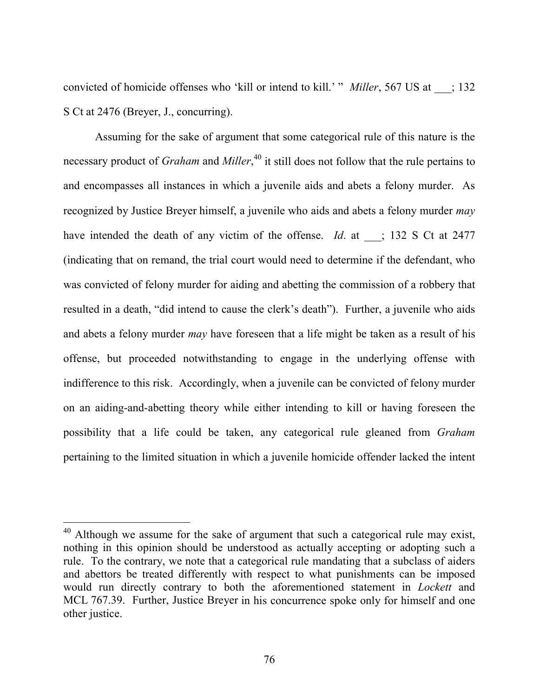convicted of homicide offenses who 'kill or intend to kill.' " *Miller*, 567 US at \_\_\_; 132 S Ct at 2476 (Breyer, J., concurring).

Assuming for the sake of argument that some categorical rule of this nature is the necessary product of *Graham* and *Miller*, <sup>40</sup> it still does not follow that the rule pertains to and encompasses all instances in which a juvenile aids and abets a felony murder. As recognized by Justice Breyer himself, a juvenile who aids and abets a felony murder *may* have intended the death of any victim of the offense. *Id*. at  $\therefore$  132 S Ct at 2477 (indicating that on remand, the trial court would need to determine if the defendant, who was convicted of felony murder for aiding and abetting the commission of a robbery that resulted in a death, "did intend to cause the clerk's death"). Further, a juvenile who aids and abets a felony murder *may* have foreseen that a life might be taken as a result of his offense, but proceeded notwithstanding to engage in the underlying offense with indifference to this risk. Accordingly, when a juvenile can be convicted of felony murder on an aiding-and-abetting theory while either intending to kill or having foreseen the possibility that a life could be taken, any categorical rule gleaned from *Graham*  pertaining to the limited situation in which a juvenile homicide offender lacked the intent

 $40$  Although we assume for the sake of argument that such a categorical rule may exist, nothing in this opinion should be understood as actually accepting or adopting such a rule. To the contrary, we note that a categorical rule mandating that a subclass of aiders and abettors be treated differently with respect to what punishments can be imposed would run directly contrary to both the aforementioned statement in *Lockett* and MCL 767.39. Further, Justice Breyer in his concurrence spoke only for himself and one other justice.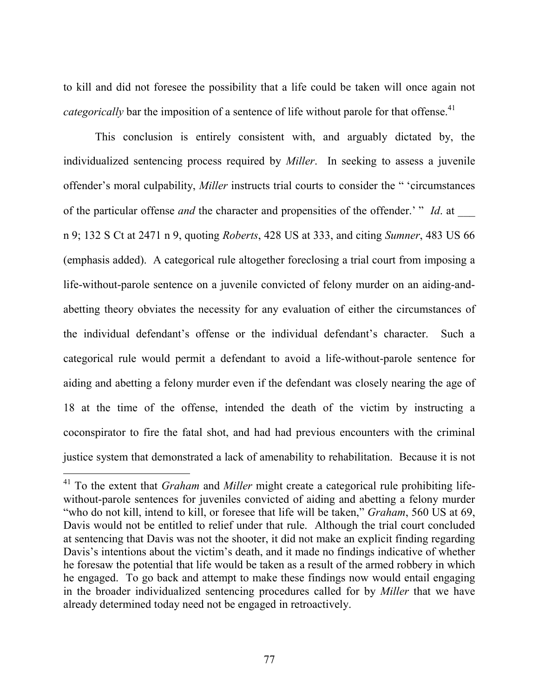to kill and did not foresee the possibility that a life could be taken will once again not *categorically* bar the imposition of a sentence of life without parole for that offense.<sup>41</sup>

This conclusion is entirely consistent with, and arguably dictated by, the individualized sentencing process required by *Miller*. In seeking to assess a juvenile offender's moral culpability, *Miller* instructs trial courts to consider the " 'circumstances of the particular offense *and* the character and propensities of the offender.' " *Id*. at n 9; 132 S Ct at 2471 n 9, quoting *Roberts*, 428 US at 333, and citing *Sumner*, 483 US 66 (emphasis added). A categorical rule altogether foreclosing a trial court from imposing a life-without-parole sentence on a juvenile convicted of felony murder on an aiding-andabetting theory obviates the necessity for any evaluation of either the circumstances of the individual defendant's offense or the individual defendant's character. Such a categorical rule would permit a defendant to avoid a life-without-parole sentence for aiding and abetting a felony murder even if the defendant was closely nearing the age of 18 at the time of the offense, intended the death of the victim by instructing a coconspirator to fire the fatal shot, and had had previous encounters with the criminal justice system that demonstrated a lack of amenability to rehabilitation. Because it is not

 <sup>41</sup> To the extent that *Graham* and *Miller* might create a categorical rule prohibiting lifewithout-parole sentences for juveniles convicted of aiding and abetting a felony murder "who do not kill, intend to kill, or foresee that life will be taken," *Graham*, 560 US at 69, Davis would not be entitled to relief under that rule. Although the trial court concluded at sentencing that Davis was not the shooter, it did not make an explicit finding regarding Davis's intentions about the victim's death, and it made no findings indicative of whether he foresaw the potential that life would be taken as a result of the armed robbery in which he engaged. To go back and attempt to make these findings now would entail engaging in the broader individualized sentencing procedures called for by *Miller* that we have already determined today need not be engaged in retroactively.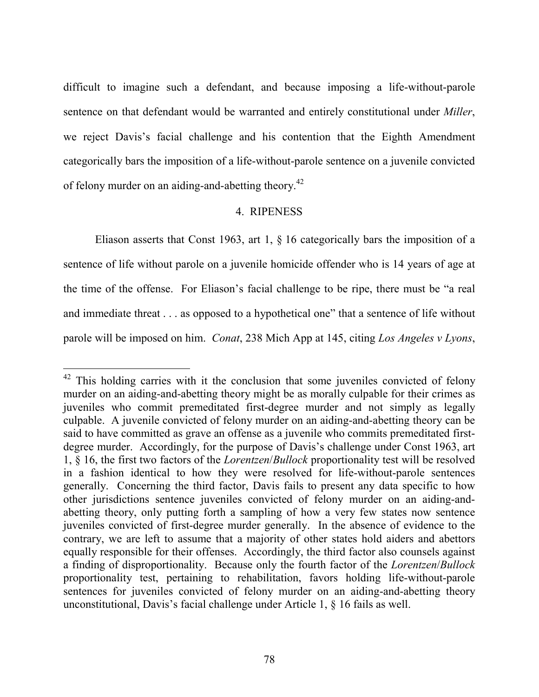difficult to imagine such a defendant, and because imposing a life-without-parole sentence on that defendant would be warranted and entirely constitutional under *Miller*, we reject Davis's facial challenge and his contention that the Eighth Amendment categorically bars the imposition of a life-without-parole sentence on a juvenile convicted of felony murder on an aiding-and-abetting theory.<sup>42</sup>

### 4. RIPENESS

Eliason asserts that Const 1963, art 1, § 16 categorically bars the imposition of a sentence of life without parole on a juvenile homicide offender who is 14 years of age at the time of the offense. For Eliason's facial challenge to be ripe, there must be "a real and immediate threat . . . as opposed to a hypothetical one" that a sentence of life without parole will be imposed on him. *Conat*, 238 Mich App at 145, citing *Los Angeles v Lyons*,

 $42$  This holding carries with it the conclusion that some juveniles convicted of felony murder on an aiding-and-abetting theory might be as morally culpable for their crimes as juveniles who commit premeditated first-degree murder and not simply as legally culpable. A juvenile convicted of felony murder on an aiding-and-abetting theory can be said to have committed as grave an offense as a juvenile who commits premeditated firstdegree murder. Accordingly, for the purpose of Davis's challenge under Const 1963, art 1, § 16, the first two factors of the *Lorentzen*/*Bullock* proportionality test will be resolved in a fashion identical to how they were resolved for life-without-parole sentences generally. Concerning the third factor, Davis fails to present any data specific to how other jurisdictions sentence juveniles convicted of felony murder on an aiding-andabetting theory, only putting forth a sampling of how a very few states now sentence juveniles convicted of first-degree murder generally. In the absence of evidence to the contrary, we are left to assume that a majority of other states hold aiders and abettors equally responsible for their offenses. Accordingly, the third factor also counsels against a finding of disproportionality. Because only the fourth factor of the *Lorentzen*/*Bullock* proportionality test, pertaining to rehabilitation, favors holding life-without-parole sentences for juveniles convicted of felony murder on an aiding-and-abetting theory unconstitutional, Davis's facial challenge under Article 1, § 16 fails as well.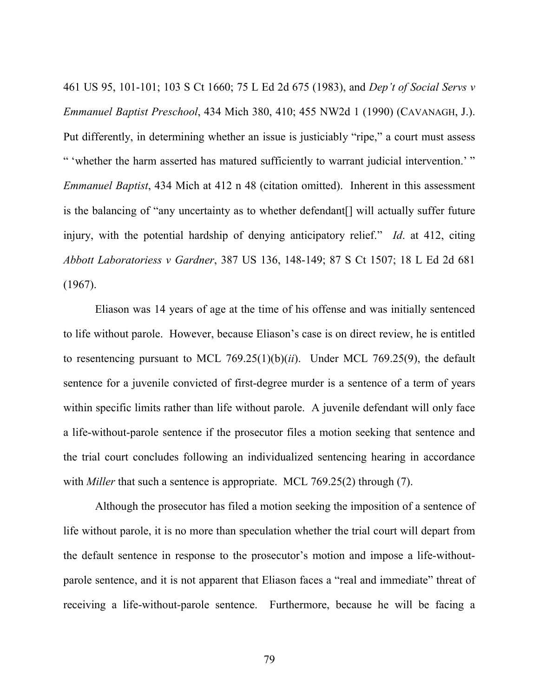461 US 95, 101-101; 103 S Ct 1660; 75 L Ed 2d 675 (1983), and *Dep't of Social Servs v Emmanuel Baptist Preschool*, 434 Mich 380, 410; 455 NW2d 1 (1990) (CAVANAGH, J.). Put differently, in determining whether an issue is justiciably "ripe," a court must assess

" 'whether the harm asserted has matured sufficiently to warrant judicial intervention.' "

*Emmanuel Baptist*, 434 Mich at 412 n 48 (citation omitted). Inherent in this assessment is the balancing of "any uncertainty as to whether defendant[] will actually suffer future injury, with the potential hardship of denying anticipatory relief." *Id*. at 412, citing *Abbott Laboratoriess v Gardner*, 387 US 136, 148-149; 87 S Ct 1507; 18 L Ed 2d 681 (1967).

Eliason was 14 years of age at the time of his offense and was initially sentenced to life without parole. However, because Eliason's case is on direct review, he is entitled to resentencing pursuant to MCL 769.25(1)(b)(*ii*). Under MCL 769.25(9), the default sentence for a juvenile convicted of first-degree murder is a sentence of a term of years within specific limits rather than life without parole. A juvenile defendant will only face a life-without-parole sentence if the prosecutor files a motion seeking that sentence and the trial court concludes following an individualized sentencing hearing in accordance with *Miller* that such a sentence is appropriate. MCL 769.25(2) through (7).

Although the prosecutor has filed a motion seeking the imposition of a sentence of life without parole, it is no more than speculation whether the trial court will depart from the default sentence in response to the prosecutor's motion and impose a life-withoutparole sentence, and it is not apparent that Eliason faces a "real and immediate" threat of receiving a life-without-parole sentence. Furthermore, because he will be facing a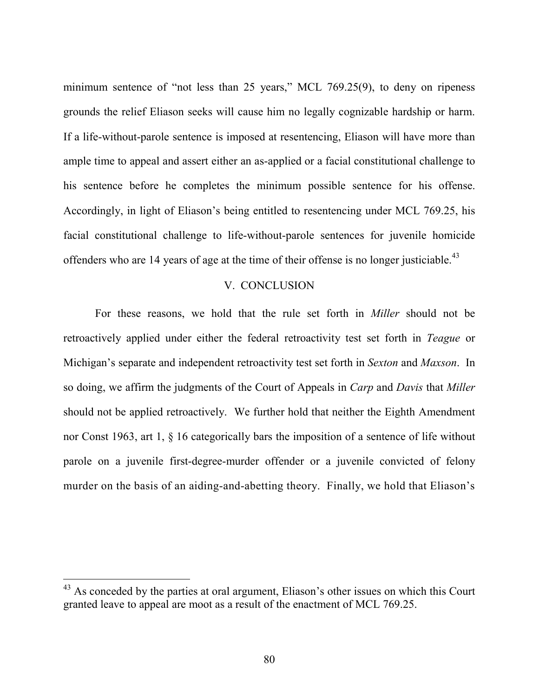minimum sentence of "not less than 25 years," MCL 769.25(9), to deny on ripeness grounds the relief Eliason seeks will cause him no legally cognizable hardship or harm. If a life-without-parole sentence is imposed at resentencing, Eliason will have more than ample time to appeal and assert either an as-applied or a facial constitutional challenge to his sentence before he completes the minimum possible sentence for his offense. Accordingly, in light of Eliason's being entitled to resentencing under MCL 769.25, his facial constitutional challenge to life-without-parole sentences for juvenile homicide offenders who are 14 years of age at the time of their offense is no longer justiciable.<sup>43</sup>

#### V. CONCLUSION

For these reasons, we hold that the rule set forth in *Miller* should not be retroactively applied under either the federal retroactivity test set forth in *Teague* or Michigan's separate and independent retroactivity test set forth in *Sexton* and *Maxson*. In so doing, we affirm the judgments of the Court of Appeals in *Carp* and *Davis* that *Miller* should not be applied retroactively. We further hold that neither the Eighth Amendment nor Const 1963, art 1, § 16 categorically bars the imposition of a sentence of life without parole on a juvenile first-degree-murder offender or a juvenile convicted of felony murder on the basis of an aiding-and-abetting theory. Finally, we hold that Eliason's

<sup>&</sup>lt;sup>43</sup> As conceded by the parties at oral argument, Eliason's other issues on which this Court granted leave to appeal are moot as a result of the enactment of MCL 769.25.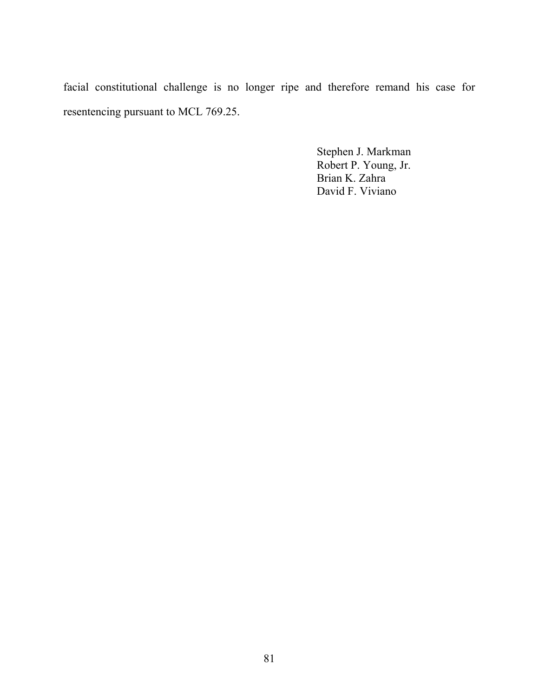facial constitutional challenge is no longer ripe and therefore remand his case for resentencing pursuant to MCL 769.25.

> Stephen J. Markman Robert P. Young, Jr. Brian K. Zahra David F. Viviano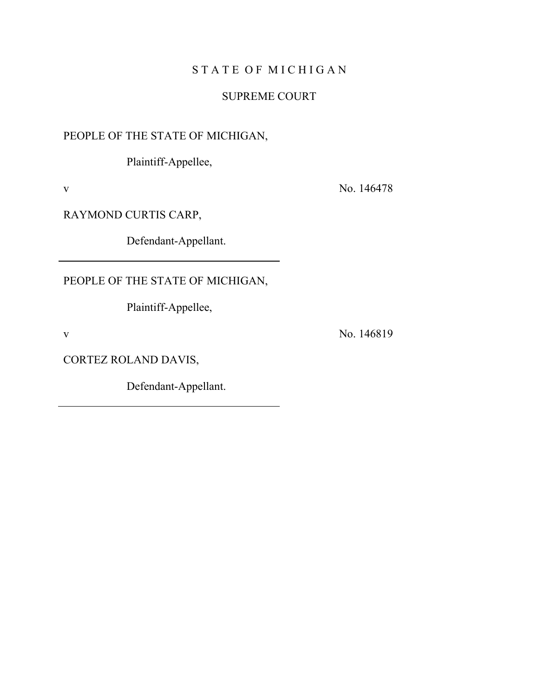# STATE OF MICHIGAN

### SUPREME COURT

## PEOPLE OF THE STATE OF MICHIGAN,

Plaintiff-Appellee,

v No. 146478

RAYMOND CURTIS CARP,

Defendant-Appellant.

PEOPLE OF THE STATE OF MICHIGAN,

Plaintiff-Appellee,

v No. 146819

CORTEZ ROLAND DAVIS,

Defendant-Appellant.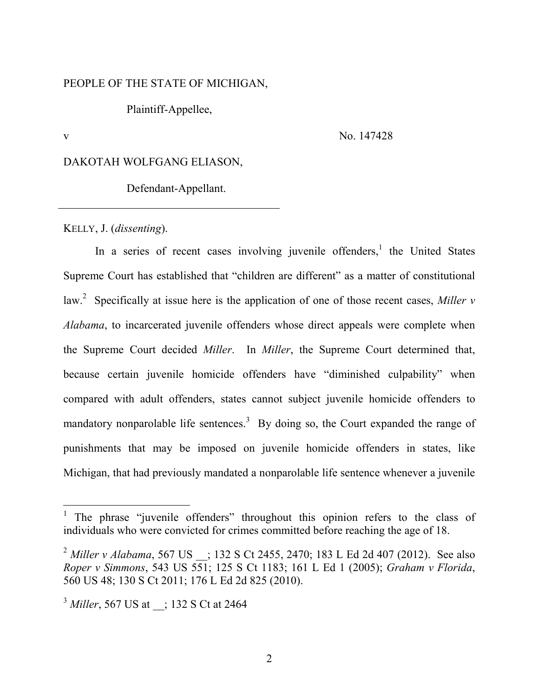#### PEOPLE OF THE STATE OF MICHIGAN,

Plaintiff-Appellee,

-

v No. 147428

#### DAKOTAH WOLFGANG ELIASON,

Defendant-Appellant.

KELLY, J. (*dissenting*).

In a series of recent cases involving juvenile offenders,<sup>1</sup> the United States Supreme Court has established that "children are different" as a matter of constitutional law.<sup>2</sup> Specifically at issue here is the application of one of those recent cases, *Miller v Alabama*, to incarcerated juvenile offenders whose direct appeals were complete when the Supreme Court decided *Miller*. In *Miller*, the Supreme Court determined that, because certain juvenile homicide offenders have "diminished culpability" when compared with adult offenders, states cannot subject juvenile homicide offenders to mandatory nonparolable life sentences.<sup>3</sup> By doing so, the Court expanded the range of punishments that may be imposed on juvenile homicide offenders in states, like Michigan, that had previously mandated a nonparolable life sentence whenever a juvenile

<sup>&</sup>lt;sup>1</sup> The phrase "juvenile offenders" throughout this opinion refers to the class of individuals who were convicted for crimes committed before reaching the age of 18.

<sup>&</sup>lt;sup>2</sup> *Miller v Alabama*, 567 US : 132 S Ct 2455, 2470; 183 L Ed 2d 407 (2012). See also *Roper v Simmons*, 543 US 551; 125 S Ct 1183; 161 L Ed 1 (2005); *Graham v Florida*, 560 US 48; 130 S Ct 2011; 176 L Ed 2d 825 (2010).

<sup>&</sup>lt;sup>3</sup> *Miller*, 567 US at  $\therefore$  132 S Ct at 2464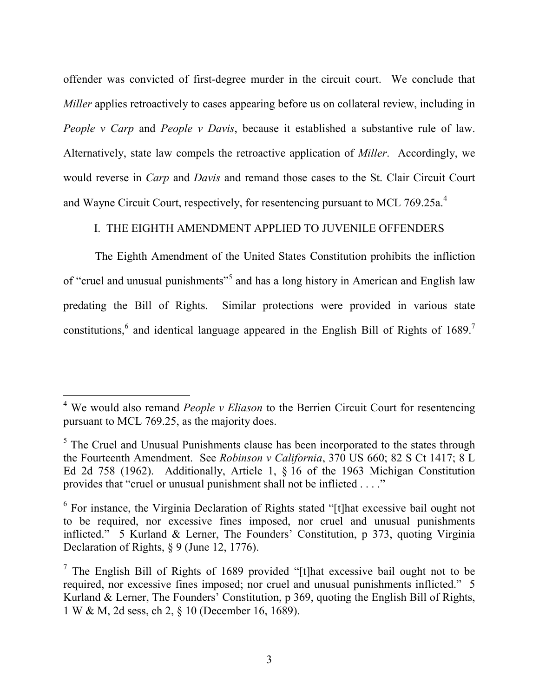offender was convicted of first-degree murder in the circuit court. We conclude that *Miller* applies retroactively to cases appearing before us on collateral review, including in *People v Carp* and *People v Davis*, because it established a substantive rule of law. Alternatively, state law compels the retroactive application of *Miller*.Accordingly, we would reverse in *Carp* and *Davis* and remand those cases to the St. Clair Circuit Court and Wayne Circuit Court, respectively, for resentencing pursuant to MCL 769.25a.<sup>4</sup>

### I. THE EIGHTH AMENDMENT APPLIED TO JUVENILE OFFENDERS

The Eighth Amendment of the United States Constitution prohibits the infliction of "cruel and unusual punishments"<sup>5</sup> and has a long history in American and English law predating the Bill of Rights. Similar protections were provided in various state constitutions,  $6$  and identical language appeared in the English Bill of Rights of 1689.<sup>7</sup>

 <sup>4</sup> We would also remand *People v Eliason* to the Berrien Circuit Court for resentencing pursuant to MCL 769.25, as the majority does.

 $<sup>5</sup>$  The Cruel and Unusual Punishments clause has been incorporated to the states through</sup> the Fourteenth Amendment. See *Robinson v California*, 370 US 660; 82 S Ct 1417; 8 L Ed 2d 758 (1962). Additionally, Article 1, § 16 of the 1963 Michigan Constitution provides that "cruel or unusual punishment shall not be inflicted . . . ."

<sup>6</sup> For instance, the Virginia Declaration of Rights stated "[t]hat excessive bail ought not to be required, nor excessive fines imposed, nor cruel and unusual punishments inflicted." 5 Kurland & Lerner, The Founders' Constitution, p 373, quoting Virginia Declaration of Rights, § 9 (June 12, 1776).

<sup>7</sup> The English Bill of Rights of 1689 provided "[t]hat excessive bail ought not to be required, nor excessive fines imposed; nor cruel and unusual punishments inflicted." 5 Kurland & Lerner, The Founders' Constitution, p 369, quoting the English Bill of Rights, 1 W & M, 2d sess, ch 2, § 10 (December 16, 1689).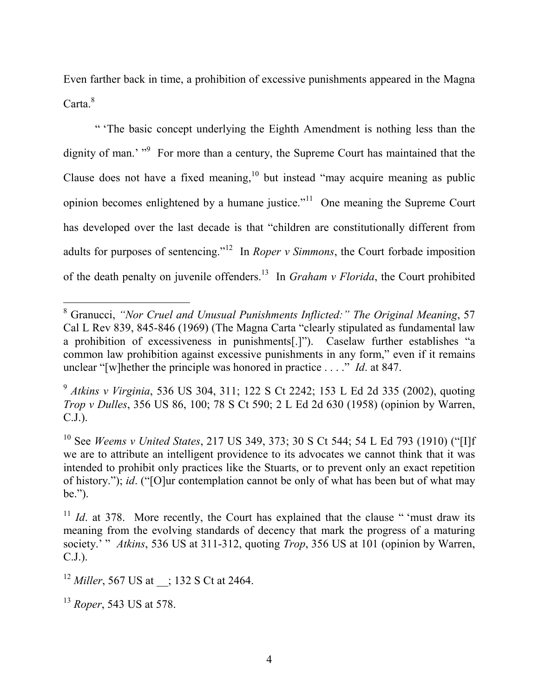Even farther back in time, a prohibition of excessive punishments appeared in the Magna Carta.<sup>8</sup>

" 'The basic concept underlying the Eighth Amendment is nothing less than the dignity of man.' "<sup>9</sup> For more than a century, the Supreme Court has maintained that the Clause does not have a fixed meaning, $10$  but instead "may acquire meaning as public opinion becomes enlightened by a humane justice."11 One meaning the Supreme Court has developed over the last decade is that "children are constitutionally different from adults for purposes of sentencing."<sup>12</sup> In *Roper v* Simmons, the Court forbade imposition of the death penalty on juvenile offenders.13 In *Graham v Florida*, the Court prohibited

 <sup>8</sup> Granucci, *"Nor Cruel and Unusual Punishments Inflicted:" The Original Meaning*, 57 Cal L Rev 839, 845-846 (1969) (The Magna Carta "clearly stipulated as fundamental law a prohibition of excessiveness in punishments[.]"). Caselaw further establishes "a common law prohibition against excessive punishments in any form," even if it remains unclear "[w]hether the principle was honored in practice . . . ." *Id*. at 847.

<sup>9</sup> *Atkins v Virginia*, 536 US 304, 311; 122 S Ct 2242; 153 L Ed 2d 335 (2002), quoting *Trop v Dulles*, 356 US 86, 100; 78 S Ct 590; 2 L Ed 2d 630 (1958) (opinion by Warren, C.J.).

<sup>10</sup> See *Weems v United States*, 217 US 349, 373; 30 S Ct 544; 54 L Ed 793 (1910) ("[I]f we are to attribute an intelligent providence to its advocates we cannot think that it was intended to prohibit only practices like the Stuarts, or to prevent only an exact repetition of history."); *id*. ("[O]ur contemplation cannot be only of what has been but of what may be.").

<sup>&</sup>lt;sup>11</sup> *Id.* at 378. More recently, the Court has explained that the clause " 'must draw its meaning from the evolving standards of decency that mark the progress of a maturing society.' " *Atkins*, 536 US at 311-312, quoting *Trop*, 356 US at 101 (opinion by Warren, C.J.).

<sup>&</sup>lt;sup>12</sup> *Miller*, 567 US at  $\therefore$  132 S Ct at 2464.

<sup>13</sup> *Roper*, 543 US at 578.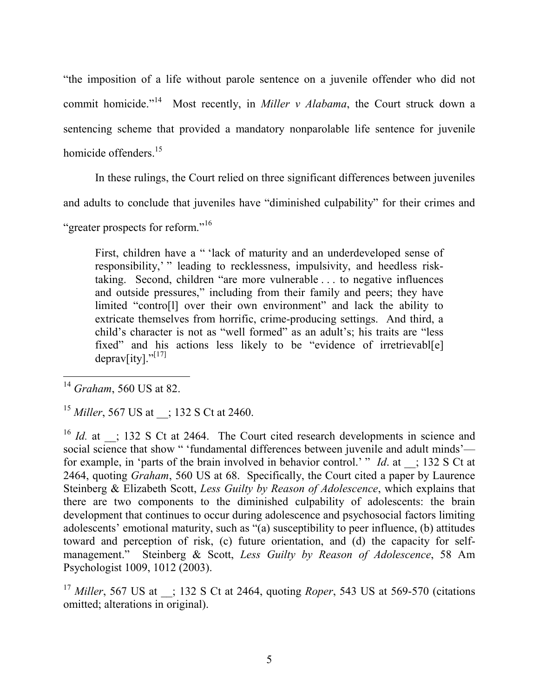"the imposition of a life without parole sentence on a juvenile offender who did not commit homicide."14 Most recently, in *Miller v Alabama*, the Court struck down a sentencing scheme that provided a mandatory nonparolable life sentence for juvenile homicide offenders.<sup>15</sup>

In these rulings, the Court relied on three significant differences between juveniles

and adults to conclude that juveniles have "diminished culpability" for their crimes and

"greater prospects for reform."<sup>16</sup>

First, children have a " 'lack of maturity and an underdeveloped sense of responsibility,' " leading to recklessness, impulsivity, and heedless risktaking. Second, children "are more vulnerable . . . to negative influences and outside pressures," including from their family and peers; they have limited "controll over their own environment" and lack the ability to extricate themselves from horrific, crime-producing settings. And third, a child's character is not as "well formed" as an adult's; his traits are "less fixed" and his actions less likely to be "evidence of irretrievable deprav[ity]."<sup>[17]</sup>

<sup>15</sup> *Miller*, 567 US at : 132 S Ct at 2460.

<sup>16</sup> *Id.* at  $\therefore$  132 S Ct at 2464. The Court cited research developments in science and social science that show " 'fundamental differences between juvenile and adult minds' for example, in 'parts of the brain involved in behavior control.' " *Id*. at \_\_; 132 S Ct at 2464, quoting *Graham*, 560 US at 68. Specifically, the Court cited a paper by Laurence Steinberg & Elizabeth Scott, *Less Guilty by Reason of Adolescence*, which explains that there are two components to the diminished culpability of adolescents: the brain development that continues to occur during adolescence and psychosocial factors limiting adolescents' emotional maturity, such as "(a) susceptibility to peer influence, (b) attitudes toward and perception of risk, (c) future orientation, and (d) the capacity for selfmanagement." Steinberg & Scott, *Less Guilty by Reason of Adolescence*, 58 Am Psychologist 1009, 1012 (2003).

<sup>17</sup> *Miller*, 567 US at  $\therefore$  132 S Ct at 2464, quoting *Roper*, 543 US at 569-570 (citations omitted; alterations in original).

 <sup>14</sup> *Graham*, 560 US at 82.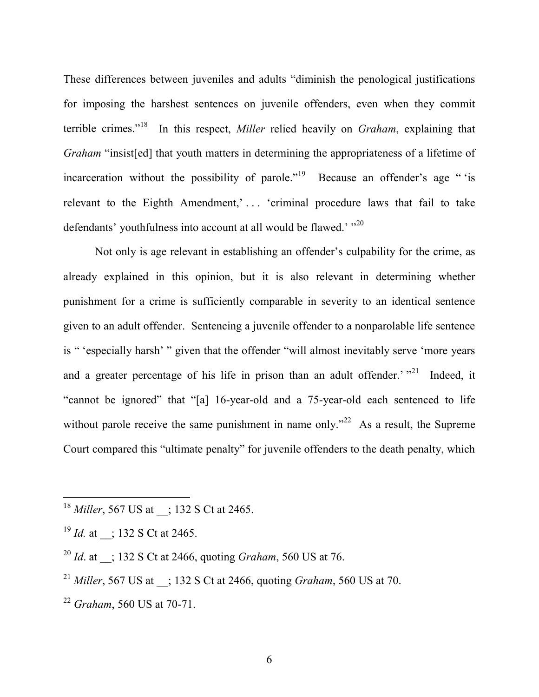These differences between juveniles and adults "diminish the penological justifications for imposing the harshest sentences on juvenile offenders, even when they commit terrible crimes."18 In this respect, *Miller* relied heavily on *Graham*, explaining that *Graham* "insist[ed] that youth matters in determining the appropriateness of a lifetime of incarceration without the possibility of parole."<sup>19</sup> Because an offender's age "'is relevant to the Eighth Amendment,' . . . 'criminal procedure laws that fail to take defendants' youthfulness into account at all would be flawed.' "20

Not only is age relevant in establishing an offender's culpability for the crime, as already explained in this opinion, but it is also relevant in determining whether punishment for a crime is sufficiently comparable in severity to an identical sentence given to an adult offender. Sentencing a juvenile offender to a nonparolable life sentence is " 'especially harsh' " given that the offender "will almost inevitably serve 'more years and a greater percentage of his life in prison than an adult offender.' "<sup>21</sup> Indeed, it "cannot be ignored" that "[a] 16-year-old and a 75-year-old each sentenced to life without parole receive the same punishment in name only."<sup>22</sup> As a result, the Supreme Court compared this "ultimate penalty" for juvenile offenders to the death penalty, which

<sup>&</sup>lt;sup>18</sup> *Miller*, 567 US at : 132 S Ct at 2465.

<sup>&</sup>lt;sup>19</sup> *Id.* at : 132 S Ct at 2465.

<sup>20</sup> *Id*. at \_\_; 132 S Ct at 2466, quoting *Graham*, 560 US at 76.

<sup>21</sup> *Miller*, 567 US at \_\_; 132 S Ct at 2466, quoting *Graham*, 560 US at 70.

<sup>22</sup> *Graham*, 560 US at 70-71.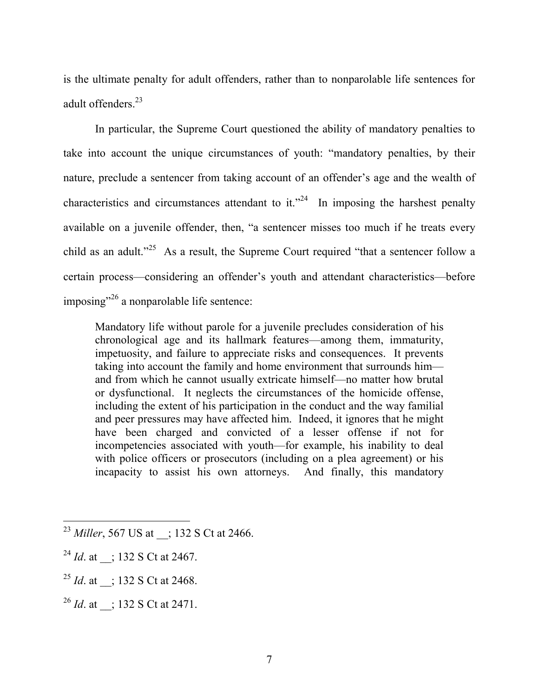is the ultimate penalty for adult offenders, rather than to nonparolable life sentences for adult offenders.<sup>23</sup>

In particular, the Supreme Court questioned the ability of mandatory penalties to take into account the unique circumstances of youth: "mandatory penalties, by their nature, preclude a sentencer from taking account of an offender's age and the wealth of characteristics and circumstances attendant to it."<sup>24</sup> In imposing the harshest penalty available on a juvenile offender, then, "a sentencer misses too much if he treats every child as an adult."<sup>25</sup> As a result, the Supreme Court required "that a sentencer follow a certain process—considering an offender's youth and attendant characteristics—before imposing"<sup>26</sup> a nonparolable life sentence:

Mandatory life without parole for a juvenile precludes consideration of his chronological age and its hallmark features—among them, immaturity, impetuosity, and failure to appreciate risks and consequences. It prevents taking into account the family and home environment that surrounds him and from which he cannot usually extricate himself—no matter how brutal or dysfunctional. It neglects the circumstances of the homicide offense, including the extent of his participation in the conduct and the way familial and peer pressures may have affected him. Indeed, it ignores that he might have been charged and convicted of a lesser offense if not for incompetencies associated with youth—for example, his inability to deal with police officers or prosecutors (including on a plea agreement) or his incapacity to assist his own attorneys. And finally, this mandatory

<sup>26</sup> *Id.* at  $\therefore$  132 S Ct at 2471.

<sup>&</sup>lt;sup>23</sup> *Miller*, 567 US at \_\_; 132 S Ct at 2466.

<sup>&</sup>lt;sup>24</sup> *Id.* at : 132 S Ct at 2467.

<sup>&</sup>lt;sup>25</sup> *Id.* at  $\therefore$  132 S Ct at 2468.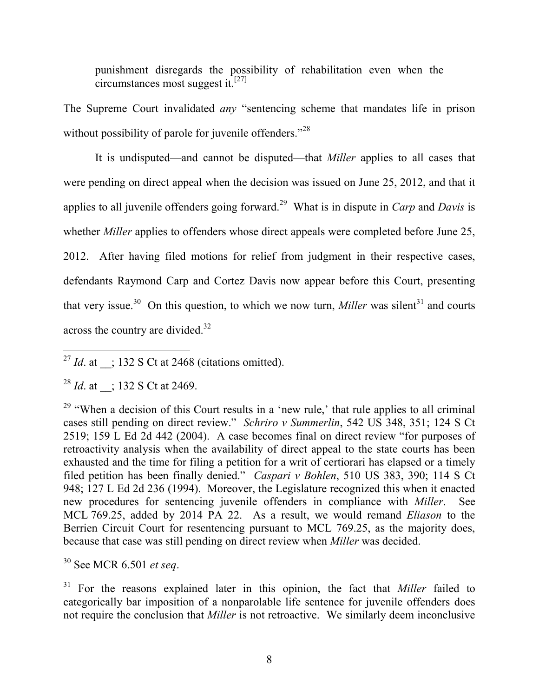punishment disregards the possibility of rehabilitation even when the circumstances most suggest it.<sup>[27]</sup>

The Supreme Court invalidated *any* "sentencing scheme that mandates life in prison without possibility of parole for juvenile offenders."<sup>28</sup>

It is undisputed—and cannot be disputed—that *Miller* applies to all cases that were pending on direct appeal when the decision was issued on June 25, 2012, and that it applies to all juvenile offenders going forward.29 What is in dispute in *Carp* and *Davis* is whether *Miller* applies to offenders whose direct appeals were completed before June 25, 2012. After having filed motions for relief from judgment in their respective cases, defendants Raymond Carp and Cortez Davis now appear before this Court, presenting that very issue.<sup>30</sup> On this question, to which we now turn, *Miller* was silent<sup>31</sup> and courts across the country are divided.<sup>32</sup>

<sup>27</sup> *Id.* at  $\therefore$  132 S Ct at 2468 (citations omitted).

<sup>28</sup> *Id.* at  $\therefore$  132 S Ct at 2469.

<sup>29</sup> "When a decision of this Court results in a 'new rule,' that rule applies to all criminal cases still pending on direct review." *Schriro v Summerlin*, 542 US 348, 351; 124 S Ct 2519; 159 L Ed 2d 442 (2004). A case becomes final on direct review "for purposes of retroactivity analysis when the availability of direct appeal to the state courts has been exhausted and the time for filing a petition for a writ of certiorari has elapsed or a timely filed petition has been finally denied." *Caspari v Bohlen*, 510 US 383, 390; 114 S Ct 948; 127 L Ed 2d 236 (1994). Moreover, the Legislature recognized this when it enacted new procedures for sentencing juvenile offenders in compliance with *Miller*. See MCL 769.25, added by 2014 PA 22. As a result, we would remand *Eliason* to the Berrien Circuit Court for resentencing pursuant to MCL 769.25, as the majority does, because that case was still pending on direct review when *Miller* was decided.

<sup>30</sup> See MCR 6.501 *et seq*.

<sup>31</sup> For the reasons explained later in this opinion, the fact that *Miller* failed to categorically bar imposition of a nonparolable life sentence for juvenile offenders does not require the conclusion that *Miller* is not retroactive. We similarly deem inconclusive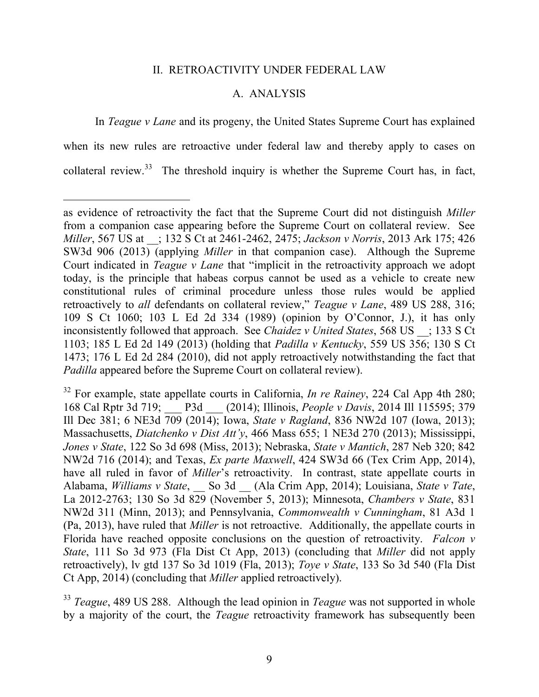### II. RETROACTIVITY UNDER FEDERAL LAW

### A. ANALYSIS

In *Teague v Lane* and its progeny, the United States Supreme Court has explained when its new rules are retroactive under federal law and thereby apply to cases on collateral review.<sup>33</sup> The threshold inquiry is whether the Supreme Court has, in fact,

 $\overline{a}$ 

<sup>32</sup> For example, state appellate courts in California, *In re Rainey*, 224 Cal App 4th 280; 168 Cal Rptr 3d 719; \_\_\_ P3d \_\_\_ (2014); Illinois, *People v Davis*, 2014 Ill 115595; 379 Ill Dec 381; 6 NE3d 709 (2014); Iowa, *State v Ragland*, 836 NW2d 107 (Iowa, 2013); Massachusetts, *Diatchenko v Dist Att'y*, 466 Mass 655; 1 NE3d 270 (2013); Mississippi, *Jones v State*, 122 So 3d 698 (Miss, 2013); Nebraska, *State v Mantich*, 287 Neb 320; 842 NW2d 716 (2014); and Texas, *Ex parte Maxwell*, 424 SW3d 66 (Tex Crim App, 2014), have all ruled in favor of *Miller*'s retroactivity. In contrast, state appellate courts in Alabama, *Williams v State*, \_\_ So 3d \_\_ (Ala Crim App, 2014); Louisiana, *State v Tate*, La 2012-2763; 130 So 3d 829 (November 5, 2013); Minnesota, *Chambers v State*, 831 NW2d 311 (Minn, 2013); and Pennsylvania, *Commonwealth v Cunningham*, 81 A3d 1 (Pa, 2013), have ruled that *Miller* is not retroactive. Additionally, the appellate courts in Florida have reached opposite conclusions on the question of retroactivity. *Falcon v State*, 111 So 3d 973 (Fla Dist Ct App, 2013) (concluding that *Miller* did not apply retroactively), lv gtd 137 So 3d 1019 (Fla, 2013); *Toye v State*, 133 So 3d 540 (Fla Dist Ct App, 2014) (concluding that *Miller* applied retroactively).

<sup>33</sup> *Teague*, 489 US 288. Although the lead opinion in *Teague* was not supported in whole by a majority of the court, the *Teague* retroactivity framework has subsequently been

as evidence of retroactivity the fact that the Supreme Court did not distinguish *Miller*  from a companion case appearing before the Supreme Court on collateral review. See *Miller*, 567 US at \_\_; 132 S Ct at 2461-2462, 2475; *Jackson v Norris*, 2013 Ark 175; 426 SW3d 906 (2013) (applying *Miller* in that companion case). Although the Supreme Court indicated in *Teague v Lane* that "implicit in the retroactivity approach we adopt today, is the principle that habeas corpus cannot be used as a vehicle to create new constitutional rules of criminal procedure unless those rules would be applied retroactively to *all* defendants on collateral review," *Teague v Lane*, 489 US 288, 316; 109 S Ct 1060; 103 L Ed 2d 334 (1989) (opinion by O'Connor, J.), it has only inconsistently followed that approach. See *Chaidez v United States*, 568 US \_\_; 133 S Ct 1103; 185 L Ed 2d 149 (2013) (holding that *Padilla v Kentucky*, 559 US 356; 130 S Ct 1473; 176 L Ed 2d 284 (2010), did not apply retroactively notwithstanding the fact that *Padilla* appeared before the Supreme Court on collateral review).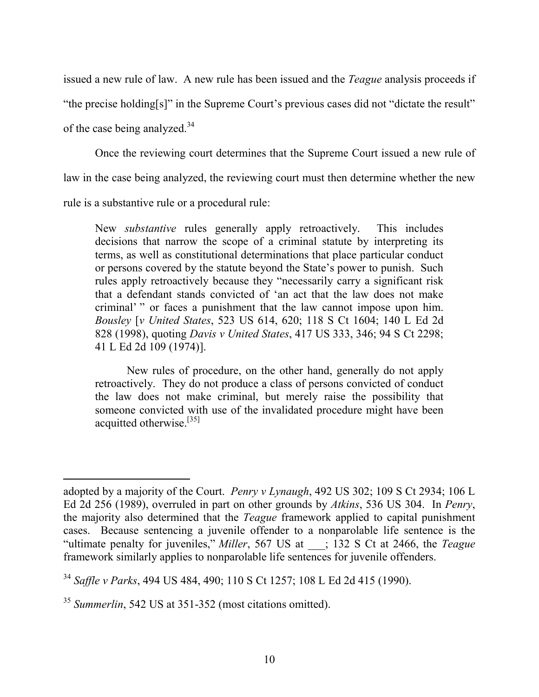issued a new rule of law. A new rule has been issued and the *Teague* analysis proceeds if

"the precise holding[s]" in the Supreme Court's previous cases did not "dictate the result"

of the case being analyzed.<sup>34</sup>

 $\overline{a}$ 

Once the reviewing court determines that the Supreme Court issued a new rule of law in the case being analyzed, the reviewing court must then determine whether the new rule is a substantive rule or a procedural rule:

New *substantive* rules generally apply retroactively. This includes decisions that narrow the scope of a criminal statute by interpreting its terms, as well as constitutional determinations that place particular conduct or persons covered by the statute beyond the State's power to punish. Such rules apply retroactively because they "necessarily carry a significant risk that a defendant stands convicted of 'an act that the law does not make criminal' " or faces a punishment that the law cannot impose upon him. *Bousley* [*v United States*, 523 US 614, 620; 118 S Ct 1604; 140 L Ed 2d 828 (1998), quoting *Davis v United States*, 417 US 333, 346; 94 S Ct 2298; 41 L Ed 2d 109 (1974)].

New rules of procedure, on the other hand, generally do not apply retroactively. They do not produce a class of persons convicted of conduct the law does not make criminal, but merely raise the possibility that someone convicted with use of the invalidated procedure might have been acquitted otherwise.[35]

adopted by a majority of the Court. *Penry v Lynaugh*, 492 US 302; 109 S Ct 2934; 106 L Ed 2d 256 (1989), overruled in part on other grounds by *Atkins*, 536 US 304. In *Penry*, the majority also determined that the *Teague* framework applied to capital punishment cases. Because sentencing a juvenile offender to a nonparolable life sentence is the "ultimate penalty for juveniles," *Miller*, 567 US at \_\_\_; 132 S Ct at 2466, the *Teague*  framework similarly applies to nonparolable life sentences for juvenile offenders.

<sup>34</sup> *Saffle v Parks*, 494 US 484, 490; 110 S Ct 1257; 108 L Ed 2d 415 (1990).

<sup>35</sup> *Summerlin*, 542 US at 351-352 (most citations omitted).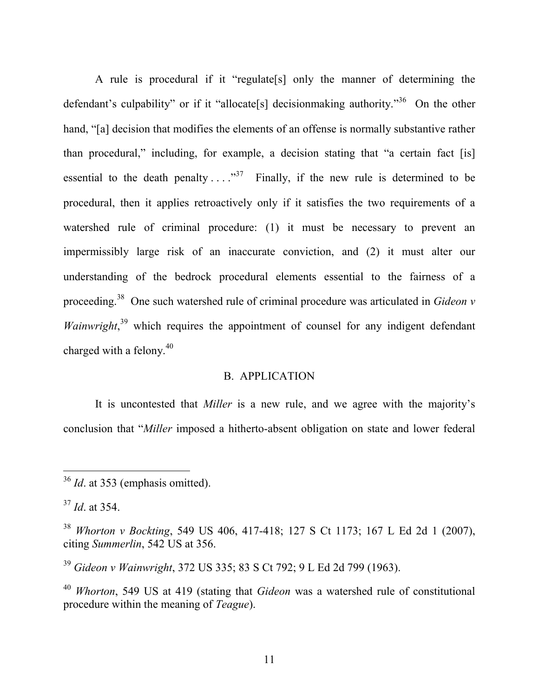A rule is procedural if it "regulate[s] only the manner of determining the defendant's culpability" or if it "allocate<sup>[s]</sup> decisionmaking authority."<sup>36</sup> On the other hand, "[a] decision that modifies the elements of an offense is normally substantive rather than procedural," including, for example, a decision stating that "a certain fact [is] essential to the death penalty  $\dots$ <sup>37</sup> Finally, if the new rule is determined to be procedural, then it applies retroactively only if it satisfies the two requirements of a watershed rule of criminal procedure: (1) it must be necessary to prevent an impermissibly large risk of an inaccurate conviction, and (2) it must alter our understanding of the bedrock procedural elements essential to the fairness of a proceeding.38 One such watershed rule of criminal procedure was articulated in *Gideon v*  Wainwright,<sup>39</sup> which requires the appointment of counsel for any indigent defendant charged with a felony. $40$ 

#### B. APPLICATION

It is uncontested that *Miller* is a new rule, and we agree with the majority's conclusion that "*Miller* imposed a hitherto-absent obligation on state and lower federal

<sup>39</sup> *Gideon v Wainwright*, 372 US 335; 83 S Ct 792; 9 L Ed 2d 799 (1963).

 <sup>36</sup> *Id*. at 353 (emphasis omitted).

<sup>37</sup> *Id*. at 354.

<sup>38</sup> *Whorton v Bockting*, 549 US 406, 417-418; 127 S Ct 1173; 167 L Ed 2d 1 (2007), citing *Summerlin*, 542 US at 356.

<sup>40</sup> *Whorton*, 549 US at 419 (stating that *Gideon* was a watershed rule of constitutional procedure within the meaning of *Teague*).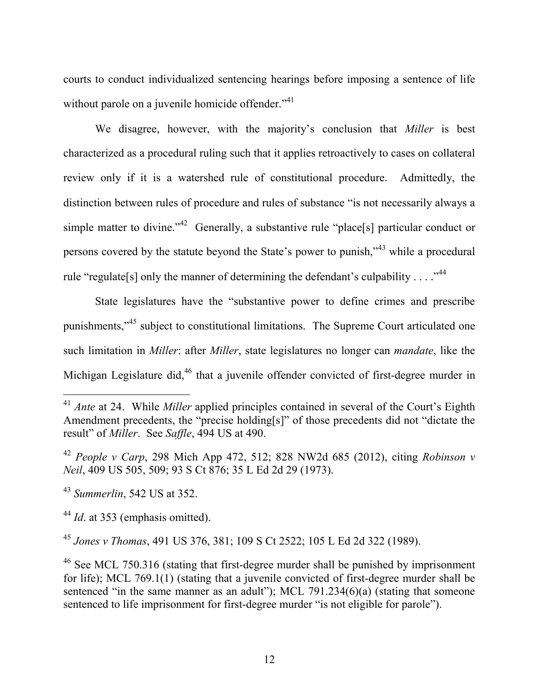courts to conduct individualized sentencing hearings before imposing a sentence of life without parole on a juvenile homicide offender."<sup>41</sup>

We disagree, however, with the majority's conclusion that *Miller* is best characterized as a procedural ruling such that it applies retroactively to cases on collateral review only if it is a watershed rule of constitutional procedure. Admittedly, the distinction between rules of procedure and rules of substance "is not necessarily always a simple matter to divine."<sup>42</sup> Generally, a substantive rule "place[s] particular conduct or persons covered by the statute beyond the State's power to punish,"<sup>43</sup> while a procedural rule "regulate[s] only the manner of determining the defendant's culpability . . . ."<sup>44</sup>

State legislatures have the "substantive power to define crimes and prescribe punishments,"<sup>45</sup> subject to constitutional limitations. The Supreme Court articulated one such limitation in *Miller*: after *Miller*, state legislatures no longer can *mandate*, like the Michigan Legislature did,<sup>46</sup> that a juvenile offender convicted of first-degree murder in

<sup>43</sup> *Summerlin*, 542 US at 352.

<sup>45</sup> *Jones v Thomas*, 491 US 376, 381; 109 S Ct 2522; 105 L Ed 2d 322 (1989).

 <sup>41</sup> *Ante* at 24. While *Miller* applied principles contained in several of the Court's Eighth Amendment precedents, the "precise holding[s]" of those precedents did not "dictate the result" of *Miller*. See *Saffle*, 494 US at 490.

<sup>42</sup> *People v Carp*, 298 Mich App 472, 512; 828 NW2d 685 (2012), citing *Robinson v Neil*, 409 US 505, 509; 93 S Ct 876; 35 L Ed 2d 29 (1973).

<sup>&</sup>lt;sup>44</sup> *Id.* at 353 (emphasis omitted).

<sup>46</sup> See MCL 750.316 (stating that first-degree murder shall be punished by imprisonment for life); MCL 769.1(1) (stating that a juvenile convicted of first-degree murder shall be sentenced "in the same manner as an adult"); MCL 791.234(6)(a) (stating that someone sentenced to life imprisonment for first-degree murder "is not eligible for parole").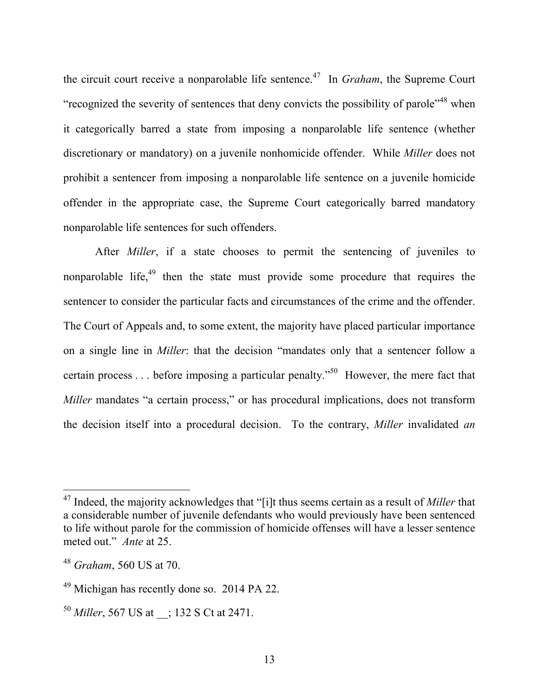the circuit court receive a nonparolable life sentence. 47 In *Graham*, the Supreme Court "recognized the severity of sentences that deny convicts the possibility of parole"<sup>48</sup> when it categorically barred a state from imposing a nonparolable life sentence (whether discretionary or mandatory) on a juvenile nonhomicide offender. While *Miller* does not prohibit a sentencer from imposing a nonparolable life sentence on a juvenile homicide offender in the appropriate case, the Supreme Court categorically barred mandatory nonparolable life sentences for such offenders.

After *Miller*, if a state chooses to permit the sentencing of juveniles to nonparolable life,<sup>49</sup> then the state must provide some procedure that requires the sentencer to consider the particular facts and circumstances of the crime and the offender. The Court of Appeals and, to some extent, the majority have placed particular importance on a single line in *Miller*: that the decision "mandates only that a sentencer follow a certain process  $\ldots$  before imposing a particular penalty."<sup>50</sup> However, the mere fact that *Miller* mandates "a certain process," or has procedural implications, does not transform the decision itself into a procedural decision. To the contrary, *Miller* invalidated *an* 

 <sup>47</sup> Indeed, the majority acknowledges that "[i]t thus seems certain as a result of *Miller* that a considerable number of juvenile defendants who would previously have been sentenced to life without parole for the commission of homicide offenses will have a lesser sentence meted out." *Ante* at 25.

<sup>48</sup> *Graham*, 560 US at 70.

<sup>49</sup> Michigan has recently done so. 2014 PA 22.

<sup>50</sup> *Miller*, 567 US at \_\_; 132 S Ct at 2471.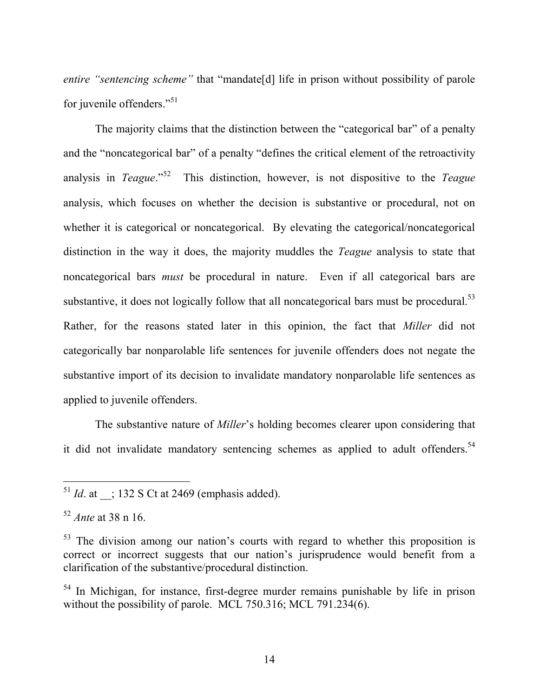*entire "sentencing scheme"* that "mandate<sup>[d]</sup> life in prison without possibility of parole for juvenile offenders."<sup>51</sup>

The majority claims that the distinction between the "categorical bar" of a penalty and the "noncategorical bar" of a penalty "defines the critical element of the retroactivity analysis in *Teague*."<sup>52</sup> This distinction, however, is not dispositive to the *Teague* analysis, which focuses on whether the decision is substantive or procedural, not on whether it is categorical or noncategorical. By elevating the categorical/noncategorical distinction in the way it does, the majority muddles the *Teague* analysis to state that noncategorical bars *must* be procedural in nature. Even if all categorical bars are substantive, it does not logically follow that all noncategorical bars must be procedural.<sup>53</sup> Rather, for the reasons stated later in this opinion, the fact that *Miller* did not categorically bar nonparolable life sentences for juvenile offenders does not negate the substantive import of its decision to invalidate mandatory nonparolable life sentences as applied to juvenile offenders.

The substantive nature of *Miller*'s holding becomes clearer upon considering that it did not invalidate mandatory sentencing schemes as applied to adult offenders.<sup>54</sup>

 $^{51}$  *Id.* at  $\therefore$  132 S Ct at 2469 (emphasis added).

<sup>52</sup> *Ante* at 38 n 16.

<sup>&</sup>lt;sup>53</sup> The division among our nation's courts with regard to whether this proposition is correct or incorrect suggests that our nation's jurisprudence would benefit from a clarification of the substantive/procedural distinction.

<sup>&</sup>lt;sup>54</sup> In Michigan, for instance, first-degree murder remains punishable by life in prison without the possibility of parole. MCL 750.316; MCL 791.234(6).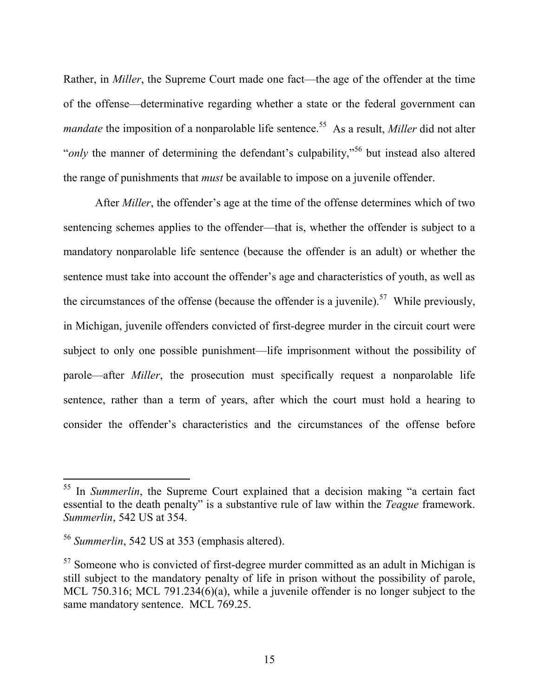Rather, in *Miller*, the Supreme Court made one fact—the age of the offender at the time of the offense—determinative regarding whether a state or the federal government can *mandate* the imposition of a nonparolable life sentence.<sup>55</sup> As a result, *Miller* did not alter "*only* the manner of determining the defendant's culpability,"<sup>56</sup> but instead also altered the range of punishments that *must* be available to impose on a juvenile offender.

After *Miller*, the offender's age at the time of the offense determines which of two sentencing schemes applies to the offender—that is, whether the offender is subject to a mandatory nonparolable life sentence (because the offender is an adult) or whether the sentence must take into account the offender's age and characteristics of youth, as well as the circumstances of the offense (because the offender is a juvenile).<sup>57</sup> While previously, in Michigan, juvenile offenders convicted of first-degree murder in the circuit court were subject to only one possible punishment—life imprisonment without the possibility of parole—after *Miller*, the prosecution must specifically request a nonparolable life sentence, rather than a term of years, after which the court must hold a hearing to consider the offender's characteristics and the circumstances of the offense before

 <sup>55</sup> In *Summerlin*, the Supreme Court explained that a decision making "a certain fact essential to the death penalty" is a substantive rule of law within the *Teague* framework. *Summerlin*, 542 US at 354.

<sup>56</sup> *Summerlin*, 542 US at 353 (emphasis altered).

<sup>&</sup>lt;sup>57</sup> Someone who is convicted of first-degree murder committed as an adult in Michigan is still subject to the mandatory penalty of life in prison without the possibility of parole, MCL 750.316; MCL 791.234(6)(a), while a juvenile offender is no longer subject to the same mandatory sentence. MCL 769.25.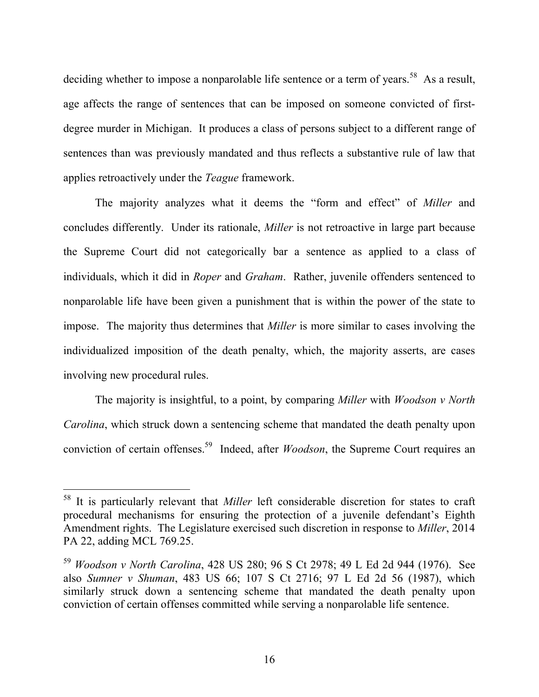deciding whether to impose a nonparolable life sentence or a term of years.<sup>58</sup> As a result, age affects the range of sentences that can be imposed on someone convicted of firstdegree murder in Michigan. It produces a class of persons subject to a different range of sentences than was previously mandated and thus reflects a substantive rule of law that applies retroactively under the *Teague* framework.

The majority analyzes what it deems the "form and effect" of *Miller* and concludes differently. Under its rationale, *Miller* is not retroactive in large part because the Supreme Court did not categorically bar a sentence as applied to a class of individuals, which it did in *Roper* and *Graham*. Rather, juvenile offenders sentenced to nonparolable life have been given a punishment that is within the power of the state to impose. The majority thus determines that *Miller* is more similar to cases involving the individualized imposition of the death penalty, which, the majority asserts, are cases involving new procedural rules.

The majority is insightful, to a point, by comparing *Miller* with *Woodson v North Carolina*, which struck down a sentencing scheme that mandated the death penalty upon conviction of certain offenses.59 Indeed, after *Woodson*, the Supreme Court requires an

 <sup>58</sup> It is particularly relevant that *Miller* left considerable discretion for states to craft procedural mechanisms for ensuring the protection of a juvenile defendant's Eighth Amendment rights. The Legislature exercised such discretion in response to *Miller*, 2014 PA 22, adding MCL 769.25.

<sup>59</sup> *Woodson v North Carolina*, 428 US 280; 96 S Ct 2978; 49 L Ed 2d 944 (1976).See also *Sumner v Shuman*, 483 US 66; 107 S Ct 2716; 97 L Ed 2d 56 (1987), which similarly struck down a sentencing scheme that mandated the death penalty upon conviction of certain offenses committed while serving a nonparolable life sentence.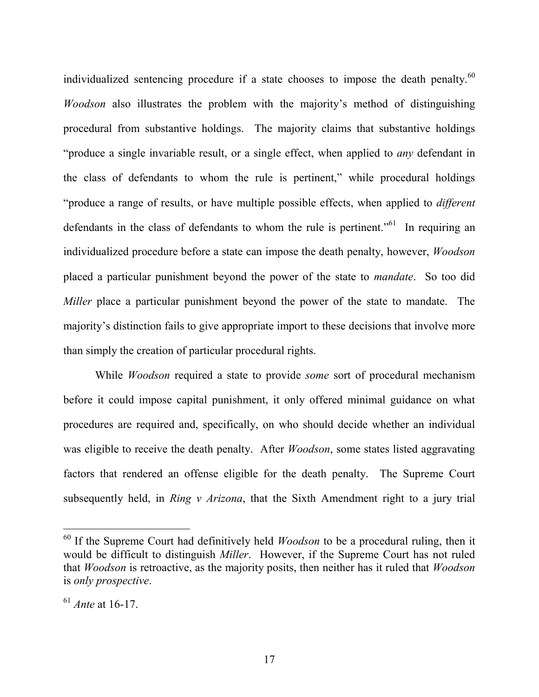individualized sentencing procedure if a state chooses to impose the death penalty. $60$ *Woodson* also illustrates the problem with the majority's method of distinguishing procedural from substantive holdings. The majority claims that substantive holdings "produce a single invariable result, or a single effect, when applied to *any* defendant in the class of defendants to whom the rule is pertinent," while procedural holdings "produce a range of results, or have multiple possible effects, when applied to *different* defendants in the class of defendants to whom the rule is pertinent.<sup> $561$ </sup> In requiring an individualized procedure before a state can impose the death penalty, however, *Woodson* placed a particular punishment beyond the power of the state to *mandate*. So too did *Miller* place a particular punishment beyond the power of the state to mandate. The majority's distinction fails to give appropriate import to these decisions that involve more than simply the creation of particular procedural rights.

While *Woodson* required a state to provide *some* sort of procedural mechanism before it could impose capital punishment, it only offered minimal guidance on what procedures are required and, specifically, on who should decide whether an individual was eligible to receive the death penalty. After *Woodson*, some states listed aggravating factors that rendered an offense eligible for the death penalty. The Supreme Court subsequently held, in *Ring v Arizona*, that the Sixth Amendment right to a jury trial

 <sup>60</sup> If the Supreme Court had definitively held *Woodson* to be a procedural ruling, then it would be difficult to distinguish *Miller*. However, if the Supreme Court has not ruled that *Woodson* is retroactive, as the majority posits, then neither has it ruled that *Woodson* is *only prospective*.

<sup>61</sup> *Ante* at 16-17.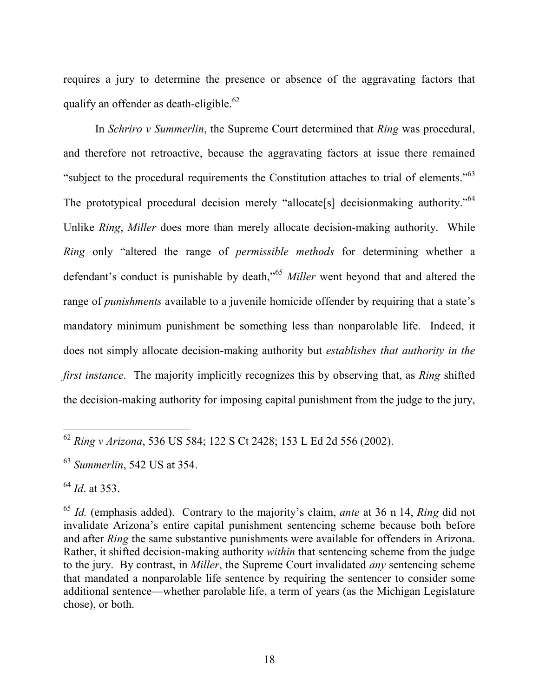requires a jury to determine the presence or absence of the aggravating factors that qualify an offender as death-eligible.<sup>62</sup>

In *Schriro v Summerlin*, the Supreme Court determined that *Ring* was procedural, and therefore not retroactive, because the aggravating factors at issue there remained "subject to the procedural requirements the Constitution attaches to trial of elements."<sup>63</sup> The prototypical procedural decision merely "allocate[s] decisionmaking authority."<sup>64</sup> Unlike *Ring*, *Miller* does more than merely allocate decision-making authority. While *Ring* only "altered the range of *permissible methods* for determining whether a defendant's conduct is punishable by death,"<sup>65</sup> *Miller* went beyond that and altered the range of *punishments* available to a juvenile homicide offender by requiring that a state's mandatory minimum punishment be something less than nonparolable life. Indeed, it does not simply allocate decision-making authority but *establishes that authority in the first instance*. The majority implicitly recognizes this by observing that, as *Ring* shifted the decision-making authority for imposing capital punishment from the judge to the jury,

 <sup>62</sup> *Ring v Arizona*, 536 US 584; 122 S Ct 2428; 153 L Ed 2d 556 (2002).

<sup>63</sup> *Summerlin*, 542 US at 354.

<sup>64</sup> *Id*. at 353.

<sup>65</sup> *Id.* (emphasis added). Contrary to the majority's claim, *ante* at 36 n 14, *Ring* did not invalidate Arizona's entire capital punishment sentencing scheme because both before and after *Ring* the same substantive punishments were available for offenders in Arizona. Rather, it shifted decision-making authority *within* that sentencing scheme from the judge to the jury. By contrast, in *Miller*, the Supreme Court invalidated *any* sentencing scheme that mandated a nonparolable life sentence by requiring the sentencer to consider some additional sentence—whether parolable life, a term of years (as the Michigan Legislature chose), or both.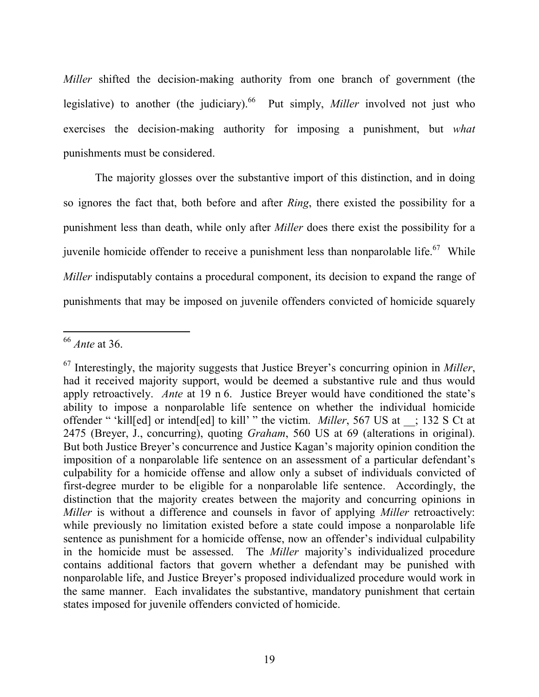*Miller* shifted the decision-making authority from one branch of government (the legislative) to another (the judiciary).<sup>66</sup> Put simply, *Miller* involved not just who exercises the decision-making authority for imposing a punishment, but *what* punishments must be considered.

The majority glosses over the substantive import of this distinction, and in doing so ignores the fact that, both before and after *Ring*, there existed the possibility for a punishment less than death, while only after *Miller* does there exist the possibility for a juvenile homicide offender to receive a punishment less than nonparolable life.<sup>67</sup> While *Miller* indisputably contains a procedural component, its decision to expand the range of punishments that may be imposed on juvenile offenders convicted of homicide squarely

 <sup>66</sup> *Ante* at 36.

<sup>67</sup> Interestingly, the majority suggests that Justice Breyer's concurring opinion in *Miller*, had it received majority support, would be deemed a substantive rule and thus would apply retroactively. *Ante* at 19 n 6. Justice Breyer would have conditioned the state's ability to impose a nonparolable life sentence on whether the individual homicide offender " 'kill[ed] or intend[ed] to kill' " the victim. *Miller*, 567 US at \_\_; 132 S Ct at 2475 (Breyer, J., concurring), quoting *Graham*, 560 US at 69 (alterations in original). But both Justice Breyer's concurrence and Justice Kagan's majority opinion condition the imposition of a nonparolable life sentence on an assessment of a particular defendant's culpability for a homicide offense and allow only a subset of individuals convicted of first-degree murder to be eligible for a nonparolable life sentence. Accordingly, the distinction that the majority creates between the majority and concurring opinions in *Miller* is without a difference and counsels in favor of applying *Miller* retroactively: while previously no limitation existed before a state could impose a nonparolable life sentence as punishment for a homicide offense, now an offender's individual culpability in the homicide must be assessed. The *Miller* majority's individualized procedure contains additional factors that govern whether a defendant may be punished with nonparolable life, and Justice Breyer's proposed individualized procedure would work in the same manner. Each invalidates the substantive, mandatory punishment that certain states imposed for juvenile offenders convicted of homicide.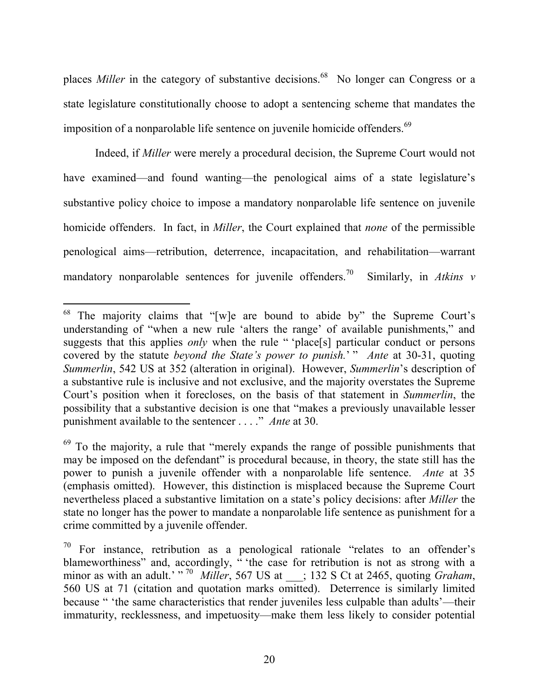places *Miller* in the category of substantive decisions.<sup>68</sup> No longer can Congress or a state legislature constitutionally choose to adopt a sentencing scheme that mandates the imposition of a nonparolable life sentence on juvenile homicide offenders.<sup>69</sup>

Indeed, if *Miller* were merely a procedural decision, the Supreme Court would not have examined—and found wanting—the penological aims of a state legislature's substantive policy choice to impose a mandatory nonparolable life sentence on juvenile homicide offenders. In fact, in *Miller*, the Court explained that *none* of the permissible penological aims—retribution, deterrence, incapacitation, and rehabilitation—warrant mandatory nonparolable sentences for juvenile offenders.<sup>70</sup> Similarly, in *Atkins v* 

 <sup>68</sup> The majority claims that "[w]e are bound to abide by" the Supreme Court's understanding of "when a new rule 'alters the range' of available punishments," and suggests that this applies *only* when the rule " 'place[s] particular conduct or persons covered by the statute *beyond the State's power to punish.*' " *Ante* at 30-31, quoting *Summerlin*, 542 US at 352 (alteration in original). However, *Summerlin*'s description of a substantive rule is inclusive and not exclusive, and the majority overstates the Supreme Court's position when it forecloses, on the basis of that statement in *Summerlin*, the possibility that a substantive decision is one that "makes a previously unavailable lesser punishment available to the sentencer . . . ." *Ante* at 30.

 $69$  To the majority, a rule that "merely expands the range of possible punishments that may be imposed on the defendant" is procedural because, in theory, the state still has the power to punish a juvenile offender with a nonparolable life sentence. *Ante* at 35 (emphasis omitted). However, this distinction is misplaced because the Supreme Court nevertheless placed a substantive limitation on a state's policy decisions: after *Miller* the state no longer has the power to mandate a nonparolable life sentence as punishment for a crime committed by a juvenile offender.

<sup>&</sup>lt;sup>70</sup> For instance, retribution as a penological rationale "relates to an offender's blameworthiness" and, accordingly, " the case for retribution is not as strong with a minor as with an adult.' "<sup>70</sup> *Miller*, 567 US at \_\_\_; 132 S Ct at 2465, quoting *Graham*, 560 US at 71 (citation and quotation marks omitted). Deterrence is similarly limited because " 'the same characteristics that render juveniles less culpable than adults'—their immaturity, recklessness, and impetuosity—make them less likely to consider potential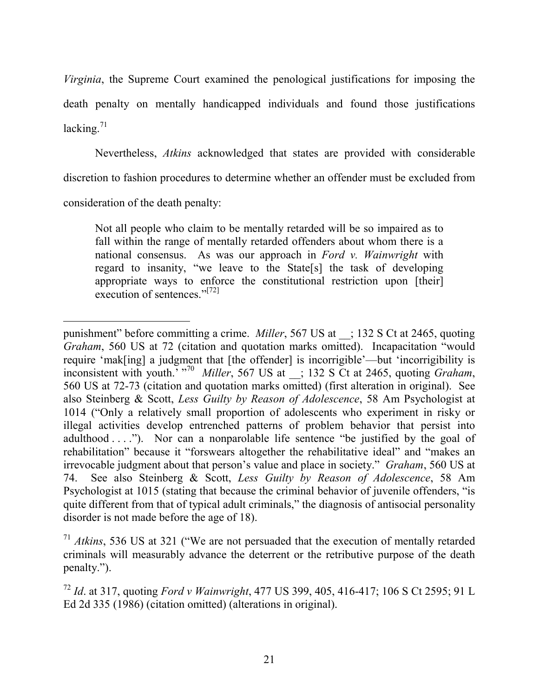*Virginia*, the Supreme Court examined the penological justifications for imposing the death penalty on mentally handicapped individuals and found those justifications lacking.<sup>71</sup>

Nevertheless, *Atkins* acknowledged that states are provided with considerable discretion to fashion procedures to determine whether an offender must be excluded from consideration of the death penalty:

Not all people who claim to be mentally retarded will be so impaired as to fall within the range of mentally retarded offenders about whom there is a national consensus. As was our approach in *Ford v. Wainwright* with regard to insanity, "we leave to the State[s] the task of developing appropriate ways to enforce the constitutional restriction upon [their] execution of sentences."<sup>[72]</sup>

 $\overline{a}$ 

punishment" before committing a crime. *Miller*, 567 US at \_\_; 132 S Ct at 2465, quoting *Graham*, 560 US at 72 (citation and quotation marks omitted). Incapacitation "would require 'mak[ing] a judgment that [the offender] is incorrigible'—but 'incorrigibility is inconsistent with youth.<sup>'</sup> "<sup>70</sup> *Miller*, 567 US at \_; 132 S Ct at 2465, quoting *Graham*, 560 US at 72-73 (citation and quotation marks omitted) (first alteration in original). See also Steinberg & Scott, *Less Guilty by Reason of Adolescence*, 58 Am Psychologist at 1014 ("Only a relatively small proportion of adolescents who experiment in risky or illegal activities develop entrenched patterns of problem behavior that persist into adulthood . . . ."). Nor can a nonparolable life sentence "be justified by the goal of rehabilitation" because it "forswears altogether the rehabilitative ideal" and "makes an irrevocable judgment about that person's value and place in society." *Graham*, 560 US at 74. See also Steinberg & Scott, *Less Guilty by Reason of Adolescence*, 58 Am Psychologist at 1015 (stating that because the criminal behavior of juvenile offenders, "is quite different from that of typical adult criminals," the diagnosis of antisocial personality disorder is not made before the age of 18).

<sup>71</sup> *Atkins*, 536 US at 321 ("We are not persuaded that the execution of mentally retarded criminals will measurably advance the deterrent or the retributive purpose of the death penalty.").

<sup>72</sup> *Id*. at 317, quoting *Ford v Wainwright*, 477 US 399, 405, 416-417; 106 S Ct 2595; 91 L Ed 2d 335 (1986) (citation omitted) (alterations in original).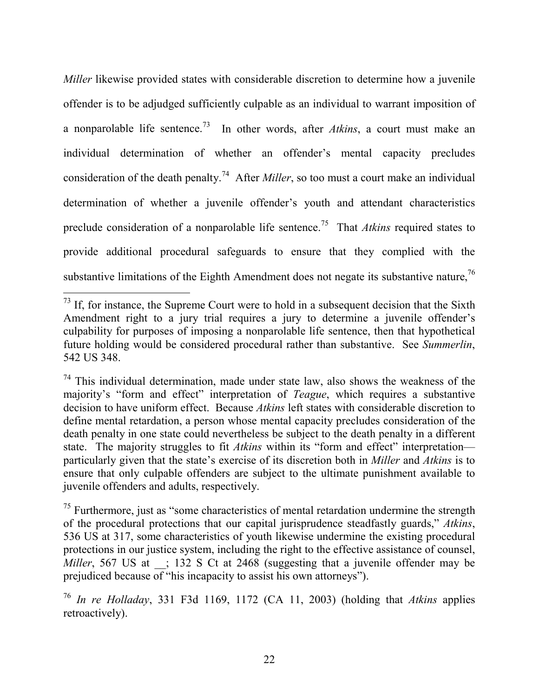*Miller* likewise provided states with considerable discretion to determine how a juvenile offender is to be adjudged sufficiently culpable as an individual to warrant imposition of a nonparolable life sentence.73 In other words, after *Atkins*, a court must make an individual determination of whether an offender's mental capacity precludes consideration of the death penalty.<sup>74</sup> After *Miller*, so too must a court make an individual determination of whether a juvenile offender's youth and attendant characteristics preclude consideration of a nonparolable life sentence.<sup>75</sup> That *Atkins* required states to provide additional procedural safeguards to ensure that they complied with the substantive limitations of the Eighth Amendment does not negate its substantive nature,  $\frac{76}{6}$ 

 $73$  If, for instance, the Supreme Court were to hold in a subsequent decision that the Sixth Amendment right to a jury trial requires a jury to determine a juvenile offender's culpability for purposes of imposing a nonparolable life sentence, then that hypothetical future holding would be considered procedural rather than substantive. See *Summerlin*, 542 US 348.

 $74$  This individual determination, made under state law, also shows the weakness of the majority's "form and effect" interpretation of *Teague*, which requires a substantive decision to have uniform effect. Because *Atkins* left states with considerable discretion to define mental retardation, a person whose mental capacity precludes consideration of the death penalty in one state could nevertheless be subject to the death penalty in a different state. The majority struggles to fit *Atkins* within its "form and effect" interpretation particularly given that the state's exercise of its discretion both in *Miller* and *Atkins* is to ensure that only culpable offenders are subject to the ultimate punishment available to juvenile offenders and adults, respectively.

 $75$  Furthermore, just as "some characteristics of mental retardation undermine the strength of the procedural protections that our capital jurisprudence steadfastly guards," *Atkins*, 536 US at 317, some characteristics of youth likewise undermine the existing procedural protections in our justice system, including the right to the effective assistance of counsel, *Miller*, 567 US at  $\therefore$  132 S Ct at 2468 (suggesting that a juvenile offender may be prejudiced because  $\overline{of}$  "his incapacity to assist his own attorneys").

<sup>76</sup> *In re Holladay*, 331 F3d 1169, 1172 (CA 11, 2003) (holding that *Atkins* applies retroactively).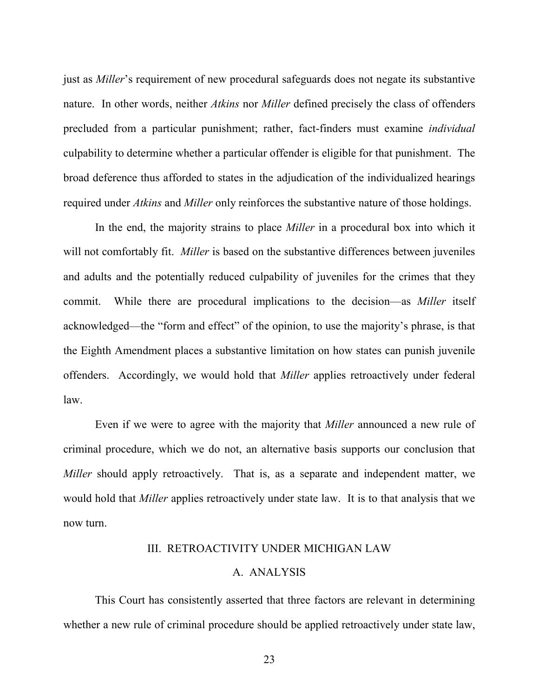just as *Miller*'s requirement of new procedural safeguards does not negate its substantive nature. In other words, neither *Atkins* nor *Miller* defined precisely the class of offenders precluded from a particular punishment; rather, fact-finders must examine *individual* culpability to determine whether a particular offender is eligible for that punishment. The broad deference thus afforded to states in the adjudication of the individualized hearings required under *Atkins* and *Miller* only reinforces the substantive nature of those holdings.

In the end, the majority strains to place *Miller* in a procedural box into which it will not comfortably fit. *Miller* is based on the substantive differences between juveniles and adults and the potentially reduced culpability of juveniles for the crimes that they commit. While there are procedural implications to the decision—as *Miller* itself acknowledged—the "form and effect" of the opinion, to use the majority's phrase, is that the Eighth Amendment places a substantive limitation on how states can punish juvenile offenders. Accordingly, we would hold that *Miller* applies retroactively under federal law.

Even if we were to agree with the majority that *Miller* announced a new rule of criminal procedure, which we do not, an alternative basis supports our conclusion that *Miller* should apply retroactively. That is, as a separate and independent matter, we would hold that *Miller* applies retroactively under state law. It is to that analysis that we now turn.

#### III. RETROACTIVITY UNDER MICHIGAN LAW

### A. ANALYSIS

This Court has consistently asserted that three factors are relevant in determining whether a new rule of criminal procedure should be applied retroactively under state law,

23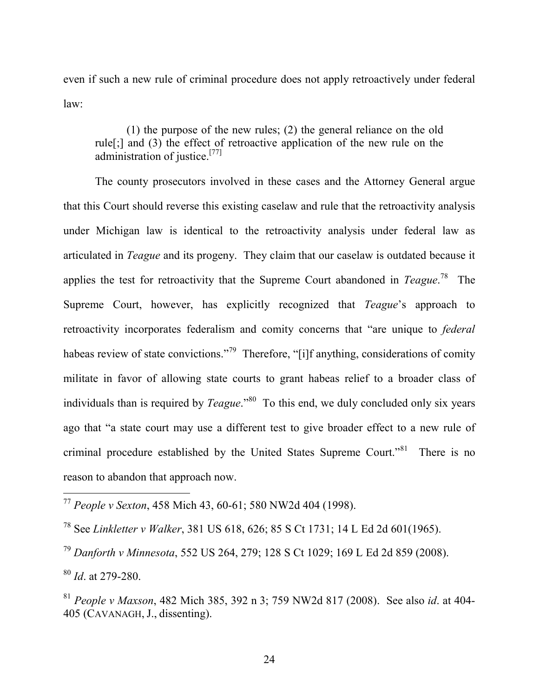even if such a new rule of criminal procedure does not apply retroactively under federal law:

(1) the purpose of the new rules; (2) the general reliance on the old rule[;] and (3) the effect of retroactive application of the new rule on the administration of justice.<sup>[77]</sup>

The county prosecutors involved in these cases and the Attorney General argue that this Court should reverse this existing caselaw and rule that the retroactivity analysis under Michigan law is identical to the retroactivity analysis under federal law as articulated in *Teague* and its progeny. They claim that our caselaw is outdated because it applies the test for retroactivity that the Supreme Court abandoned in *Teague*. <sup>78</sup> The Supreme Court, however, has explicitly recognized that *Teague*'s approach to retroactivity incorporates federalism and comity concerns that "are unique to *federal*  habeas review of state convictions."<sup>79</sup> Therefore, "[i]f anything, considerations of comity militate in favor of allowing state courts to grant habeas relief to a broader class of individuals than is required by *Teague*."<sup>80</sup> To this end, we duly concluded only six years ago that "a state court may use a different test to give broader effect to a new rule of criminal procedure established by the United States Supreme Court."<sup>81</sup> There is no reason to abandon that approach now.

 <sup>77</sup> *People v Sexton*, 458 Mich 43, 60-61; 580 NW2d 404 (1998).

<sup>78</sup> See *Linkletter v Walker*, 381 US 618, 626; 85 S Ct 1731; 14 L Ed 2d 601(1965).

<sup>79</sup> *Danforth v Minnesota*, 552 US 264, 279; 128 S Ct 1029; 169 L Ed 2d 859 (2008).

<sup>80</sup> *Id*. at 279-280.

<sup>81</sup> *People v Maxson*, 482 Mich 385, 392 n 3; 759 NW2d 817 (2008). See also *id*. at 404- 405 (CAVANAGH, J., dissenting).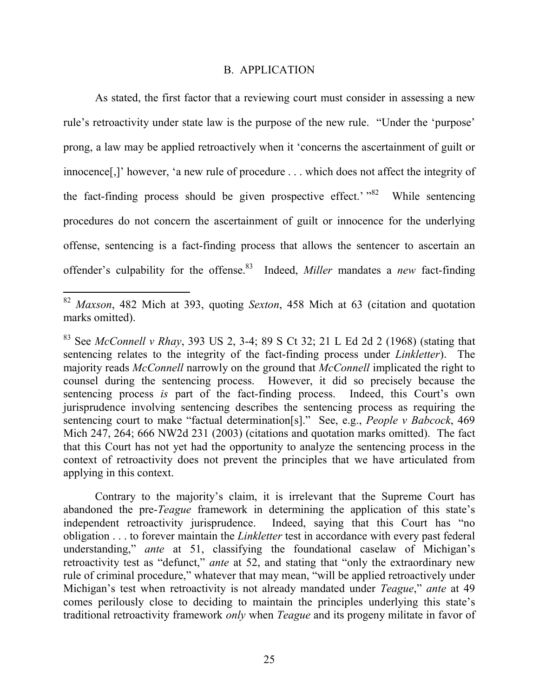#### B. APPLICATION

As stated, the first factor that a reviewing court must consider in assessing a new rule's retroactivity under state law is the purpose of the new rule. "Under the 'purpose' prong, a law may be applied retroactively when it 'concerns the ascertainment of guilt or innocence[,]' however, 'a new rule of procedure . . . which does not affect the integrity of the fact-finding process should be given prospective effect.' "<sup>82</sup> While sentencing procedures do not concern the ascertainment of guilt or innocence for the underlying offense, sentencing is a fact-finding process that allows the sentencer to ascertain an offender's culpability for the offense. 83 Indeed, *Miller* mandates a *new* fact-finding

Contrary to the majority's claim, it is irrelevant that the Supreme Court has abandoned the pre-*Teague* framework in determining the application of this state's independent retroactivity jurisprudence. Indeed, saying that this Court has "no obligation . . . to forever maintain the *Linkletter* test in accordance with every past federal understanding," *ante* at 51, classifying the foundational caselaw of Michigan's retroactivity test as "defunct," *ante* at 52, and stating that "only the extraordinary new rule of criminal procedure," whatever that may mean, "will be applied retroactively under Michigan's test when retroactivity is not already mandated under *Teague*," *ante* at 49 comes perilously close to deciding to maintain the principles underlying this state's traditional retroactivity framework *only* when *Teague* and its progeny militate in favor of

 <sup>82</sup> *Maxson*, 482 Mich at 393, quoting *Sexton*, 458 Mich at 63 (citation and quotation marks omitted).

<sup>83</sup> See *McConnell v Rhay*, 393 US 2, 3-4; 89 S Ct 32; 21 L Ed 2d 2 (1968) (stating that sentencing relates to the integrity of the fact-finding process under *Linkletter*). The majority reads *McConnell* narrowly on the ground that *McConnell* implicated the right to counsel during the sentencing process. However, it did so precisely because the sentencing process *is* part of the fact-finding process. Indeed, this Court's own jurisprudence involving sentencing describes the sentencing process as requiring the sentencing court to make "factual determination[s]." See, e.g., *People v Babcock*, 469 Mich 247, 264; 666 NW2d 231 (2003) (citations and quotation marks omitted).The fact that this Court has not yet had the opportunity to analyze the sentencing process in the context of retroactivity does not prevent the principles that we have articulated from applying in this context.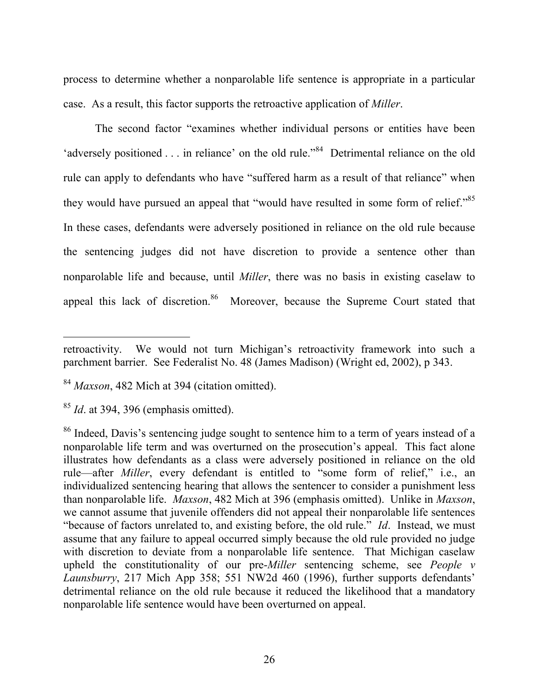process to determine whether a nonparolable life sentence is appropriate in a particular case. As a result, this factor supports the retroactive application of *Miller*.

The second factor "examines whether individual persons or entities have been 'adversely positioned . . . in reliance' on the old rule."<sup>84</sup> Detrimental reliance on the old rule can apply to defendants who have "suffered harm as a result of that reliance" when they would have pursued an appeal that "would have resulted in some form of relief."<sup>85</sup> In these cases, defendants were adversely positioned in reliance on the old rule because the sentencing judges did not have discretion to provide a sentence other than nonparolable life and because, until *Miller*, there was no basis in existing caselaw to appeal this lack of discretion.<sup>86</sup> Moreover, because the Supreme Court stated that

 $\overline{a}$ 

retroactivity. We would not turn Michigan's retroactivity framework into such a parchment barrier. See Federalist No. 48 (James Madison) (Wright ed, 2002), p 343.

<sup>84</sup> *Maxson*, 482 Mich at 394 (citation omitted).

<sup>85</sup> *Id*. at 394, 396 (emphasis omitted).

<sup>&</sup>lt;sup>86</sup> Indeed, Davis's sentencing judge sought to sentence him to a term of years instead of a nonparolable life term and was overturned on the prosecution's appeal. This fact alone illustrates how defendants as a class were adversely positioned in reliance on the old rule—after *Miller*, every defendant is entitled to "some form of relief," i.e., an individualized sentencing hearing that allows the sentencer to consider a punishment less than nonparolable life. *Maxson*, 482 Mich at 396 (emphasis omitted). Unlike in *Maxson*, we cannot assume that juvenile offenders did not appeal their nonparolable life sentences "because of factors unrelated to, and existing before, the old rule." *Id*. Instead, we must assume that any failure to appeal occurred simply because the old rule provided no judge with discretion to deviate from a nonparolable life sentence. That Michigan caselaw upheld the constitutionality of our pre-*Miller* sentencing scheme, see *People v Launsburry*, 217 Mich App 358; 551 NW2d 460 (1996), further supports defendants' detrimental reliance on the old rule because it reduced the likelihood that a mandatory nonparolable life sentence would have been overturned on appeal.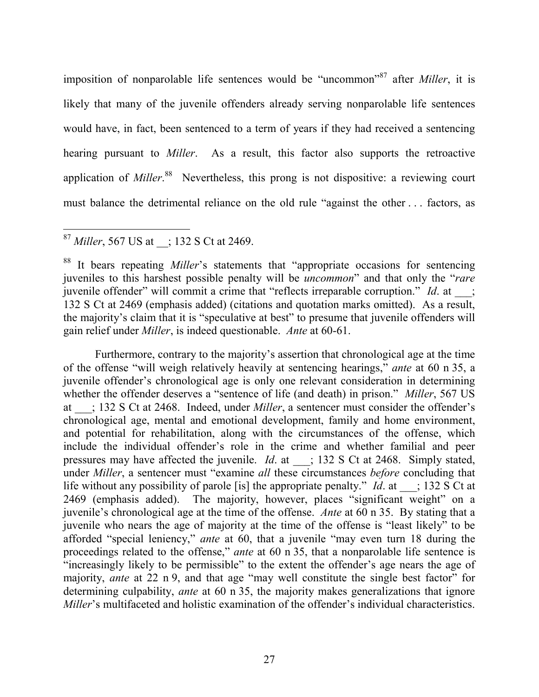imposition of nonparolable life sentences would be "uncommon"<sup>87</sup> after *Miller*, it is likely that many of the juvenile offenders already serving nonparolable life sentences would have, in fact, been sentenced to a term of years if they had received a sentencing hearing pursuant to *Miller*. As a result, this factor also supports the retroactive application of *Miller*.<sup>88</sup> Nevertheless, this prong is not dispositive: a reviewing court must balance the detrimental reliance on the old rule "against the other . . . factors, as

# 87 *Miller*, 567 US at \_\_; 132 S Ct at 2469.

Furthermore, contrary to the majority's assertion that chronological age at the time of the offense "will weigh relatively heavily at sentencing hearings," *ante* at 60 n 35, a juvenile offender's chronological age is only one relevant consideration in determining whether the offender deserves a "sentence of life (and death) in prison." *Miller*, 567 US at \_\_\_; 132 S Ct at 2468. Indeed, under *Miller*, a sentencer must consider the offender's chronological age, mental and emotional development, family and home environment, and potential for rehabilitation, along with the circumstances of the offense, which include the individual offender's role in the crime and whether familial and peer pressures may have affected the juvenile. *Id*. at \_\_\_; 132 S Ct at 2468. Simply stated, under *Miller*, a sentencer must "examine *all* these circumstances *before* concluding that life without any possibility of parole [is] the appropriate penalty." *Id.* at  $\therefore$  132 S Ct at 2469 (emphasis added). The majority, however, places "significant weight" on a juvenile's chronological age at the time of the offense. *Ante* at 60 n 35. By stating that a juvenile who nears the age of majority at the time of the offense is "least likely" to be afforded "special leniency," *ante* at 60, that a juvenile "may even turn 18 during the proceedings related to the offense," *ante* at 60 n 35, that a nonparolable life sentence is "increasingly likely to be permissible" to the extent the offender's age nears the age of majority, *ante* at 22 n 9, and that age "may well constitute the single best factor" for determining culpability, *ante* at 60 n 35, the majority makes generalizations that ignore *Miller*'s multifaceted and holistic examination of the offender's individual characteristics.

<sup>88</sup> It bears repeating *Miller*'s statements that "appropriate occasions for sentencing juveniles to this harshest possible penalty will be *uncommon*" and that only the "*rare*  juvenile offender" will commit a crime that "reflects irreparable corruption." *Id.* at 132 S Ct at 2469 (emphasis added) (citations and quotation marks omitted). As a result, the majority's claim that it is "speculative at best" to presume that juvenile offenders will gain relief under *Miller*, is indeed questionable. *Ante* at 60-61.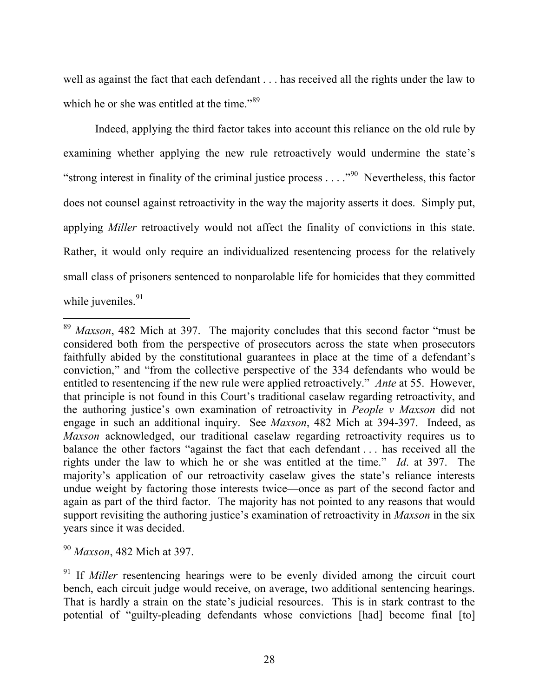well as against the fact that each defendant . . . has received all the rights under the law to which he or she was entitled at the time."<sup>89</sup>

Indeed, applying the third factor takes into account this reliance on the old rule by examining whether applying the new rule retroactively would undermine the state's "strong interest in finality of the criminal justice process  $\ldots$ ."<sup>90</sup> Nevertheless, this factor does not counsel against retroactivity in the way the majority asserts it does. Simply put, applying *Miller* retroactively would not affect the finality of convictions in this state. Rather, it would only require an individualized resentencing process for the relatively small class of prisoners sentenced to nonparolable life for homicides that they committed while juveniles. $91$ 

 <sup>89</sup> *Maxson*, 482 Mich at 397. The majority concludes that this second factor "must be considered both from the perspective of prosecutors across the state when prosecutors faithfully abided by the constitutional guarantees in place at the time of a defendant's conviction," and "from the collective perspective of the 334 defendants who would be entitled to resentencing if the new rule were applied retroactively." *Ante* at 55. However, that principle is not found in this Court's traditional caselaw regarding retroactivity, and the authoring justice's own examination of retroactivity in *People v Maxson* did not engage in such an additional inquiry. See *Maxson*, 482 Mich at 394-397. Indeed, as *Maxson* acknowledged, our traditional caselaw regarding retroactivity requires us to balance the other factors "against the fact that each defendant . . . has received all the rights under the law to which he or she was entitled at the time." *Id*. at 397. The majority's application of our retroactivity caselaw gives the state's reliance interests undue weight by factoring those interests twice—once as part of the second factor and again as part of the third factor. The majority has not pointed to any reasons that would support revisiting the authoring justice's examination of retroactivity in *Maxson* in the six years since it was decided.

<sup>90</sup> *Maxson*, 482 Mich at 397.

<sup>&</sup>lt;sup>91</sup> If *Miller* resentencing hearings were to be evenly divided among the circuit court bench, each circuit judge would receive, on average, two additional sentencing hearings. That is hardly a strain on the state's judicial resources. This is in stark contrast to the potential of "guilty-pleading defendants whose convictions [had] become final [to]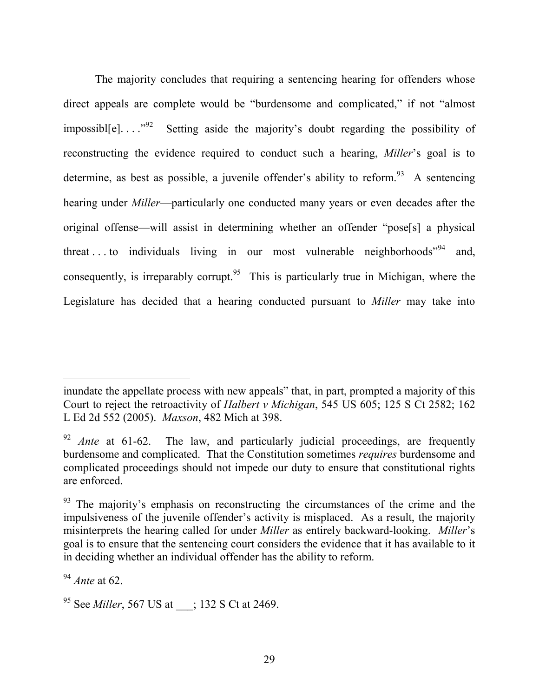The majority concludes that requiring a sentencing hearing for offenders whose direct appeals are complete would be "burdensome and complicated," if not "almost impossibl[e]...."<sup>92</sup> Setting aside the majority's doubt regarding the possibility of reconstructing the evidence required to conduct such a hearing, *Miller*'s goal is to determine, as best as possible, a juvenile offender's ability to reform.<sup>93</sup> A sentencing hearing under *Miller*—particularly one conducted many years or even decades after the original offense—will assist in determining whether an offender "pose[s] a physical threat ... to individuals living in our most vulnerable neighborhoods"<sup>94</sup> and, consequently, is irreparably corrupt.<sup>95</sup> This is particularly true in Michigan, where the Legislature has decided that a hearing conducted pursuant to *Miller* may take into

-

inundate the appellate process with new appeals" that, in part, prompted a majority of this Court to reject the retroactivity of *Halbert v Michigan*, 545 US 605; 125 S Ct 2582; 162 L Ed 2d 552 (2005). *Maxson*, 482 Mich at 398.

<sup>&</sup>lt;sup>92</sup> *Ante* at 61-62. The law, and particularly judicial proceedings, are frequently burdensome and complicated. That the Constitution sometimes *requires* burdensome and complicated proceedings should not impede our duty to ensure that constitutional rights are enforced.

 $93$  The majority's emphasis on reconstructing the circumstances of the crime and the impulsiveness of the juvenile offender's activity is misplaced. As a result, the majority misinterprets the hearing called for under *Miller* as entirely backward-looking. *Miller*'s goal is to ensure that the sentencing court considers the evidence that it has available to it in deciding whether an individual offender has the ability to reform.

<sup>94</sup> *Ante* at 62.

<sup>&</sup>lt;sup>95</sup> See *Miller*, 567 US at  $\qquad$ ; 132 S Ct at 2469.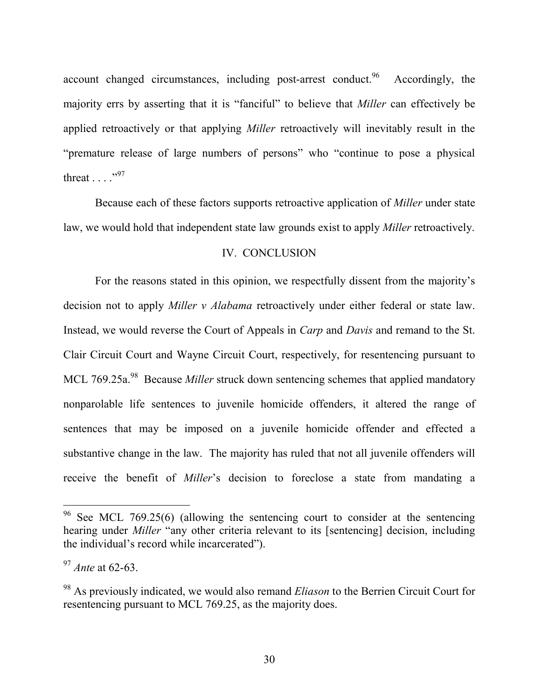account changed circumstances, including post-arrest conduct.<sup>96</sup> Accordingly, the majority errs by asserting that it is "fanciful" to believe that *Miller* can effectively be applied retroactively or that applying *Miller* retroactively will inevitably result in the "premature release of large numbers of persons" who "continue to pose a physical threat . . . ."<sup>97</sup>

Because each of these factors supports retroactive application of *Miller* under state law, we would hold that independent state law grounds exist to apply *Miller* retroactively.

## IV. CONCLUSION

For the reasons stated in this opinion, we respectfully dissent from the majority's decision not to apply *Miller v Alabama* retroactively under either federal or state law. Instead, we would reverse the Court of Appeals in *Carp* and *Davis* and remand to the St. Clair Circuit Court and Wayne Circuit Court, respectively, for resentencing pursuant to MCL 769.25a.<sup>98</sup> Because *Miller* struck down sentencing schemes that applied mandatory nonparolable life sentences to juvenile homicide offenders, it altered the range of sentences that may be imposed on a juvenile homicide offender and effected a substantive change in the law. The majority has ruled that not all juvenile offenders will receive the benefit of *Miller*'s decision to foreclose a state from mandating a

<sup>&</sup>lt;sup>96</sup> See MCL 769.25(6) (allowing the sentencing court to consider at the sentencing hearing under *Miller* "any other criteria relevant to its [sentencing] decision, including the individual's record while incarcerated").

<sup>97</sup> *Ante* at 62-63.

<sup>98</sup> As previously indicated, we would also remand *Eliason* to the Berrien Circuit Court for resentencing pursuant to MCL 769.25, as the majority does.